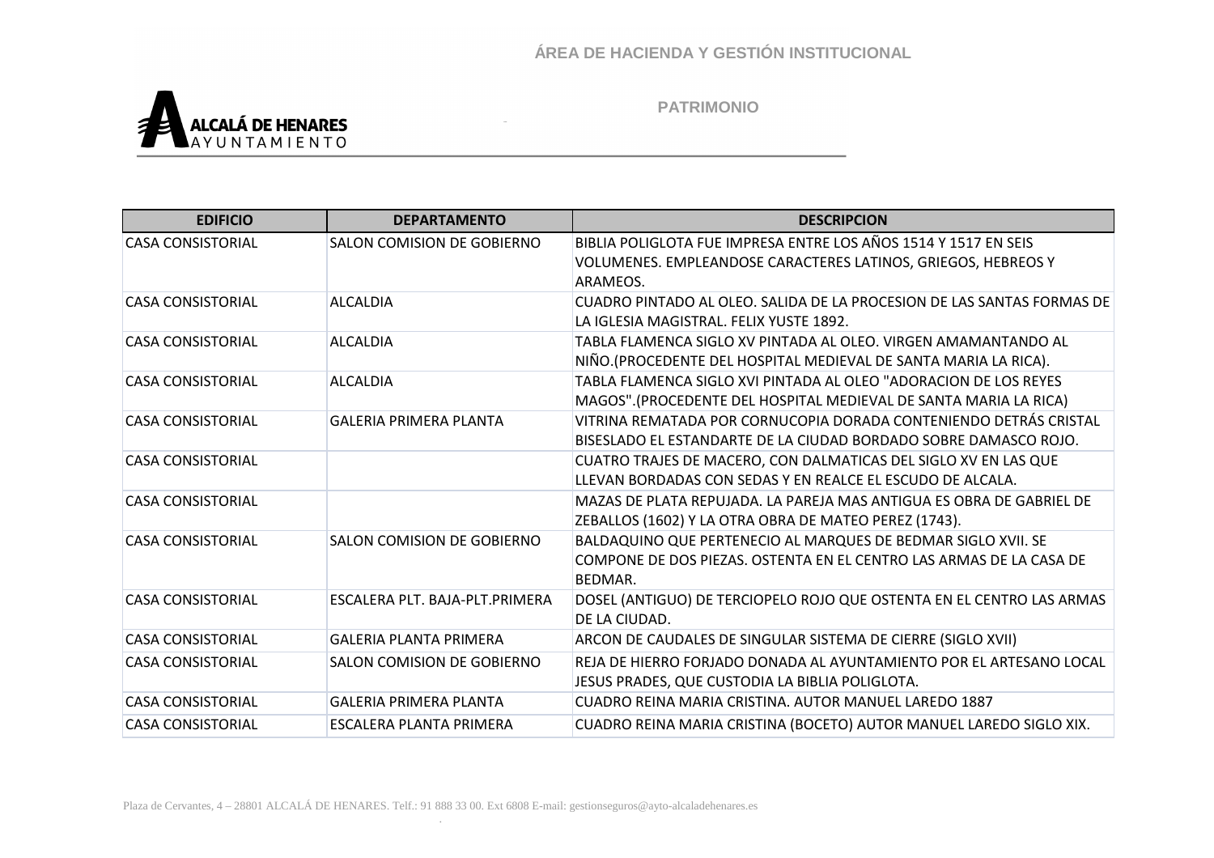

| <b>EDIFICIO</b>          | <b>DEPARTAMENTO</b>            | <b>DESCRIPCION</b>                                                                                                                              |
|--------------------------|--------------------------------|-------------------------------------------------------------------------------------------------------------------------------------------------|
| <b>CASA CONSISTORIAL</b> | SALON COMISION DE GOBIERNO     | BIBLIA POLIGLOTA FUE IMPRESA ENTRE LOS AÑOS 1514 Y 1517 EN SEIS<br>VOLUMENES. EMPLEANDOSE CARACTERES LATINOS, GRIEGOS, HEBREOS Y<br>ARAMEOS.    |
| <b>CASA CONSISTORIAL</b> | <b>ALCALDIA</b>                | CUADRO PINTADO AL OLEO. SALIDA DE LA PROCESION DE LAS SANTAS FORMAS DE<br>LA IGLESIA MAGISTRAL. FELIX YUSTE 1892.                               |
| <b>CASA CONSISTORIAL</b> | <b>ALCALDIA</b>                | TABLA FLAMENCA SIGLO XV PINTADA AL OLEO. VIRGEN AMAMANTANDO AL<br>NIÑO. (PROCEDENTE DEL HOSPITAL MEDIEVAL DE SANTA MARIA LA RICA).              |
| <b>CASA CONSISTORIAL</b> | <b>ALCALDIA</b>                | TABLA FLAMENCA SIGLO XVI PINTADA AL OLFO "ADORACION DE LOS REYES"<br>MAGOS".(PROCEDENTE DEL HOSPITAL MEDIEVAL DE SANTA MARIA LA RICA)           |
| <b>CASA CONSISTORIAL</b> | <b>GALERIA PRIMERA PLANTA</b>  | VITRINA REMATADA POR CORNUCOPIA DORADA CONTENIENDO DETRÁS CRISTAL<br>BISESLADO EL ESTANDARTE DE LA CIUDAD BORDADO SOBRE DAMASCO ROJO.           |
| <b>CASA CONSISTORIAL</b> |                                | CUATRO TRAJES DE MACERO, CON DALMATICAS DEL SIGLO XV EN LAS QUE<br>LLEVAN BORDADAS CON SEDAS Y EN REALCE EL ESCUDO DE ALCALA.                   |
| <b>CASA CONSISTORIAL</b> |                                | MAZAS DE PLATA REPUJADA. LA PAREJA MAS ANTIGUA ES OBRA DE GABRIEL DE<br>ZEBALLOS (1602) Y LA OTRA OBRA DE MATEO PEREZ (1743).                   |
| <b>CASA CONSISTORIAL</b> | SALON COMISION DE GOBIERNO     | BALDAQUINO QUE PERTENECIO AL MARQUES DE BEDMAR SIGLO XVII. SE<br>COMPONE DE DOS PIEZAS. OSTENTA EN EL CENTRO LAS ARMAS DE LA CASA DE<br>BEDMAR. |
| <b>CASA CONSISTORIAL</b> | ESCALERA PLT. BAJA-PLT.PRIMERA | DOSEL (ANTIGUO) DE TERCIOPELO ROJO QUE OSTENTA EN EL CENTRO LAS ARMAS<br>DE LA CIUDAD.                                                          |
| <b>CASA CONSISTORIAL</b> | <b>GALERIA PLANTA PRIMERA</b>  | ARCON DE CAUDALES DE SINGULAR SISTEMA DE CIERRE (SIGLO XVII)                                                                                    |
| <b>CASA CONSISTORIAL</b> | SALON COMISION DE GOBIERNO     | REJA DE HIERRO FORJADO DONADA AL AYUNTAMIENTO POR EL ARTESANO LOCAL<br>JESUS PRADES, QUE CUSTODIA LA BIBLIA POLIGLOTA.                          |
| <b>CASA CONSISTORIAL</b> | <b>GALERIA PRIMERA PLANTA</b>  | CUADRO REINA MARIA CRISTINA, AUTOR MANUEL LAREDO 1887                                                                                           |
| <b>CASA CONSISTORIAL</b> | ESCALERA PLANTA PRIMERA        | CUADRO REINA MARIA CRISTINA (BOCETO) AUTOR MANUEL LAREDO SIGLO XIX.                                                                             |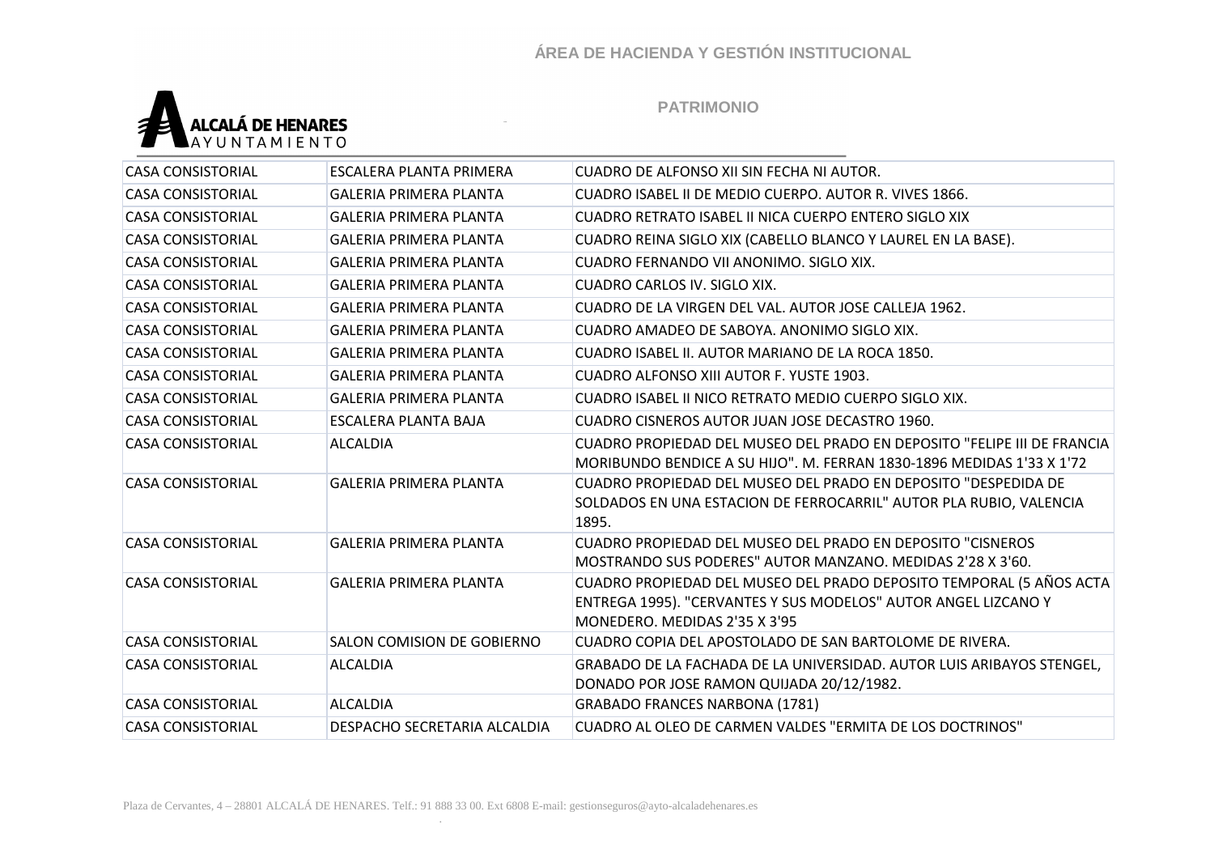

| <b>CASA CONSISTORIAL</b> | ESCALERA PLANTA PRIMERA       | CUADRO DE ALFONSO XII SIN FECHA NI AUTOR.                                                                                                                              |
|--------------------------|-------------------------------|------------------------------------------------------------------------------------------------------------------------------------------------------------------------|
| <b>CASA CONSISTORIAL</b> | <b>GALERIA PRIMERA PLANTA</b> | CUADRO ISABEL II DE MEDIO CUERPO. AUTOR R. VIVES 1866.                                                                                                                 |
| <b>CASA CONSISTORIAL</b> | <b>GALERIA PRIMERA PLANTA</b> | CUADRO RETRATO ISABEL II NICA CUERPO ENTERO SIGLO XIX                                                                                                                  |
| <b>CASA CONSISTORIAL</b> | <b>GALERIA PRIMERA PLANTA</b> | CUADRO REINA SIGLO XIX (CABELLO BLANCO Y LAUREL EN LA BASE).                                                                                                           |
| <b>CASA CONSISTORIAL</b> | <b>GALERIA PRIMERA PLANTA</b> | CUADRO FERNANDO VII ANONIMO. SIGLO XIX.                                                                                                                                |
| <b>CASA CONSISTORIAL</b> | <b>GALERIA PRIMERA PLANTA</b> | <b>CUADRO CARLOS IV. SIGLO XIX.</b>                                                                                                                                    |
| <b>CASA CONSISTORIAL</b> | <b>GALERIA PRIMERA PLANTA</b> | CUADRO DE LA VIRGEN DEL VAL. AUTOR JOSE CALLEJA 1962.                                                                                                                  |
| <b>CASA CONSISTORIAL</b> | <b>GALERIA PRIMERA PLANTA</b> | CUADRO AMADEO DE SABOYA. ANONIMO SIGLO XIX.                                                                                                                            |
| <b>CASA CONSISTORIAL</b> | <b>GALERIA PRIMERA PLANTA</b> | CUADRO ISABEL II. AUTOR MARIANO DE LA ROCA 1850.                                                                                                                       |
| <b>CASA CONSISTORIAL</b> | <b>GALERIA PRIMERA PLANTA</b> | CUADRO ALFONSO XIII AUTOR F. YUSTE 1903.                                                                                                                               |
| <b>CASA CONSISTORIAL</b> | <b>GALERIA PRIMERA PLANTA</b> | CUADRO ISABEL II NICO RETRATO MEDIO CUERPO SIGLO XIX.                                                                                                                  |
| <b>CASA CONSISTORIAL</b> | ESCALERA PLANTA BAJA          | CUADRO CISNEROS AUTOR JUAN JOSE DECASTRO 1960.                                                                                                                         |
| <b>CASA CONSISTORIAL</b> | <b>ALCALDIA</b>               | CUADRO PROPIEDAD DEL MUSEO DEL PRADO EN DEPOSITO "FELIPE III DE FRANCIA<br>MORIBUNDO BENDICE A SU HIJO". M. FERRAN 1830-1896 MEDIDAS 1'33 X 1'72                       |
| <b>CASA CONSISTORIAL</b> | <b>GALERIA PRIMERA PLANTA</b> | CUADRO PROPIEDAD DEL MUSEO DEL PRADO EN DEPOSITO "DESPEDIDA DE<br>SOLDADOS EN UNA ESTACION DE FERROCARRIL" AUTOR PLA RUBIO, VALENCIA<br>1895.                          |
| <b>CASA CONSISTORIAL</b> | <b>GALERIA PRIMERA PLANTA</b> | CUADRO PROPIEDAD DEL MUSEO DEL PRADO EN DEPOSITO "CISNEROS<br>MOSTRANDO SUS PODERES" AUTOR MANZANO. MEDIDAS 2'28 X 3'60.                                               |
| <b>CASA CONSISTORIAL</b> | <b>GALERIA PRIMERA PLANTA</b> | CUADRO PROPIEDAD DEL MUSEO DEL PRADO DEPOSITO TEMPORAL (5 AÑOS ACTA<br>ENTREGA 1995). "CERVANTES Y SUS MODELOS" AUTOR ANGEL LIZCANO Y<br>MONEDERO. MEDIDAS 2'35 X 3'95 |
| <b>CASA CONSISTORIAL</b> | SALON COMISION DE GOBIERNO    | CUADRO COPIA DEL APOSTOLADO DE SAN BARTOLOME DE RIVERA.                                                                                                                |
| <b>CASA CONSISTORIAL</b> | <b>ALCALDIA</b>               | GRABADO DE LA FACHADA DE LA UNIVERSIDAD. AUTOR LUIS ARIBAYOS STENGEL,<br>DONADO POR JOSE RAMON QUIJADA 20/12/1982.                                                     |
| <b>CASA CONSISTORIAL</b> | <b>ALCALDIA</b>               | <b>GRABADO FRANCES NARBONA (1781)</b>                                                                                                                                  |
| <b>CASA CONSISTORIAL</b> | DESPACHO SECRETARIA ALCALDIA  | CUADRO AL OLEO DE CARMEN VALDES "ERMITA DE LOS DOCTRINOS"                                                                                                              |
|                          |                               |                                                                                                                                                                        |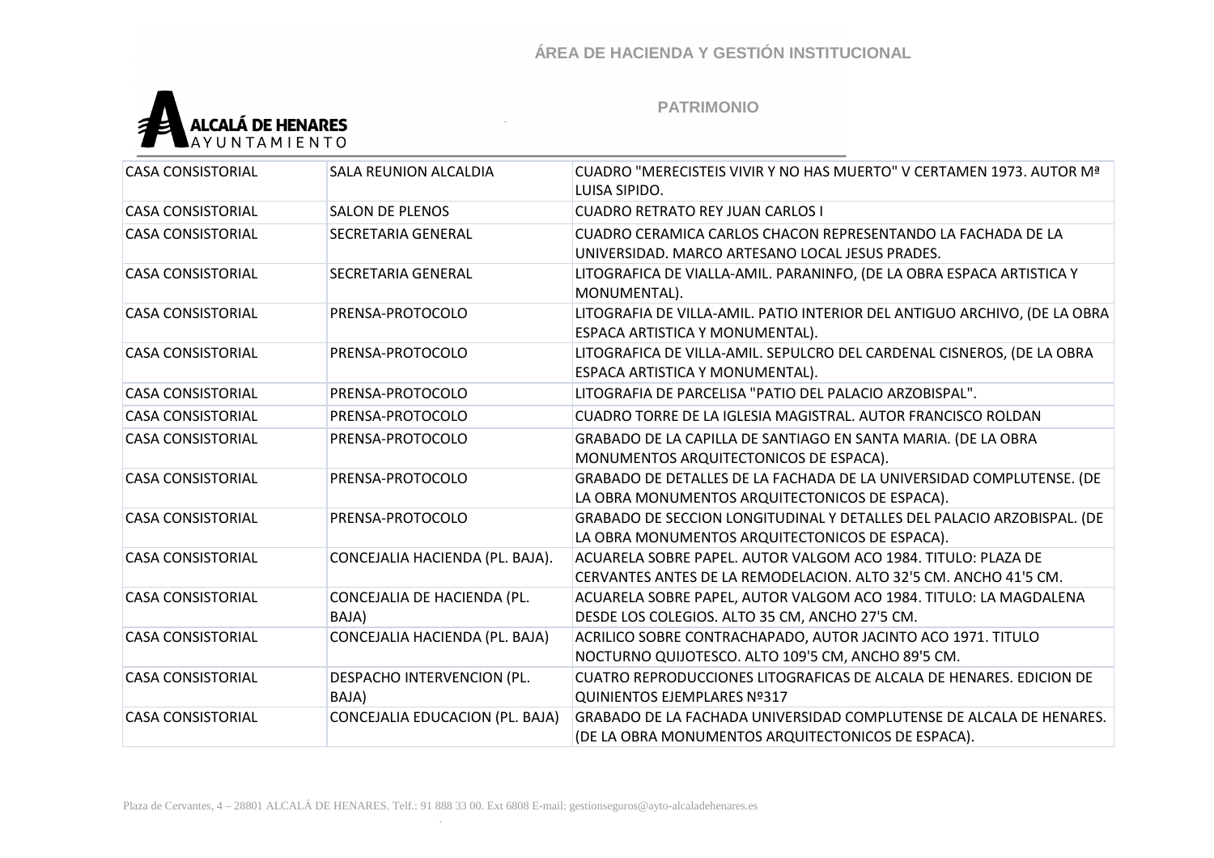

| <b>CASA CONSISTORIAL</b> | SALA REUNION ALCALDIA                | CUADRO "MERECISTEIS VIVIR Y NO HAS MUERTO" V CERTAMEN 1973. AUTOR Mª<br>LUISA SIPIDO.                                             |
|--------------------------|--------------------------------------|-----------------------------------------------------------------------------------------------------------------------------------|
| <b>CASA CONSISTORIAL</b> | <b>SALON DE PLENOS</b>               | <b>CUADRO RETRATO REY JUAN CARLOS I</b>                                                                                           |
| <b>CASA CONSISTORIAL</b> | SECRETARIA GENERAL                   | CUADRO CERAMICA CARLOS CHACON REPRESENTANDO LA FACHADA DE LA<br>UNIVERSIDAD. MARCO ARTESANO LOCAL JESUS PRADES.                   |
| <b>CASA CONSISTORIAL</b> | SECRETARIA GENERAL                   | LITOGRAFICA DE VIALLA-AMIL. PARANINFO, (DE LA OBRA ESPACA ARTISTICA Y<br>MONUMENTAL).                                             |
| <b>CASA CONSISTORIAL</b> | PRENSA-PROTOCOLO                     | LITOGRAFIA DE VILLA-AMIL. PATIO INTERIOR DEL ANTIGUO ARCHIVO, (DE LA OBRA<br>ESPACA ARTISTICA Y MONUMENTAL).                      |
| <b>CASA CONSISTORIAL</b> | PRENSA-PROTOCOLO                     | LITOGRAFICA DE VILLA-AMIL. SEPULCRO DEL CARDENAL CISNEROS, (DE LA OBRA<br>ESPACA ARTISTICA Y MONUMENTAL).                         |
| <b>CASA CONSISTORIAL</b> | PRENSA-PROTOCOLO                     | LITOGRAFIA DE PARCELISA "PATIO DEL PALACIO ARZOBISPAL".                                                                           |
| <b>CASA CONSISTORIAL</b> | PRENSA-PROTOCOLO                     | CUADRO TORRE DE LA IGLESIA MAGISTRAL. AUTOR FRANCISCO ROLDAN                                                                      |
| <b>CASA CONSISTORIAL</b> | PRENSA-PROTOCOLO                     | GRABADO DE LA CAPILLA DE SANTIAGO EN SANTA MARIA. (DE LA OBRA<br>MONUMENTOS ARQUITECTONICOS DE ESPACA).                           |
| <b>CASA CONSISTORIAL</b> | PRENSA-PROTOCOLO                     | GRABADO DE DETALLES DE LA FACHADA DE LA UNIVERSIDAD COMPLUTENSE. (DE<br>LA OBRA MONUMENTOS ARQUITECTONICOS DE ESPACA).            |
| <b>CASA CONSISTORIAL</b> | PRENSA-PROTOCOLO                     | GRABADO DE SECCION LONGITUDINAL Y DETALLES DEL PALACIO ARZOBISPAL. (DE<br>LA OBRA MONUMENTOS ARQUITECTONICOS DE ESPACA).          |
| <b>CASA CONSISTORIAL</b> | CONCEJALIA HACIENDA (PL. BAJA).      | ACUARELA SOBRE PAPEL. AUTOR VALGOM ACO 1984. TITULO: PLAZA DE<br>CERVANTES ANTES DE LA REMODELACION. ALTO 32'5 CM. ANCHO 41'5 CM. |
| <b>CASA CONSISTORIAL</b> | CONCEJALIA DE HACIENDA (PL.<br>BAJA) | ACUARELA SOBRE PAPEL, AUTOR VALGOM ACO 1984. TITULO: LA MAGDALENA<br>DESDE LOS COLEGIOS. ALTO 35 CM, ANCHO 27'5 CM.               |
| <b>CASA CONSISTORIAL</b> | CONCEJALIA HACIENDA (PL. BAJA)       | ACRILICO SOBRE CONTRACHAPADO, AUTOR JACINTO ACO 1971. TITULO<br>NOCTURNO QUIJOTESCO. ALTO 109'5 CM, ANCHO 89'5 CM.                |
| <b>CASA CONSISTORIAL</b> | DESPACHO INTERVENCION (PL.<br>BAJA)  | CUATRO REPRODUCCIONES LITOGRAFICAS DE ALCALA DE HENARES. EDICION DE<br>QUINIENTOS EJEMPLARES Nº317                                |
| <b>CASA CONSISTORIAL</b> | CONCEJALIA EDUCACION (PL. BAJA)      | GRABADO DE LA FACHADA UNIVERSIDAD COMPLUTENSE DE ALCALA DE HENARES.<br>(DE LA OBRA MONUMENTOS ARQUITECTONICOS DE ESPACA).         |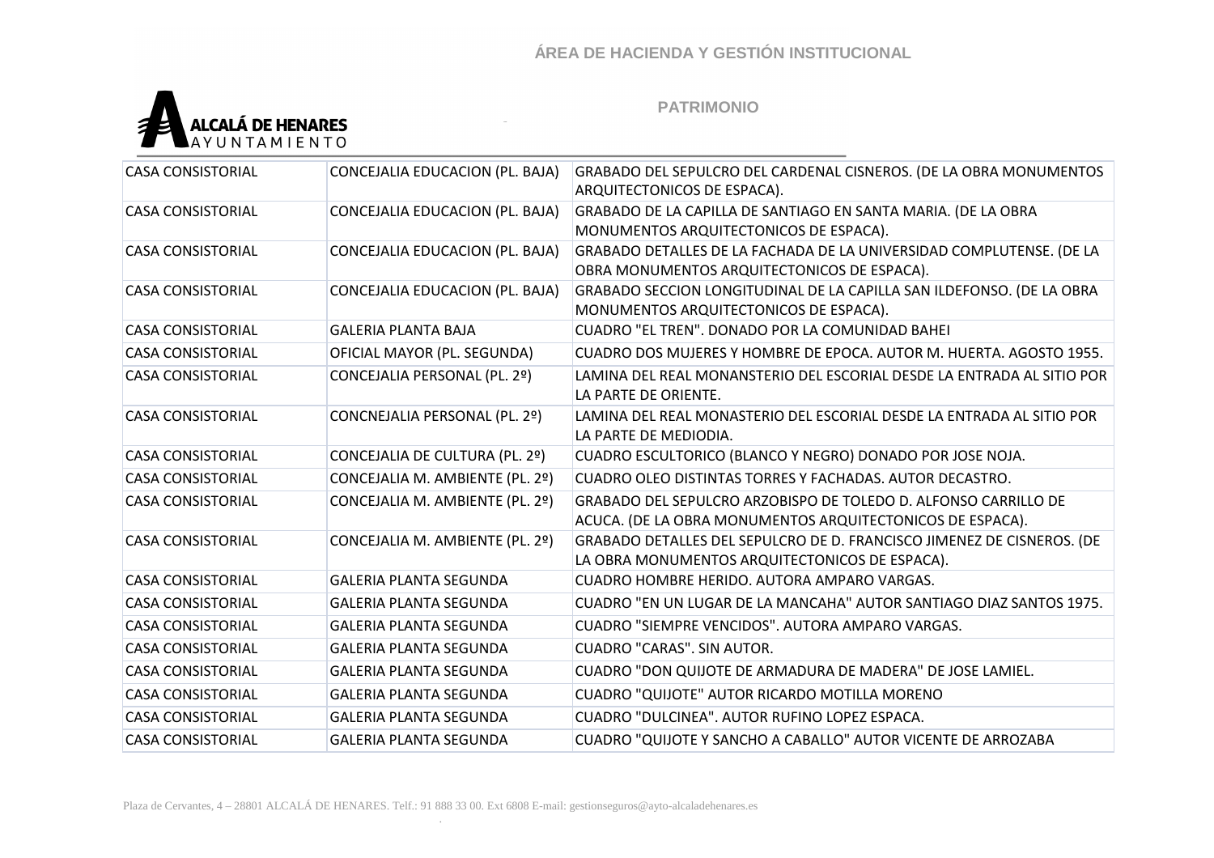

| <b>CASA CONSISTORIAL</b> | CONCEJALIA EDUCACION (PL. BAJA) | GRABADO DEL SEPULCRO DEL CARDENAL CISNEROS. (DE LA OBRA MONUMENTOS     |
|--------------------------|---------------------------------|------------------------------------------------------------------------|
|                          |                                 | ARQUITECTONICOS DE ESPACA).                                            |
| <b>CASA CONSISTORIAL</b> | CONCEJALIA EDUCACION (PL. BAJA) | GRABADO DE LA CAPILLA DE SANTIAGO EN SANTA MARIA. (DE LA OBRA          |
|                          |                                 | MONUMENTOS ARQUITECTONICOS DE ESPACA).                                 |
| <b>CASA CONSISTORIAL</b> | CONCEJALIA EDUCACION (PL. BAJA) | GRABADO DETALLES DE LA FACHADA DE LA UNIVERSIDAD COMPLUTENSE. (DE LA   |
|                          |                                 | OBRA MONUMENTOS ARQUITECTONICOS DE ESPACA).                            |
| <b>CASA CONSISTORIAL</b> | CONCEJALIA EDUCACION (PL. BAJA) | GRABADO SECCION LONGITUDINAL DE LA CAPILLA SAN ILDEFONSO. (DE LA OBRA  |
|                          |                                 | MONUMENTOS ARQUITECTONICOS DE ESPACA).                                 |
| <b>CASA CONSISTORIAL</b> | <b>GALERIA PLANTA BAJA</b>      | CUADRO "EL TREN". DONADO POR LA COMUNIDAD BAHEI                        |
| <b>CASA CONSISTORIAL</b> | OFICIAL MAYOR (PL. SEGUNDA)     | CUADRO DOS MUJERES Y HOMBRE DE EPOCA. AUTOR M. HUERTA. AGOSTO 1955.    |
| <b>CASA CONSISTORIAL</b> | CONCEJALIA PERSONAL (PL. 2º)    | LAMINA DEL REAL MONANSTERIO DEL ESCORIAL DESDE LA ENTRADA AL SITIO POR |
|                          |                                 | LA PARTE DE ORIENTE.                                                   |
| <b>CASA CONSISTORIAL</b> | CONCNEJALIA PERSONAL (PL. 2º)   | LAMINA DEL REAL MONASTERIO DEL ESCORIAL DESDE LA ENTRADA AL SITIO POR  |
|                          |                                 | LA PARTE DE MEDIODIA.                                                  |
| <b>CASA CONSISTORIAL</b> | CONCEJALIA DE CULTURA (PL. 2º)  | CUADRO ESCULTORICO (BLANCO Y NEGRO) DONADO POR JOSE NOJA.              |
| <b>CASA CONSISTORIAL</b> | CONCEJALIA M. AMBIENTE (PL. 2º) | CUADRO OLEO DISTINTAS TORRES Y FACHADAS, AUTOR DECASTRO.               |
| <b>CASA CONSISTORIAL</b> | CONCEJALIA M. AMBIENTE (PL. 2º) | GRABADO DEL SEPULCRO ARZOBISPO DE TOLEDO D. ALFONSO CARRILLO DE        |
|                          |                                 | ACUCA. (DE LA OBRA MONUMENTOS ARQUITECTONICOS DE ESPACA).              |
| <b>CASA CONSISTORIAL</b> | CONCEJALIA M. AMBIENTE (PL. 2º) | GRABADO DETALLES DEL SEPULCRO DE D. FRANCISCO JIMENEZ DE CISNEROS. (DE |
|                          |                                 | LA OBRA MONUMENTOS ARQUITECTONICOS DE ESPACA).                         |
| <b>CASA CONSISTORIAL</b> | <b>GALERIA PLANTA SEGUNDA</b>   | CUADRO HOMBRE HERIDO, AUTORA AMPARO VARGAS.                            |
| <b>CASA CONSISTORIAL</b> | <b>GALERIA PLANTA SEGUNDA</b>   | CUADRO "EN UN LUGAR DE LA MANCAHA" AUTOR SANTIAGO DIAZ SANTOS 1975.    |
| <b>CASA CONSISTORIAL</b> | <b>GALERIA PLANTA SEGUNDA</b>   | CUADRO "SIEMPRE VENCIDOS". AUTORA AMPARO VARGAS.                       |
| <b>CASA CONSISTORIAL</b> | <b>GALERIA PLANTA SEGUNDA</b>   | CUADRO "CARAS". SIN AUTOR.                                             |
| <b>CASA CONSISTORIAL</b> | <b>GALERIA PLANTA SEGUNDA</b>   | CUADRO "DON QUIJOTE DE ARMADURA DE MADERA" DE JOSE LAMIEL.             |
| <b>CASA CONSISTORIAL</b> | <b>GALERIA PLANTA SEGUNDA</b>   | CUADRO "QUIJOTE" AUTOR RICARDO MOTILLA MORENO                          |
| <b>CASA CONSISTORIAL</b> | <b>GALERIA PLANTA SEGUNDA</b>   | CUADRO "DULCINEA". AUTOR RUFINO LOPEZ ESPACA.                          |
| <b>CASA CONSISTORIAL</b> | <b>GALERIA PLANTA SEGUNDA</b>   | CUADRO "QUIJOTE Y SANCHO A CABALLO" AUTOR VICENTE DE ARROZABA          |
|                          |                                 |                                                                        |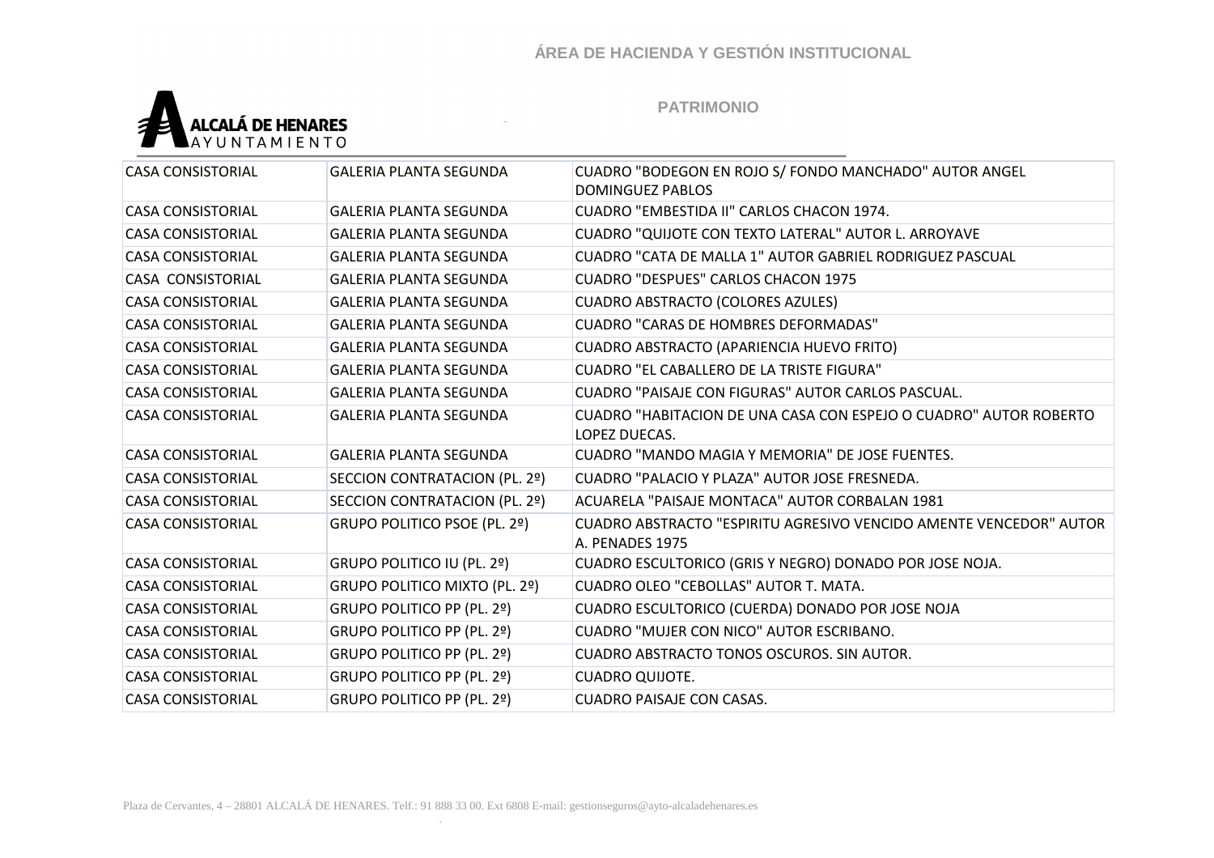

| <b>CASA CONSISTORIAL</b> | <b>GALERIA PLANTA SEGUNDA</b> | CUADRO "BODEGON EN ROJO S/ FONDO MANCHADO" AUTOR ANGEL<br><b>DOMINGUEZ PABLOS</b>     |
|--------------------------|-------------------------------|---------------------------------------------------------------------------------------|
| <b>CASA CONSISTORIAL</b> | <b>GALERIA PLANTA SEGUNDA</b> | CUADRO "EMBESTIDA II" CARLOS CHACON 1974.                                             |
| <b>CASA CONSISTORIAL</b> | <b>GALERIA PLANTA SEGUNDA</b> | CUADRO "QUIJOTE CON TEXTO LATERAL" AUTOR L. ARROYAVE                                  |
| <b>CASA CONSISTORIAL</b> | <b>GALERIA PLANTA SEGUNDA</b> | CUADRO "CATA DE MALLA 1" AUTOR GABRIEL RODRIGUEZ PASCUAL                              |
| CASA CONSISTORIAL        | <b>GALERIA PLANTA SEGUNDA</b> | <b>CUADRO "DESPUES" CARLOS CHACON 1975</b>                                            |
| <b>CASA CONSISTORIAL</b> | <b>GALERIA PLANTA SEGUNDA</b> | <b>CUADRO ABSTRACTO (COLORES AZULES)</b>                                              |
| <b>CASA CONSISTORIAL</b> | <b>GALERIA PLANTA SEGUNDA</b> | <b>CUADRO "CARAS DE HOMBRES DEFORMADAS"</b>                                           |
| <b>CASA CONSISTORIAL</b> | <b>GALERIA PLANTA SEGUNDA</b> | CUADRO ABSTRACTO (APARIENCIA HUEVO FRITO)                                             |
| <b>CASA CONSISTORIAL</b> | <b>GALERIA PLANTA SEGUNDA</b> | CUADRO "EL CABALLERO DE LA TRISTE FIGURA"                                             |
| <b>CASA CONSISTORIAL</b> | <b>GALERIA PLANTA SEGUNDA</b> | CUADRO "PAISAJE CON FIGURAS" AUTOR CARLOS PASCUAL.                                    |
| <b>CASA CONSISTORIAL</b> | <b>GALERIA PLANTA SEGUNDA</b> | CUADRO "HABITACION DE UNA CASA CON ESPEJO O CUADRO" AUTOR ROBERTO<br>LOPEZ DUECAS.    |
| <b>CASA CONSISTORIAL</b> | <b>GALERIA PLANTA SEGUNDA</b> | CUADRO "MANDO MAGIA Y MEMORIA" DE JOSE FUENTES.                                       |
| <b>CASA CONSISTORIAL</b> | SECCION CONTRATACION (PL. 2º) | CUADRO "PALACIO Y PLAZA" AUTOR JOSE FRESNEDA.                                         |
| <b>CASA CONSISTORIAL</b> | SECCION CONTRATACION (PL. 2º) | ACUARELA "PAISAJE MONTACA" AUTOR CORBALAN 1981                                        |
| <b>CASA CONSISTORIAL</b> | GRUPO POLITICO PSOE (PL. 2º)  | CUADRO ABSTRACTO "ESPIRITU AGRESIVO VENCIDO AMENTE VENCEDOR" AUTOR<br>A. PENADES 1975 |
| <b>CASA CONSISTORIAL</b> | GRUPO POLITICO IU (PL. 2º)    | CUADRO ESCULTORICO (GRIS Y NEGRO) DONADO POR JOSE NOJA.                               |
| <b>CASA CONSISTORIAL</b> | GRUPO POLITICO MIXTO (PL. 2º) | CUADRO OLEO "CEBOLLAS" AUTOR T. MATA.                                                 |
| <b>CASA CONSISTORIAL</b> | GRUPO POLITICO PP (PL. 2º)    | CUADRO ESCULTORICO (CUERDA) DONADO POR JOSE NOJA                                      |
| <b>CASA CONSISTORIAL</b> | GRUPO POLITICO PP (PL. 2º)    | <b>CUADRO "MUJER CON NICO" AUTOR ESCRIBANO.</b>                                       |
| <b>CASA CONSISTORIAL</b> | GRUPO POLITICO PP (PL. 2º)    | CUADRO ABSTRACTO TONOS OSCUROS. SIN AUTOR.                                            |
| <b>CASA CONSISTORIAL</b> | GRUPO POLITICO PP (PL. 2º)    | <b>CUADRO QUIJOTE.</b>                                                                |
| <b>CASA CONSISTORIAL</b> | GRUPO POLITICO PP (PL. 2º)    | <b>CUADRO PAISAJE CON CASAS.</b>                                                      |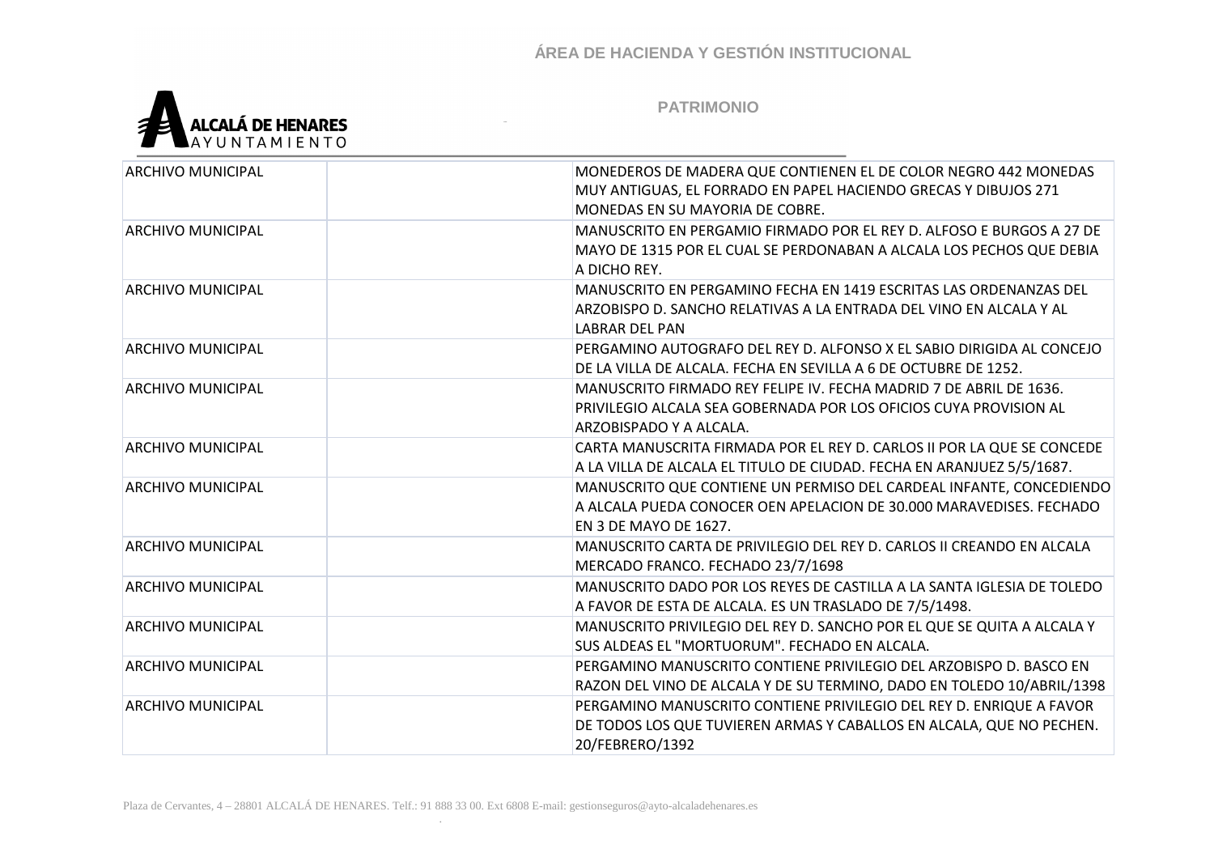

| <b>ARCHIVO MUNICIPAL</b> | MONEDEROS DE MADERA QUE CONTIENEN EL DE COLOR NEGRO 442 MONEDAS<br>MUY ANTIGUAS, EL FORRADO EN PAPEL HACIENDO GRECAS Y DIBUJOS 271                                  |
|--------------------------|---------------------------------------------------------------------------------------------------------------------------------------------------------------------|
|                          | MONEDAS EN SU MAYORIA DE COBRE.                                                                                                                                     |
| <b>ARCHIVO MUNICIPAL</b> | MANUSCRITO EN PERGAMIO FIRMADO POR EL REY D. ALFOSO E BURGOS A 27 DE<br>MAYO DE 1315 POR EL CUAL SE PERDONABAN A ALCALA LOS PECHOS QUE DEBIA<br>A DICHO REY.        |
| <b>ARCHIVO MUNICIPAL</b> | MANUSCRITO EN PERGAMINO FECHA EN 1419 ESCRITAS LAS ORDENANZAS DEL<br>ARZOBISPO D. SANCHO RELATIVAS A LA ENTRADA DEL VINO EN ALCALA Y AL<br><b>LABRAR DEL PAN</b>    |
| <b>ARCHIVO MUNICIPAL</b> | PERGAMINO AUTOGRAFO DEL REY D. ALFONSO X EL SABIO DIRIGIDA AL CONCEJO<br>DE LA VILLA DE ALCALA. FECHA EN SEVILLA A 6 DE OCTUBRE DE 1252.                            |
| <b>ARCHIVO MUNICIPAL</b> | MANUSCRITO FIRMADO REY FELIPE IV. FECHA MADRID 7 DE ABRIL DE 1636.<br>PRIVILEGIO ALCALA SEA GOBERNADA POR LOS OFICIOS CUYA PROVISION AL<br>ARZOBISPADO Y A ALCALA.  |
| <b>ARCHIVO MUNICIPAL</b> | CARTA MANUSCRITA FIRMADA POR EL REY D. CARLOS II POR LA QUE SE CONCEDE<br>A LA VILLA DE ALCALA EL TITULO DE CIUDAD. FECHA EN ARANJUEZ 5/5/1687.                     |
| <b>ARCHIVO MUNICIPAL</b> | MANUSCRITO QUE CONTIENE UN PERMISO DEL CARDEAL INFANTE, CONCEDIENDO<br>A ALCALA PUEDA CONOCER OEN APELACION DE 30.000 MARAVEDISES. FECHADO<br>EN 3 DE MAYO DE 1627. |
| <b>ARCHIVO MUNICIPAL</b> | MANUSCRITO CARTA DE PRIVILEGIO DEL REY D. CARLOS II CREANDO EN ALCALA<br>MERCADO FRANCO. FECHADO 23/7/1698                                                          |
| <b>ARCHIVO MUNICIPAL</b> | MANUSCRITO DADO POR LOS REYES DE CASTILLA A LA SANTA IGLESIA DE TOLEDO<br>A FAVOR DE ESTA DE ALCALA. ES UN TRASLADO DE 7/5/1498.                                    |
| <b>ARCHIVO MUNICIPAL</b> | MANUSCRITO PRIVILEGIO DEL REY D. SANCHO POR EL QUE SE QUITA A ALCALA Y<br>SUS ALDEAS EL "MORTUORUM". FECHADO EN ALCALA.                                             |
| <b>ARCHIVO MUNICIPAL</b> | PERGAMINO MANUSCRITO CONTIENE PRIVILEGIO DEL ARZOBISPO D. BASCO EN<br>RAZON DEL VINO DE ALCALA Y DE SU TERMINO, DADO EN TOLEDO 10/ABRIL/1398                        |
| <b>ARCHIVO MUNICIPAL</b> | PERGAMINO MANUSCRITO CONTIENE PRIVILEGIO DEL REY D. ENRIQUE A FAVOR<br>DE TODOS LOS QUE TUVIEREN ARMAS Y CABALLOS EN ALCALA, QUE NO PECHEN.<br>20/FEBRERO/1392      |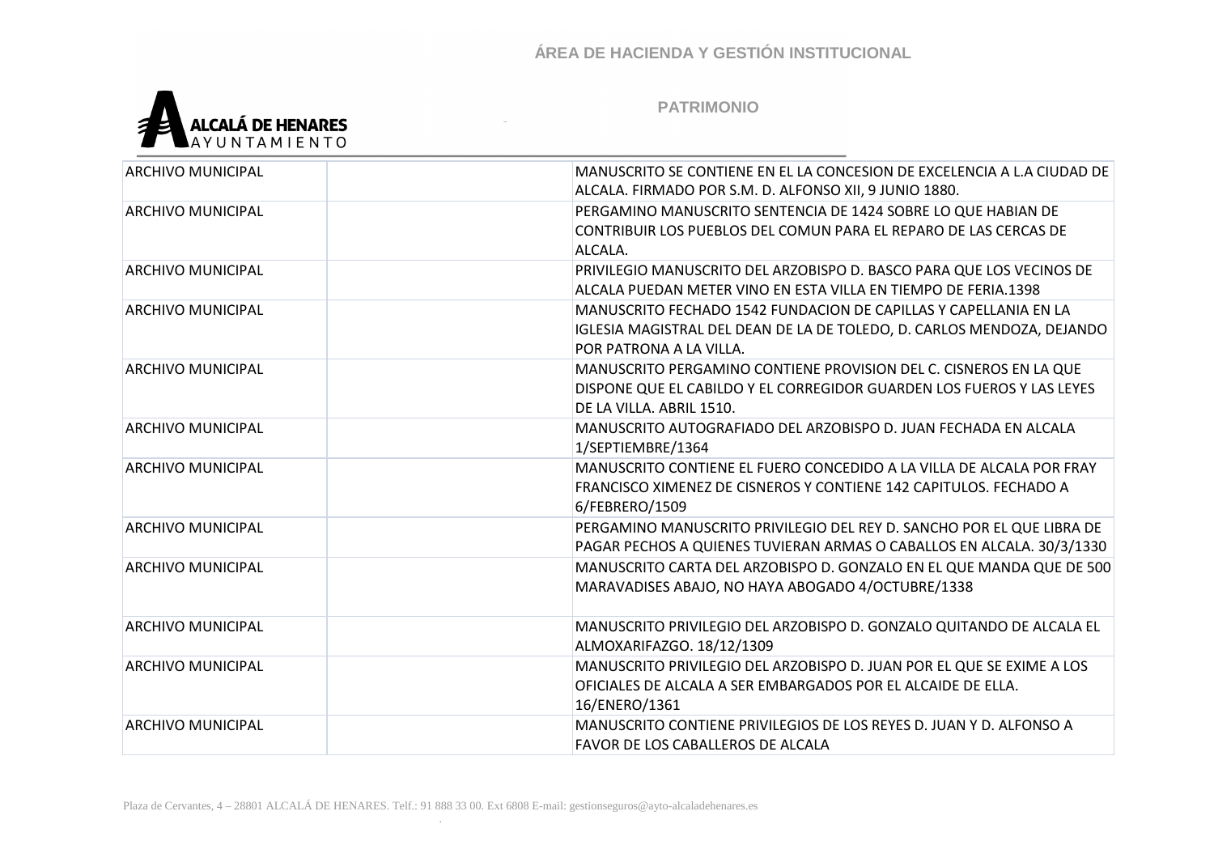

| ARCHIVO MUNICIPAL        | MANUSCRITO SE CONTIENE EN EL LA CONCESION DE EXCELENCIA A L.A CIUDAD DE<br>ALCALA. FIRMADO POR S.M. D. ALFONSO XII, 9 JUNIO 1880. |
|--------------------------|-----------------------------------------------------------------------------------------------------------------------------------|
|                          |                                                                                                                                   |
| <b>ARCHIVO MUNICIPAL</b> | PERGAMINO MANUSCRITO SENTENCIA DE 1424 SOBRE LO QUE HABIAN DE                                                                     |
|                          | CONTRIBUIR LOS PUEBLOS DEL COMUN PARA EL REPARO DE LAS CERCAS DE                                                                  |
|                          | ALCALA.                                                                                                                           |
| <b>ARCHIVO MUNICIPAL</b> | PRIVILEGIO MANUSCRITO DEL ARZOBISPO D. BASCO PARA QUE LOS VECINOS DE                                                              |
|                          | ALCALA PUEDAN METER VINO EN ESTA VILLA EN TIEMPO DE FERIA.1398                                                                    |
| ARCHIVO MUNICIPAL        | MANUSCRITO FECHADO 1542 FUNDACION DE CAPILLAS Y CAPELLANIA EN LA                                                                  |
|                          | IGLESIA MAGISTRAL DEL DEAN DE LA DE TOLEDO, D. CARLOS MENDOZA, DEJANDO                                                            |
|                          | POR PATRONA A LA VILLA.                                                                                                           |
| <b>ARCHIVO MUNICIPAL</b> | MANUSCRITO PERGAMINO CONTIENE PROVISION DEL C. CISNEROS EN LA QUE                                                                 |
|                          | DISPONE QUE EL CABILDO Y EL CORREGIDOR GUARDEN LOS FUEROS Y LAS LEYES                                                             |
|                          | DE LA VILLA. ABRIL 1510.                                                                                                          |
| <b>ARCHIVO MUNICIPAL</b> | MANUSCRITO AUTOGRAFIADO DEL ARZOBISPO D. JUAN FECHADA EN ALCALA                                                                   |
|                          | 1/SEPTIEMBRE/1364                                                                                                                 |
| <b>ARCHIVO MUNICIPAL</b> | MANUSCRITO CONTIENE EL FUERO CONCEDIDO A LA VILLA DE ALCALA POR FRAY                                                              |
|                          | FRANCISCO XIMENEZ DE CISNEROS Y CONTIENE 142 CAPITULOS. FECHADO A                                                                 |
|                          |                                                                                                                                   |
|                          | 6/FEBRERO/1509                                                                                                                    |
| <b>ARCHIVO MUNICIPAL</b> | PERGAMINO MANUSCRITO PRIVILEGIO DEL REY D. SANCHO POR EL QUE LIBRA DE                                                             |
|                          | PAGAR PECHOS A QUIENES TUVIERAN ARMAS O CABALLOS EN ALCALA. 30/3/1330                                                             |
| <b>ARCHIVO MUNICIPAL</b> | MANUSCRITO CARTA DEL ARZOBISPO D. GONZALO EN EL QUE MANDA QUE DE 500                                                              |
|                          | MARAVADISES ABAJO, NO HAYA ABOGADO 4/OCTUBRE/1338                                                                                 |
|                          |                                                                                                                                   |
| <b>ARCHIVO MUNICIPAL</b> | MANUSCRITO PRIVILEGIO DEL ARZOBISPO D. GONZALO QUITANDO DE ALCALA EL                                                              |
|                          | ALMOXARIFAZGO. 18/12/1309                                                                                                         |
| ARCHIVO MUNICIPAL        | MANUSCRITO PRIVILEGIO DEL ARZOBISPO D. JUAN POR EL QUE SE EXIME A LOS                                                             |
|                          | OFICIALES DE ALCALA A SER EMBARGADOS POR EL ALCAIDE DE ELLA.                                                                      |
|                          | 16/ENERO/1361                                                                                                                     |
| <b>ARCHIVO MUNICIPAL</b> | MANUSCRITO CONTIENE PRIVILEGIOS DE LOS REYES D. JUAN Y D. ALFONSO A                                                               |
|                          | <b>FAVOR DE LOS CABALLEROS DE ALCALA</b>                                                                                          |
|                          |                                                                                                                                   |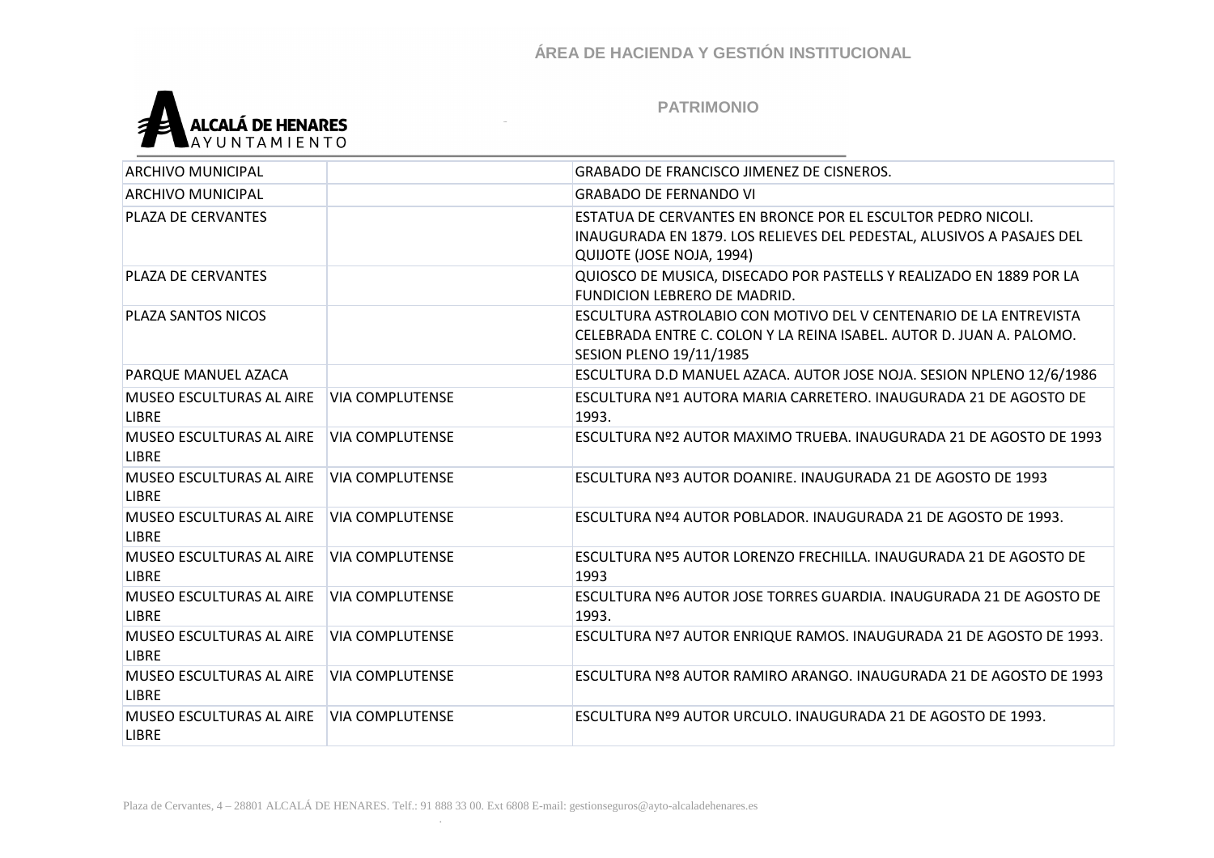

| <b>ARCHIVO MUNICIPAL</b>                        |                        | <b>GRABADO DE FRANCISCO JIMENEZ DE CISNEROS.</b>                                                                                                                            |
|-------------------------------------------------|------------------------|-----------------------------------------------------------------------------------------------------------------------------------------------------------------------------|
| <b>ARCHIVO MUNICIPAL</b>                        |                        | <b>GRABADO DE FERNANDO VI</b>                                                                                                                                               |
| <b>PLAZA DE CERVANTES</b>                       |                        | ESTATUA DE CERVANTES EN BRONCE POR EL ESCULTOR PEDRO NICOLI.<br>INAUGURADA EN 1879. LOS RELIEVES DEL PEDESTAL, ALUSIVOS A PASAJES DEL<br>QUIJOTE (JOSE NOJA, 1994)          |
| <b>PLAZA DE CERVANTES</b>                       |                        | QUIOSCO DE MUSICA, DISECADO POR PASTELLS Y REALIZADO EN 1889 POR LA<br>FUNDICION LEBRERO DE MADRID.                                                                         |
| PLAZA SANTOS NICOS                              |                        | ESCULTURA ASTROLABIO CON MOTIVO DEL V CENTENARIO DE LA ENTREVISTA<br>CELEBRADA ENTRE C. COLON Y LA REINA ISABEL. AUTOR D. JUAN A. PALOMO.<br><b>SESION PLENO 19/11/1985</b> |
| PARQUE MANUEL AZACA                             |                        | ESCULTURA D.D MANUEL AZACA. AUTOR JOSE NOJA. SESION NPLENO 12/6/1986                                                                                                        |
| MUSEO ESCULTURAS AL AIRE<br><b>LIBRE</b>        | <b>VIA COMPLUTENSE</b> | ESCULTURA Nº1 AUTORA MARIA CARRETERO. INAUGURADA 21 DE AGOSTO DE<br>1993.                                                                                                   |
| <b>MUSEO ESCULTURAS AL AIRE</b><br><b>LIBRE</b> | <b>VIA COMPLUTENSE</b> | ESCULTURA Nº2 AUTOR MAXIMO TRUEBA. INAUGURADA 21 DE AGOSTO DE 1993                                                                                                          |
| MUSEO ESCULTURAS AL AIRE<br><b>LIBRE</b>        | <b>VIA COMPLUTENSE</b> | ESCULTURA Nº3 AUTOR DOANIRE. INAUGURADA 21 DE AGOSTO DE 1993                                                                                                                |
| <b>MUSEO ESCULTURAS AL AIRE</b><br><b>LIBRE</b> | <b>VIA COMPLUTENSE</b> | ESCULTURA Nº4 AUTOR POBLADOR. INAUGURADA 21 DE AGOSTO DE 1993.                                                                                                              |
| MUSEO ESCULTURAS AL AIRE<br><b>LIBRE</b>        | <b>VIA COMPLUTENSE</b> | ESCULTURA Nº5 AUTOR LORENZO FRECHILLA. INAUGURADA 21 DE AGOSTO DE<br>1993                                                                                                   |
| <b>MUSEO ESCULTURAS AL AIRE</b><br><b>LIBRE</b> | <b>VIA COMPLUTENSE</b> | ESCULTURA Nº6 AUTOR JOSE TORRES GUARDIA. INAUGURADA 21 DE AGOSTO DE<br>1993.                                                                                                |
| MUSEO ESCULTURAS AL AIRE<br><b>LIBRE</b>        | <b>VIA COMPLUTENSE</b> | ESCULTURA Nº7 AUTOR ENRIQUE RAMOS. INAUGURADA 21 DE AGOSTO DE 1993.                                                                                                         |
| MUSEO ESCULTURAS AL AIRE<br><b>LIBRE</b>        | <b>VIA COMPLUTENSE</b> | ESCULTURA Nº8 AUTOR RAMIRO ARANGO. INAUGURADA 21 DE AGOSTO DE 1993                                                                                                          |
| MUSEO ESCULTURAS AL AIRE<br><b>LIBRE</b>        | VIA COMPLUTENSE        | ESCULTURA Nº9 AUTOR URCULO. INAUGURADA 21 DE AGOSTO DE 1993.                                                                                                                |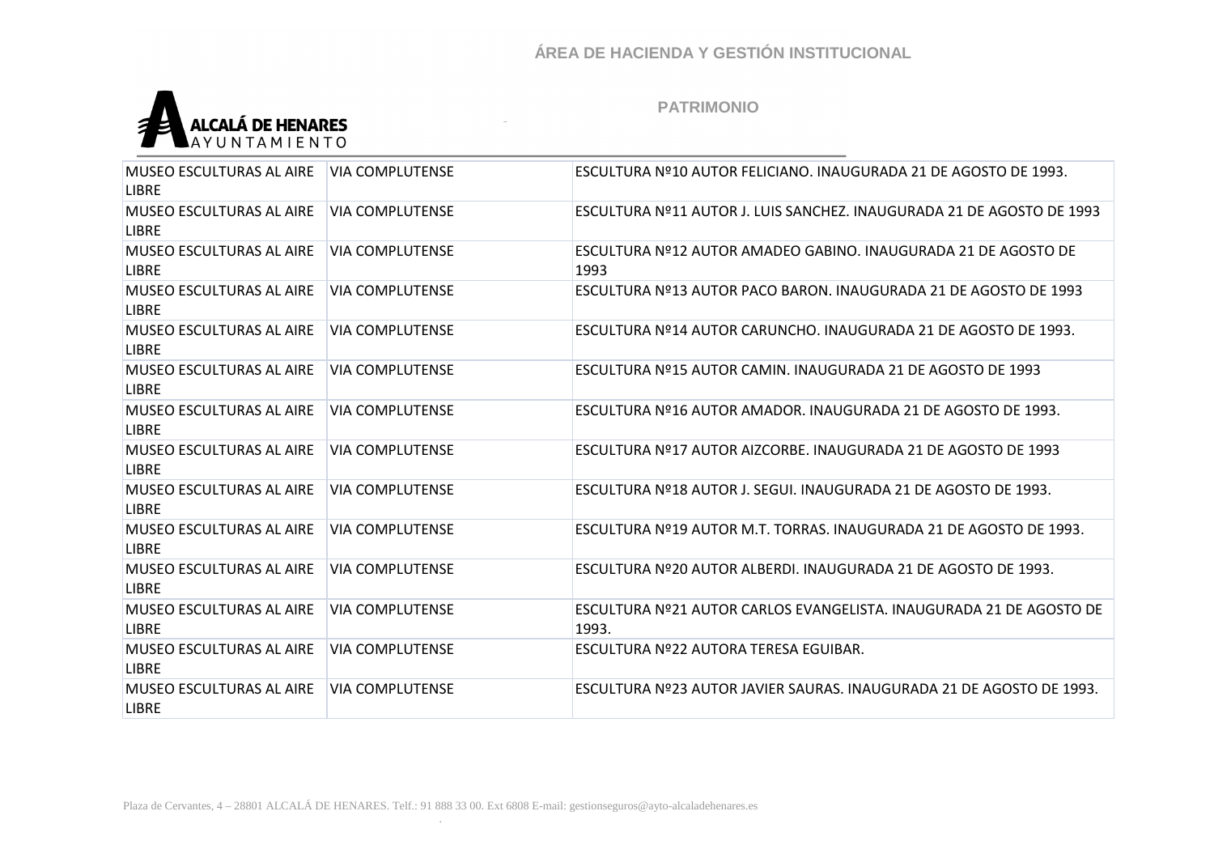

| <b>MUSEO ESCULTURAS AL AIRE</b><br><b>LIBRE</b> | <b>VIA COMPLUTENSE</b> | ESCULTURA Nº10 AUTOR FELICIANO. INAUGURADA 21 DE AGOSTO DE 1993.             |
|-------------------------------------------------|------------------------|------------------------------------------------------------------------------|
| <b>MUSEO ESCULTURAS AL AIRE</b><br>LIBRE        | <b>VIA COMPLUTENSE</b> | ESCULTURA Nº11 AUTOR J. LUIS SANCHEZ. INAUGURADA 21 DE AGOSTO DE 1993        |
| <b>MUSEO ESCULTURAS AL AIRE</b><br><b>LIBRE</b> | <b>VIA COMPLUTENSE</b> | ESCULTURA Nº12 AUTOR AMADEO GABINO. INAUGURADA 21 DE AGOSTO DE<br>1993       |
| <b>MUSEO ESCULTURAS AL AIRE</b><br><b>LIBRE</b> | <b>VIA COMPLUTENSE</b> | ESCULTURA Nº13 AUTOR PACO BARON. INAUGURADA 21 DE AGOSTO DE 1993             |
| <b>MUSEO ESCULTURAS AL AIRE</b><br><b>LIBRE</b> | <b>VIA COMPLUTENSE</b> | ESCULTURA Nº14 AUTOR CARUNCHO. INAUGURADA 21 DE AGOSTO DE 1993.              |
| <b>MUSEO ESCULTURAS AL AIRE</b><br><b>LIBRE</b> | <b>VIA COMPLUTENSE</b> | ESCULTURA Nº15 AUTOR CAMIN. INAUGURADA 21 DE AGOSTO DE 1993                  |
| <b>MUSEO ESCULTURAS AL AIRE</b><br><b>LIBRE</b> | <b>VIA COMPLUTENSE</b> | ESCULTURA Nº16 AUTOR AMADOR. INAUGURADA 21 DE AGOSTO DE 1993.                |
| <b>MUSEO ESCULTURAS AL AIRE</b><br><b>LIBRE</b> | <b>VIA COMPLUTENSE</b> | ESCULTURA Nº17 AUTOR AIZCORBE. INAUGURADA 21 DE AGOSTO DE 1993               |
| <b>MUSEO ESCULTURAS AL AIRE</b><br><b>LIBRE</b> | <b>VIA COMPLUTENSE</b> | ESCULTURA Nº18 AUTOR J. SEGUI. INAUGURADA 21 DE AGOSTO DE 1993.              |
| MUSEO ESCULTURAS AL AIRE<br><b>LIBRE</b>        | <b>VIA COMPLUTENSE</b> | ESCULTURA Nº19 AUTOR M.T. TORRAS. INAUGURADA 21 DE AGOSTO DE 1993.           |
| <b>MUSEO ESCULTURAS AL AIRE</b><br><b>LIBRE</b> | <b>VIA COMPLUTENSE</b> | ESCULTURA Nº20 AUTOR ALBERDI. INAUGURADA 21 DE AGOSTO DE 1993.               |
| <b>MUSEO ESCULTURAS AL AIRE</b><br><b>LIBRE</b> | <b>VIA COMPLUTENSE</b> | ESCULTURA Nº21 AUTOR CARLOS EVANGELISTA. INAUGURADA 21 DE AGOSTO DE<br>1993. |
| MUSEO ESCULTURAS AL AIRE<br><b>LIBRE</b>        | <b>VIA COMPLUTENSE</b> | ESCULTURA Nº22 AUTORA TERESA EGUIBAR.                                        |
| <b>MUSEO ESCULTURAS AL AIRE</b><br><b>LIBRE</b> | <b>VIA COMPLUTENSE</b> | ESCULTURA Nº23 AUTOR JAVIER SAURAS. INAUGURADA 21 DE AGOSTO DE 1993.         |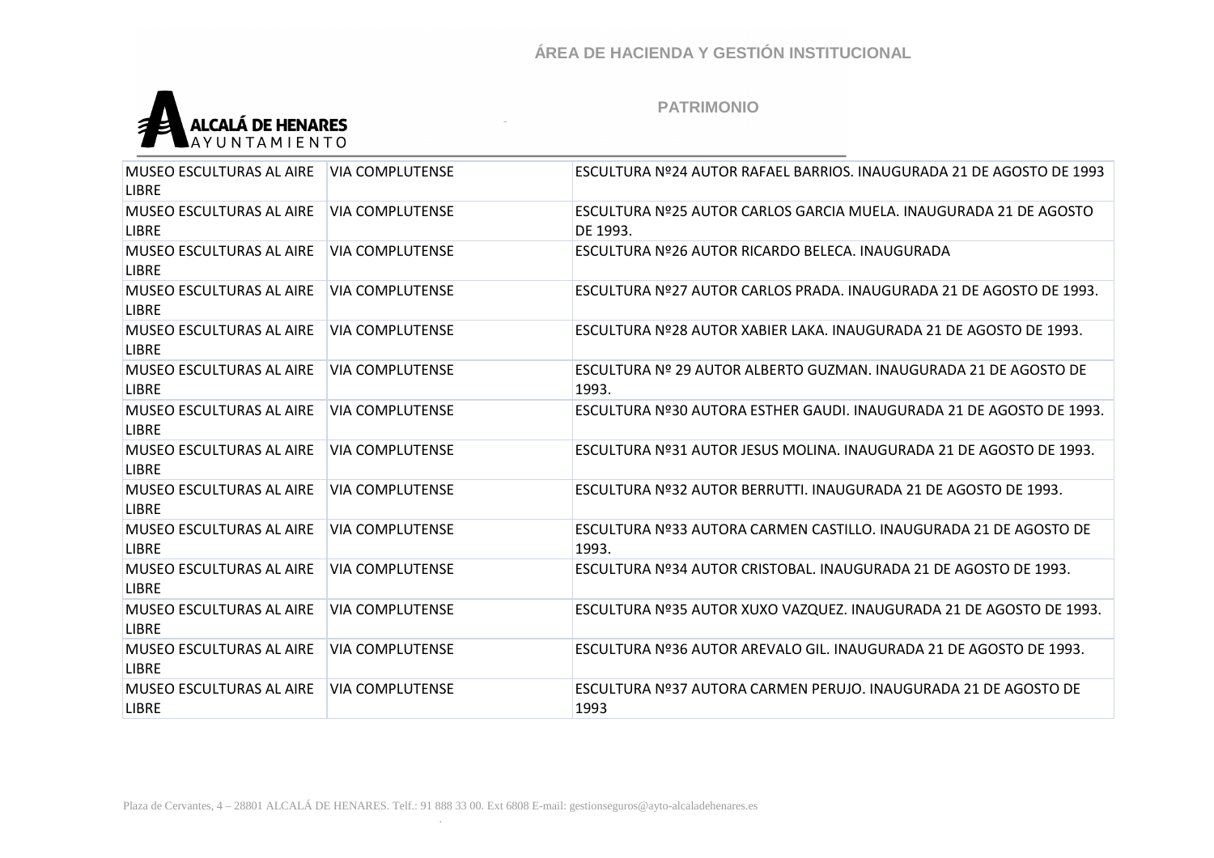

| <b>MUSEO ESCULTURAS AL AIRE</b><br><b>LIBRE</b> | <b>VIA COMPLUTENSE</b> | ESCULTURA Nº24 AUTOR RAFAEL BARRIOS. INAUGURADA 21 DE AGOSTO DE 1993          |
|-------------------------------------------------|------------------------|-------------------------------------------------------------------------------|
| <b>MUSEO ESCULTURAS AL AIRE</b><br><b>LIBRE</b> | <b>VIA COMPLUTENSE</b> | ESCULTURA Nº25 AUTOR CARLOS GARCIA MUELA. INAUGURADA 21 DE AGOSTO<br>DF 1993. |
| <b>MUSEO ESCULTURAS AL AIRE</b><br><b>LIBRE</b> | VIA COMPLUTENSE        | ESCULTURA Nº26 AUTOR RICARDO BELECA. INAUGURADA                               |
| <b>MUSEO ESCULTURAS AL AIRE</b><br><b>LIBRE</b> | <b>VIA COMPLUTENSE</b> | ESCULTURA Nº27 AUTOR CARLOS PRADA. INAUGURADA 21 DE AGOSTO DE 1993.           |
| <b>MUSEO ESCULTURAS AL AIRE</b><br><b>LIBRE</b> | VIA COMPLUTENSE        | ESCULTURA Nº28 AUTOR XABIER LAKA. INAUGURADA 21 DE AGOSTO DE 1993.            |
| <b>MUSEO ESCULTURAS AL AIRE</b><br><b>LIBRE</b> | <b>VIA COMPLUTENSE</b> | ESCULTURA Nº 29 AUTOR ALBERTO GUZMAN. INAUGURADA 21 DE AGOSTO DE<br>1993.     |
| <b>MUSEO ESCULTURAS AL AIRE</b><br><b>LIBRE</b> | <b>VIA COMPLUTENSE</b> | ESCULTURA Nº30 AUTORA ESTHER GAUDI. INAUGURADA 21 DE AGOSTO DE 1993.          |
| MUSEO ESCULTURAS AL AIRE<br><b>LIBRE</b>        | <b>VIA COMPLUTENSE</b> | ESCULTURA Nº31 AUTOR JESUS MOLINA. INAUGURADA 21 DE AGOSTO DE 1993.           |
| <b>MUSEO ESCULTURAS AL AIRE</b><br><b>LIBRE</b> | <b>VIA COMPLUTENSE</b> | ESCULTURA Nº32 AUTOR BERRUTTI. INAUGURADA 21 DE AGOSTO DE 1993.               |
| MUSEO ESCULTURAS AL AIRE<br><b>LIBRE</b>        | VIA COMPLUTENSE        | ESCULTURA Nº33 AUTORA CARMEN CASTILLO. INAUGURADA 21 DE AGOSTO DE<br>1993.    |
| <b>MUSEO ESCULTURAS AL AIRE</b><br><b>LIBRE</b> | <b>VIA COMPLUTENSE</b> | ESCULTURA Nº34 AUTOR CRISTOBAL. INAUGURADA 21 DE AGOSTO DE 1993.              |
| <b>MUSEO ESCULTURAS AL AIRE</b><br><b>LIBRE</b> | <b>VIA COMPLUTENSE</b> | ESCULTURA Nº35 AUTOR XUXO VAZQUEZ. INAUGURADA 21 DE AGOSTO DE 1993.           |
| <b>MUSEO ESCULTURAS AL AIRE</b><br>LIBRE        | <b>VIA COMPLUTENSE</b> | ESCULTURA Nº36 AUTOR AREVALO GIL. INAUGURADA 21 DE AGOSTO DE 1993.            |
| <b>MUSEO ESCULTURAS AL AIRE</b><br><b>LIBRE</b> | <b>VIA COMPLUTENSE</b> | ESCULTURA Nº37 AUTORA CARMEN PERUJO. INAUGURADA 21 DE AGOSTO DE<br>1993       |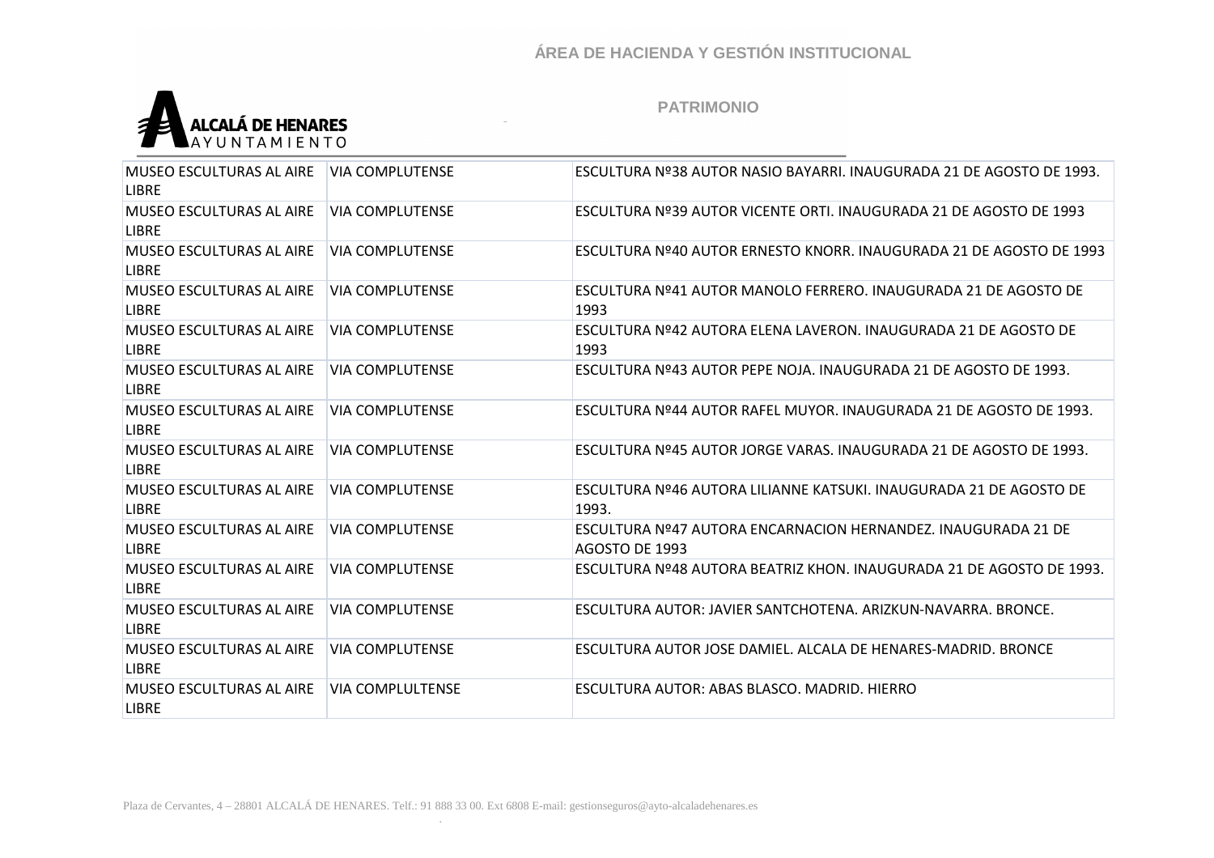

| <b>MUSEO ESCULTURAS AL AIRE</b><br><b>LIBRE</b> | <b>VIA COMPLUTENSE</b>  | ESCULTURA Nº38 AUTOR NASIO BAYARRI. INAUGURADA 21 DE AGOSTO DE 1993.            |
|-------------------------------------------------|-------------------------|---------------------------------------------------------------------------------|
| <b>MUSEO ESCULTURAS AL AIRE</b><br><b>LIBRE</b> | <b>VIA COMPLUTENSE</b>  | ESCULTURA Nº39 AUTOR VICENTE ORTI. INAUGURADA 21 DE AGOSTO DE 1993              |
| MUSEO ESCULTURAS AL AIRE<br><b>LIBRE</b>        | <b>VIA COMPLUTENSE</b>  | ESCULTURA Nº40 AUTOR ERNESTO KNORR. INAUGURADA 21 DE AGOSTO DE 1993             |
| MUSEO ESCULTURAS AL AIRE<br><b>LIBRE</b>        | <b>VIA COMPLUTENSE</b>  | ESCULTURA Nº41 AUTOR MANOLO FERRERO. INAUGURADA 21 DE AGOSTO DE<br>1993         |
| <b>MUSEO ESCULTURAS AL AIRE</b><br><b>LIBRE</b> | <b>VIA COMPLUTENSE</b>  | ESCULTURA Nº42 AUTORA ELENA LAVERON. INAUGURADA 21 DE AGOSTO DE<br>1993         |
| <b>MUSEO ESCULTURAS AL AIRE</b><br><b>LIBRE</b> | <b>VIA COMPLUTENSE</b>  | ESCULTURA Nº43 AUTOR PEPE NOJA. INAUGURADA 21 DE AGOSTO DE 1993.                |
| <b>MUSEO ESCULTURAS AL AIRE</b><br><b>LIBRE</b> | <b>VIA COMPLUTENSE</b>  | ESCULTURA Nº44 AUTOR RAFEL MUYOR, INAUGURADA 21 DE AGOSTO DE 1993.              |
| MUSEO ESCULTURAS AL AIRE<br><b>LIBRE</b>        | <b>VIA COMPLUTENSE</b>  | ESCULTURA Nº45 AUTOR JORGE VARAS. INAUGURADA 21 DE AGOSTO DE 1993.              |
| <b>MUSEO ESCULTURAS AL AIRE</b><br><b>LIBRE</b> | <b>VIA COMPLUTENSE</b>  | ESCULTURA Nº46 AUTORA LILIANNE KATSUKI. INAUGURADA 21 DE AGOSTO DE<br>1993.     |
| <b>MUSEO ESCULTURAS AL AIRE</b><br><b>LIBRE</b> | <b>VIA COMPLUTENSE</b>  | ESCULTURA Nº47 AUTORA ENCARNACION HERNANDEZ. INAUGURADA 21 DE<br>AGOSTO DE 1993 |
| <b>MUSEO ESCULTURAS AL AIRE</b><br><b>LIBRE</b> | <b>VIA COMPLUTENSE</b>  | ESCULTURA Nº48 AUTORA BEATRIZ KHON. INAUGURADA 21 DE AGOSTO DE 1993.            |
| <b>MUSEO ESCULTURAS AL AIRE</b><br><b>LIBRE</b> | <b>VIA COMPLUTENSE</b>  | ESCULTURA AUTOR: JAVIER SANTCHOTENA, ARIZKUN-NAVARRA, BRONCE,                   |
| <b>MUSEO ESCULTURAS AL AIRE</b><br><b>LIBRE</b> | <b>VIA COMPLUTENSE</b>  | ESCULTURA AUTOR JOSE DAMIEL. ALCALA DE HENARES-MADRID. BRONCE                   |
| <b>MUSEO ESCULTURAS AL AIRE</b><br><b>LIBRE</b> | <b>VIA COMPLULTENSE</b> | ESCULTURA AUTOR: ABAS BLASCO, MADRID, HIERRO                                    |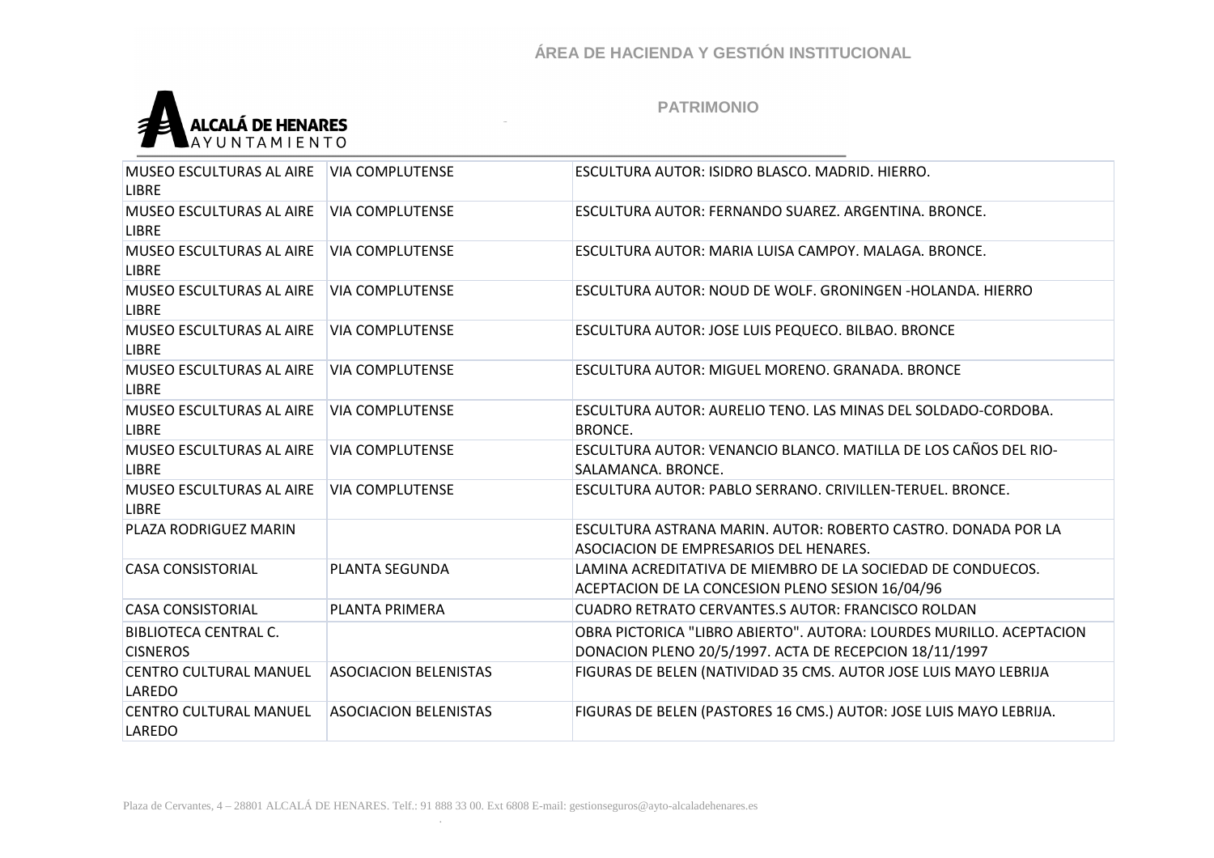

| MUSEO ESCULTURAS AL AIRE<br><b>LIBRE</b>        | <b>VIA COMPLUTENSE</b>       | ESCULTURA AUTOR: ISIDRO BLASCO, MADRID, HIERRO,                                                                               |
|-------------------------------------------------|------------------------------|-------------------------------------------------------------------------------------------------------------------------------|
| MUSEO ESCULTURAS AL AIRE<br><b>LIBRE</b>        | <b>VIA COMPLUTENSE</b>       | ESCULTURA AUTOR: FERNANDO SUAREZ. ARGENTINA. BRONCE.                                                                          |
| MUSEO ESCULTURAS AL AIRE<br><b>LIBRE</b>        | <b>VIA COMPLUTENSE</b>       | ESCULTURA AUTOR: MARIA LUISA CAMPOY, MALAGA, BRONCE,                                                                          |
| MUSEO ESCULTURAS AL AIRE<br><b>LIBRE</b>        | <b>VIA COMPLUTENSE</b>       | ESCULTURA AUTOR: NOUD DE WOLF. GRONINGEN -HOLANDA. HIERRO                                                                     |
| MUSEO ESCULTURAS AL AIRE<br><b>LIBRE</b>        | <b>VIA COMPLUTENSE</b>       | ESCULTURA AUTOR: JOSE LUIS PEQUECO. BILBAO. BRONCE                                                                            |
| MUSEO ESCULTURAS AL AIRE<br><b>LIBRE</b>        | <b>VIA COMPLUTENSE</b>       | ESCULTURA AUTOR: MIGUEL MORENO. GRANADA. BRONCE                                                                               |
| MUSEO ESCULTURAS AL AIRE<br><b>LIBRE</b>        | <b>VIA COMPLUTENSE</b>       | ESCULTURA AUTOR: AURELIO TENO. LAS MINAS DEL SOLDADO-CORDOBA.<br><b>BRONCE.</b>                                               |
| MUSEO ESCULTURAS AL AIRE<br><b>LIBRE</b>        | <b>VIA COMPLUTENSE</b>       | ESCULTURA AUTOR: VENANCIO BLANCO. MATILLA DE LOS CAÑOS DEL RIO-<br>SALAMANCA, BRONCE.                                         |
| MUSEO ESCULTURAS AL AIRE<br><b>LIBRE</b>        | <b>VIA COMPLUTENSE</b>       | ESCULTURA AUTOR: PABLO SERRANO. CRIVILLEN-TERUEL. BRONCE.                                                                     |
| PLAZA RODRIGUEZ MARIN                           |                              | ESCULTURA ASTRANA MARIN, AUTOR: ROBERTO CASTRO, DONADA POR LA<br>ASOCIACION DE EMPRESARIOS DEL HENARES.                       |
| <b>CASA CONSISTORIAL</b>                        | PLANTA SEGUNDA               | LAMINA ACREDITATIVA DE MIEMBRO DE LA SOCIEDAD DE CONDUECOS.<br>ACEPTACION DE LA CONCESION PLENO SESION 16/04/96               |
| <b>CASA CONSISTORIAL</b>                        | PLANTA PRIMERA               | <b>CUADRO RETRATO CERVANTES.S AUTOR: FRANCISCO ROLDAN</b>                                                                     |
| <b>BIBLIOTECA CENTRAL C.</b><br><b>CISNEROS</b> |                              | OBRA PICTORICA "LIBRO ABIERTO". AUTORA: LOURDES MURILLO. ACEPTACION<br>DONACION PLENO 20/5/1997. ACTA DE RECEPCION 18/11/1997 |
| <b>CENTRO CULTURAL MANUEL</b><br>LAREDO         | <b>ASOCIACION BELENISTAS</b> | FIGURAS DE BELEN (NATIVIDAD 35 CMS. AUTOR JOSE LUIS MAYO LEBRIJA                                                              |
| CENTRO CULTURAL MANUEL<br>LAREDO                | <b>ASOCIACION BELENISTAS</b> | FIGURAS DE BELEN (PASTORES 16 CMS.) AUTOR: JOSE LUIS MAYO LEBRIJA.                                                            |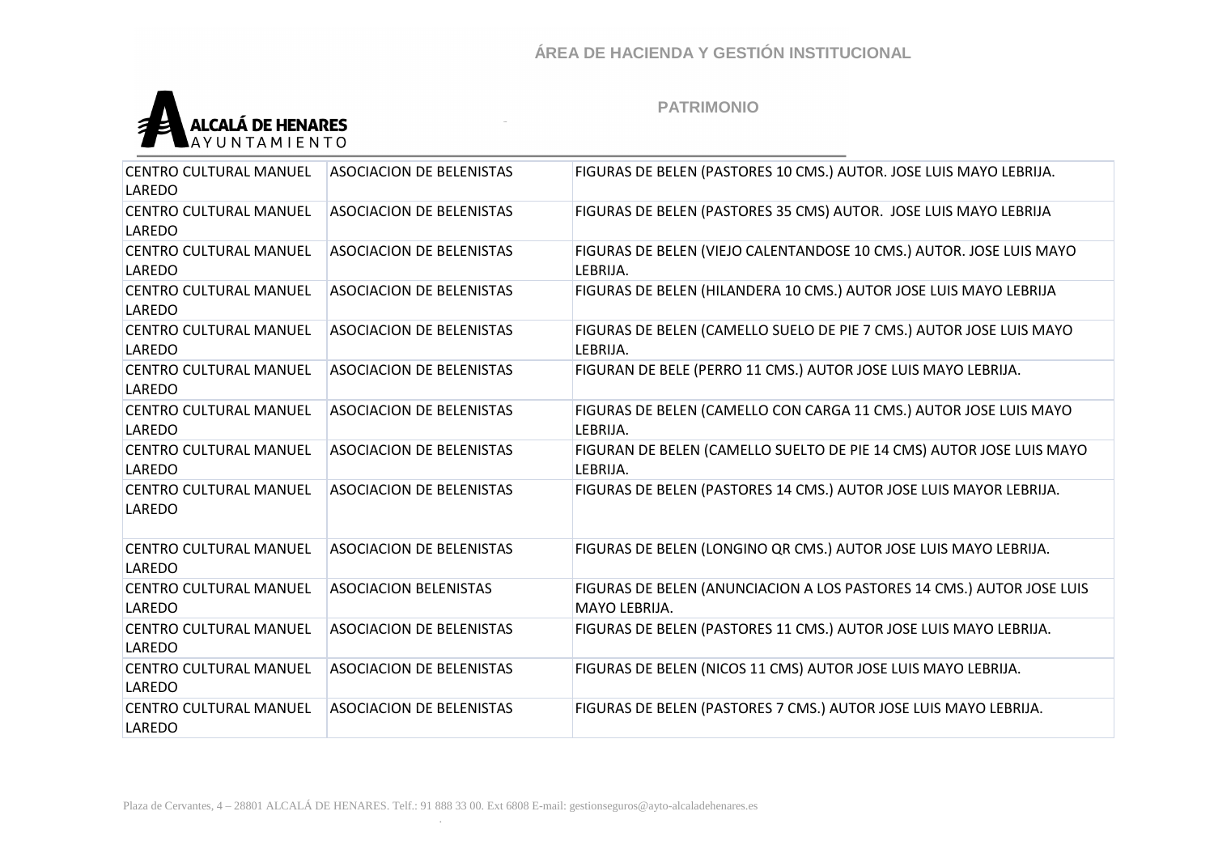

| <b>CENTRO CULTURAL MANUEL</b><br>LAREDO | <b>ASOCIACION DE BELENISTAS</b> | FIGURAS DE BELEN (PASTORES 10 CMS.) AUTOR. JOSE LUIS MAYO LEBRIJA.                     |
|-----------------------------------------|---------------------------------|----------------------------------------------------------------------------------------|
| <b>CENTRO CULTURAL MANUEL</b><br>LAREDO | <b>ASOCIACION DE BELENISTAS</b> | FIGURAS DE BELEN (PASTORES 35 CMS) AUTOR. JOSE LUIS MAYO LEBRIJA                       |
| CENTRO CULTURAL MANUEL<br>LAREDO        | <b>ASOCIACION DE BELENISTAS</b> | FIGURAS DE BELEN (VIEJO CALENTANDOSE 10 CMS.) AUTOR. JOSE LUIS MAYO<br>LEBRIJA.        |
| <b>CENTRO CULTURAL MANUEL</b><br>LAREDO | <b>ASOCIACION DE BELENISTAS</b> | FIGURAS DE BELEN (HILANDERA 10 CMS.) AUTOR JOSE LUIS MAYO LEBRIJA                      |
| <b>CENTRO CULTURAL MANUEL</b><br>LAREDO | <b>ASOCIACION DE BELENISTAS</b> | FIGURAS DE BELEN (CAMELLO SUELO DE PIE 7 CMS.) AUTOR JOSE LUIS MAYO<br>LEBRIJA.        |
| CENTRO CULTURAL MANUEL<br>LAREDO        | <b>ASOCIACION DE BELENISTAS</b> | FIGURAN DE BELE (PERRO 11 CMS.) AUTOR JOSE LUIS MAYO LEBRIJA.                          |
| <b>CENTRO CULTURAL MANUEL</b><br>LAREDO | <b>ASOCIACION DE BELENISTAS</b> | FIGURAS DE BELEN (CAMELLO CON CARGA 11 CMS.) AUTOR JOSE LUIS MAYO<br>LEBRIJA.          |
| <b>CENTRO CULTURAL MANUEL</b><br>LAREDO | <b>ASOCIACION DE BELENISTAS</b> | FIGURAN DE BELEN (CAMELLO SUELTO DE PIE 14 CMS) AUTOR JOSE LUIS MAYO<br>LEBRIJA.       |
| CENTRO CULTURAL MANUEL<br>LAREDO        | <b>ASOCIACION DE BELENISTAS</b> | FIGURAS DE BELEN (PASTORES 14 CMS.) AUTOR JOSE LUIS MAYOR LEBRIJA.                     |
| <b>CENTRO CULTURAL MANUEL</b><br>LAREDO | <b>ASOCIACION DE BELENISTAS</b> | FIGURAS DE BELEN (LONGINO QR CMS.) AUTOR JOSE LUIS MAYO LEBRIJA.                       |
| CENTRO CULTURAL MANUEL<br>LAREDO        | <b>ASOCIACION BELENISTAS</b>    | FIGURAS DE BELEN (ANUNCIACION A LOS PASTORES 14 CMS.) AUTOR JOSE LUIS<br>MAYO LEBRIJA. |
| <b>CENTRO CULTURAL MANUEL</b><br>LAREDO | <b>ASOCIACION DE BELENISTAS</b> | FIGURAS DE BELEN (PASTORES 11 CMS.) AUTOR JOSE LUIS MAYO LEBRIJA.                      |
| CENTRO CULTURAL MANUEL<br>LAREDO        | <b>ASOCIACION DE BELENISTAS</b> | FIGURAS DE BELEN (NICOS 11 CMS) AUTOR JOSE LUIS MAYO LEBRIJA.                          |
| <b>CENTRO CULTURAL MANUEL</b><br>LAREDO | <b>ASOCIACION DE BELENISTAS</b> | FIGURAS DE BELEN (PASTORES 7 CMS.) AUTOR JOSE LUIS MAYO LEBRIJA.                       |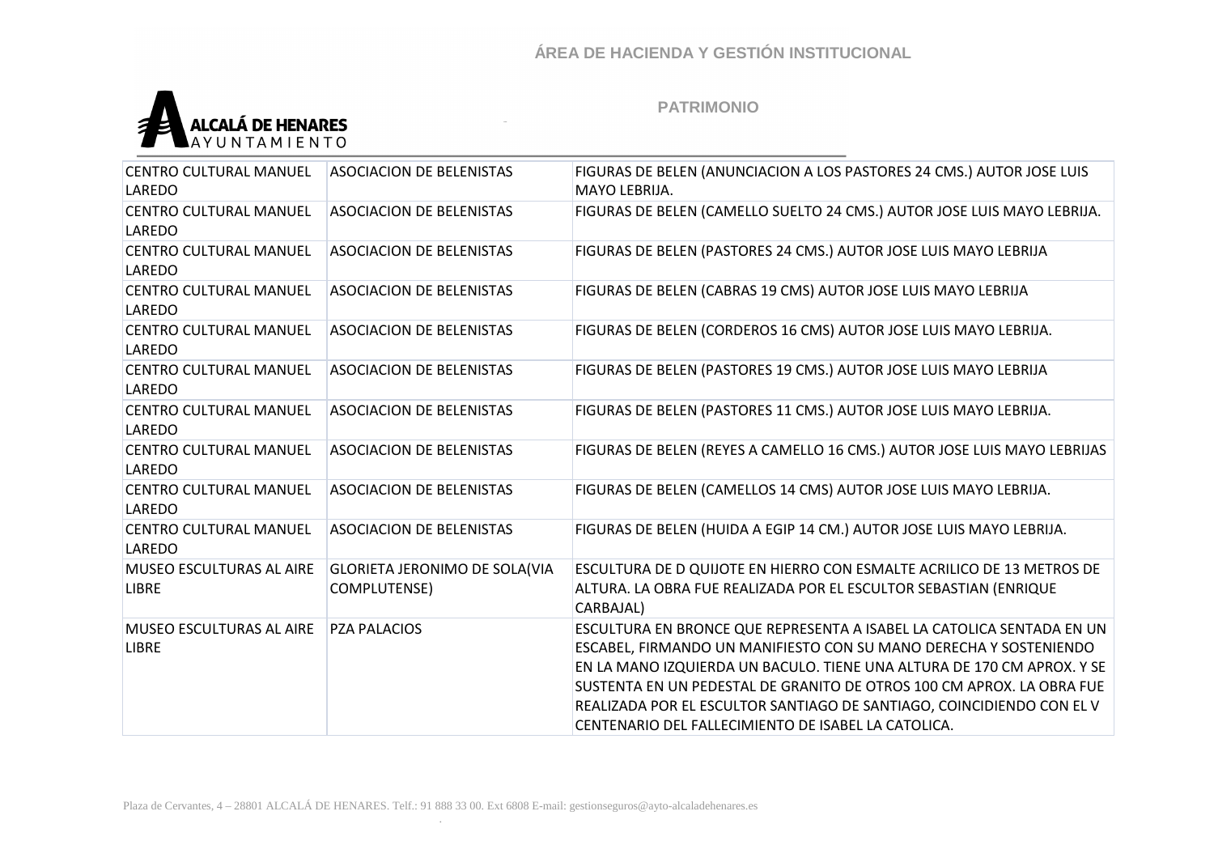

| <b>CENTRO CULTURAL MANUEL</b><br>LAREDO         | <b>ASOCIACION DE BELENISTAS</b>                      | FIGURAS DE BELEN (ANUNCIACION A LOS PASTORES 24 CMS.) AUTOR JOSE LUIS<br>MAYO LEBRIJA.                                                                                                                                                                                                                                                                                                                                        |
|-------------------------------------------------|------------------------------------------------------|-------------------------------------------------------------------------------------------------------------------------------------------------------------------------------------------------------------------------------------------------------------------------------------------------------------------------------------------------------------------------------------------------------------------------------|
| <b>CENTRO CULTURAL MANUEL</b><br>LAREDO         | <b>ASOCIACION DE BELENISTAS</b>                      | FIGURAS DE BELEN (CAMELLO SUELTO 24 CMS.) AUTOR JOSE LUIS MAYO LEBRIJA.                                                                                                                                                                                                                                                                                                                                                       |
| CENTRO CULTURAL MANUEL<br>LAREDO                | <b>ASOCIACION DE BELENISTAS</b>                      | FIGURAS DE BELEN (PASTORES 24 CMS.) AUTOR JOSE LUIS MAYO LEBRIJA                                                                                                                                                                                                                                                                                                                                                              |
| CENTRO CULTURAL MANUEL<br>LAREDO                | <b>ASOCIACION DE BELENISTAS</b>                      | FIGURAS DE BELEN (CABRAS 19 CMS) AUTOR JOSE LUIS MAYO LEBRIJA                                                                                                                                                                                                                                                                                                                                                                 |
| CENTRO CULTURAL MANUEL<br>LAREDO                | <b>ASOCIACION DE BELENISTAS</b>                      | FIGURAS DE BELEN (CORDEROS 16 CMS) AUTOR JOSE LUIS MAYO LEBRIJA.                                                                                                                                                                                                                                                                                                                                                              |
| <b>CENTRO CULTURAL MANUEL</b><br>LAREDO         | <b>ASOCIACION DE BELENISTAS</b>                      | FIGURAS DE BELEN (PASTORES 19 CMS.) AUTOR JOSE LUIS MAYO LEBRIJA                                                                                                                                                                                                                                                                                                                                                              |
| <b>CENTRO CULTURAL MANUEL</b><br>LAREDO         | <b>ASOCIACION DE BELENISTAS</b>                      | FIGURAS DE BELEN (PASTORES 11 CMS.) AUTOR JOSE LUIS MAYO LEBRIJA.                                                                                                                                                                                                                                                                                                                                                             |
| <b>CENTRO CULTURAL MANUEL</b><br>LAREDO         | <b>ASOCIACION DE BELENISTAS</b>                      | FIGURAS DE BELEN (REYES A CAMELLO 16 CMS.) AUTOR JOSE LUIS MAYO LEBRIJAS                                                                                                                                                                                                                                                                                                                                                      |
| <b>CENTRO CULTURAL MANUEL</b><br>LAREDO         | <b>ASOCIACION DE BELENISTAS</b>                      | FIGURAS DE BELEN (CAMELLOS 14 CMS) AUTOR JOSE LUIS MAYO LEBRIJA.                                                                                                                                                                                                                                                                                                                                                              |
| <b>CENTRO CULTURAL MANUEL</b><br>LAREDO         | <b>ASOCIACION DE BELENISTAS</b>                      | FIGURAS DE BELEN (HUIDA A EGIP 14 CM.) AUTOR JOSE LUIS MAYO LEBRIJA.                                                                                                                                                                                                                                                                                                                                                          |
| <b>MUSEO ESCULTURAS AL AIRE</b><br><b>LIBRE</b> | <b>GLORIETA JERONIMO DE SOLA(VIA</b><br>COMPLUTENSE) | ESCULTURA DE D QUIJOTE EN HIERRO CON ESMALTE ACRILICO DE 13 METROS DE<br>ALTURA. LA OBRA FUE REALIZADA POR EL ESCULTOR SEBASTIAN (ENRIQUE<br>CARBAJAL)                                                                                                                                                                                                                                                                        |
| <b>MUSEO ESCULTURAS AL AIRE</b><br><b>LIBRE</b> | <b>PZA PALACIOS</b>                                  | ESCULTURA EN BRONCE QUE REPRESENTA A ISABEL LA CATOLICA SENTADA EN UN<br>ESCABEL, FIRMANDO UN MANIFIESTO CON SU MANO DERECHA Y SOSTENIENDO<br>EN LA MANO IZQUIERDA UN BACULO. TIENE UNA ALTURA DE 170 CM APROX. Y SE<br>SUSTENTA EN UN PEDESTAL DE GRANITO DE OTROS 100 CM APROX. LA OBRA FUE<br>REALIZADA POR EL ESCULTOR SANTIAGO DE SANTIAGO, COINCIDIENDO CON EL V<br>CENTENARIO DEL FALLECIMIENTO DE ISABEL LA CATOLICA. |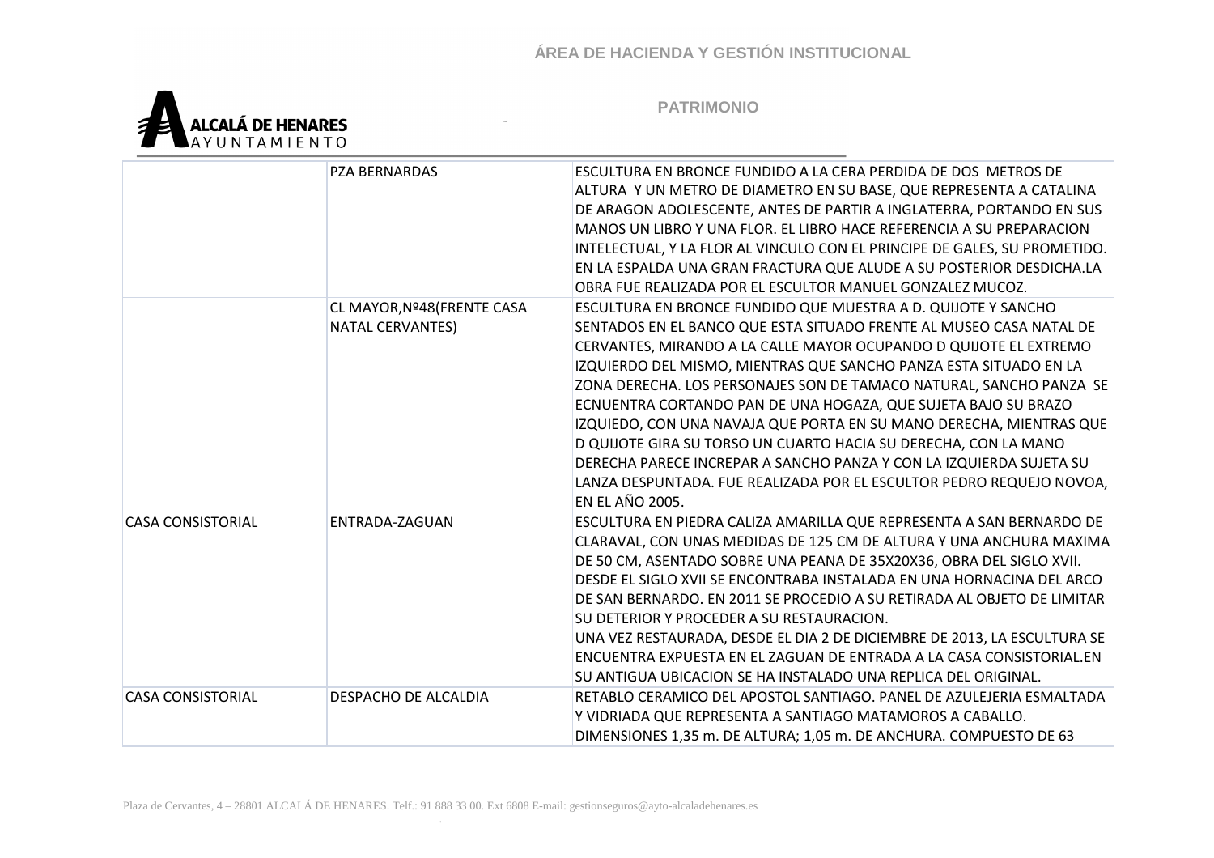

|                          | <b>PZA BERNARDAS</b>        | ESCULTURA EN BRONCE FUNDIDO A LA CERA PERDIDA DE DOS METROS DE            |
|--------------------------|-----------------------------|---------------------------------------------------------------------------|
|                          |                             | ALTURA Y UN METRO DE DIAMETRO EN SU BASE, QUE REPRESENTA A CATALINA       |
|                          |                             | DE ARAGON ADOLESCENTE, ANTES DE PARTIR A INGLATERRA, PORTANDO EN SUS      |
|                          |                             | MANOS UN LIBRO Y UNA FLOR. EL LIBRO HACE REFERENCIA A SU PREPARACION      |
|                          |                             | INTELECTUAL, Y LA FLOR AL VINCULO CON EL PRINCIPE DE GALES, SU PROMETIDO. |
|                          |                             | EN LA ESPALDA UNA GRAN FRACTURA QUE ALUDE A SU POSTERIOR DESDICHA.LA      |
|                          |                             | OBRA FUE REALIZADA POR EL ESCULTOR MANUEL GONZALEZ MUCOZ.                 |
|                          | CL MAYOR, Nº48 (FRENTE CASA | ESCULTURA EN BRONCE FUNDIDO QUE MUESTRA A D. QUIJOTE Y SANCHO             |
|                          | <b>NATAL CERVANTES)</b>     | SENTADOS EN EL BANCO QUE ESTA SITUADO FRENTE AL MUSEO CASA NATAL DE       |
|                          |                             | CERVANTES, MIRANDO A LA CALLE MAYOR OCUPANDO D QUIJOTE EL EXTREMO         |
|                          |                             | IZQUIERDO DEL MISMO, MIENTRAS QUE SANCHO PANZA ESTA SITUADO EN LA         |
|                          |                             | ZONA DERECHA. LOS PERSONAJES SON DE TAMACO NATURAL, SANCHO PANZA SE       |
|                          |                             | ECNUENTRA CORTANDO PAN DE UNA HOGAZA, QUE SUJETA BAJO SU BRAZO            |
|                          |                             | IZQUIEDO, CON UNA NAVAJA QUE PORTA EN SU MANO DERECHA, MIENTRAS QUE       |
|                          |                             | D QUIJOTE GIRA SU TORSO UN CUARTO HACIA SU DERECHA, CON LA MANO           |
|                          |                             | DERECHA PARECE INCREPAR A SANCHO PANZA Y CON LA IZQUIERDA SUJETA SU       |
|                          |                             | LANZA DESPUNTADA. FUE REALIZADA POR EL ESCULTOR PEDRO REQUEJO NOVOA,      |
|                          |                             | <b>EN EL AÑO 2005.</b>                                                    |
| <b>CASA CONSISTORIAL</b> | ENTRADA-ZAGUAN              | ESCULTURA EN PIEDRA CALIZA AMARILLA QUE REPRESENTA A SAN BERNARDO DE      |
|                          |                             | CLARAVAL, CON UNAS MEDIDAS DE 125 CM DE ALTURA Y UNA ANCHURA MAXIMA       |
|                          |                             | DE 50 CM, ASENTADO SOBRE UNA PEANA DE 35X20X36, OBRA DEL SIGLO XVII.      |
|                          |                             | DESDE EL SIGLO XVII SE ENCONTRABA INSTALADA EN UNA HORNACINA DEL ARCO     |
|                          |                             | DE SAN BERNARDO. EN 2011 SE PROCEDIO A SU RETIRADA AL OBJETO DE LIMITAR   |
|                          |                             | SU DETERIOR Y PROCEDER A SU RESTAURACION.                                 |
|                          |                             | UNA VEZ RESTAURADA, DESDE EL DIA 2 DE DICIEMBRE DE 2013, LA ESCULTURA SE  |
|                          |                             | ENCUENTRA EXPUESTA EN EL ZAGUAN DE ENTRADA A LA CASA CONSISTORIAL.EN      |
|                          |                             | SU ANTIGUA UBICACION SE HA INSTALADO UNA REPLICA DEL ORIGINAL.            |
| <b>CASA CONSISTORIAL</b> | DESPACHO DE ALCALDIA        | RETABLO CERAMICO DEL APOSTOL SANTIAGO. PANEL DE AZULEJERIA ESMALTADA      |
|                          |                             | Y VIDRIADA QUE REPRESENTA A SANTIAGO MATAMOROS A CABALLO.                 |
|                          |                             | DIMENSIONES 1,35 m. DE ALTURA; 1,05 m. DE ANCHURA. COMPUESTO DE 63        |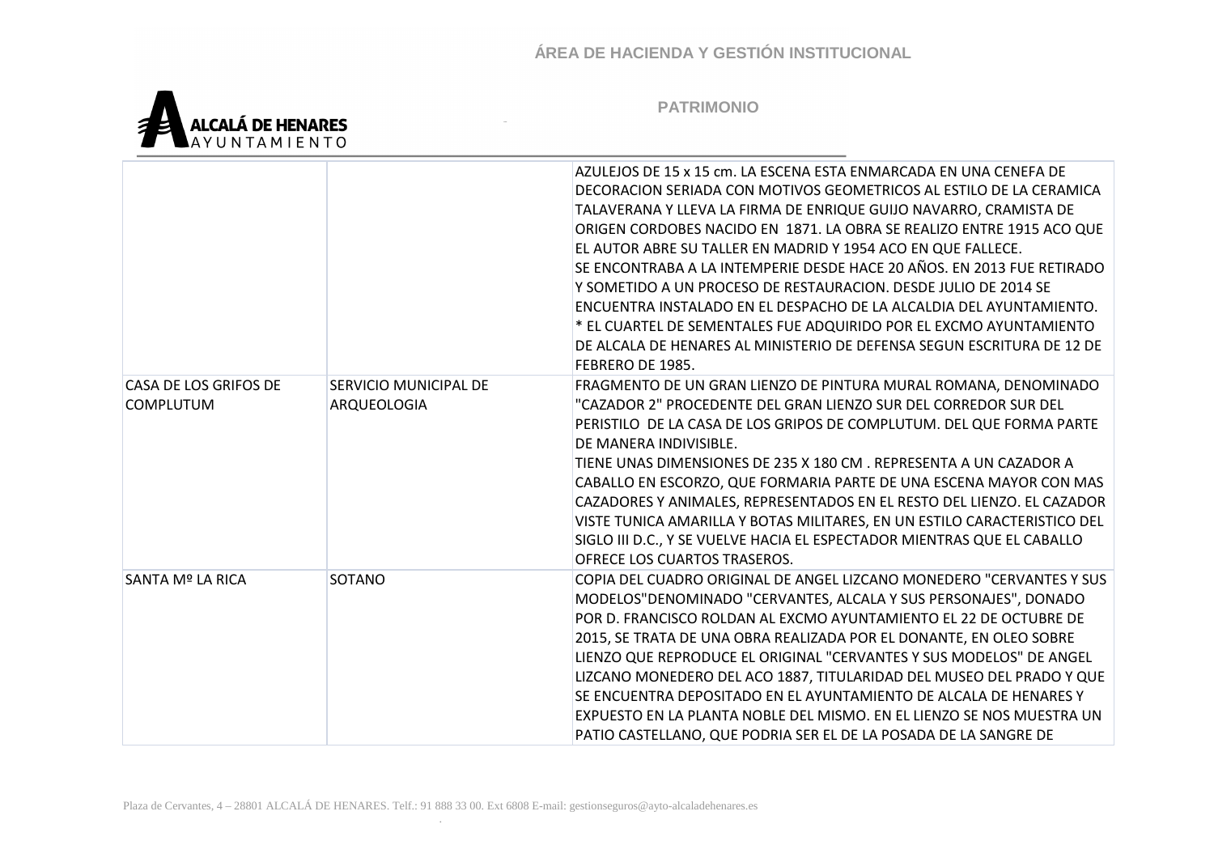

|                                           |                                      | AZULEJOS DE 15 x 15 cm. LA ESCENA ESTA ENMARCADA EN UNA CENEFA DE<br>DECORACION SERIADA CON MOTIVOS GEOMETRICOS AL ESTILO DE LA CERAMICA<br>TALAVERANA Y LLEVA LA FIRMA DE ENRIQUE GUIJO NAVARRO, CRAMISTA DE<br>ORIGEN CORDOBES NACIDO EN 1871. LA OBRA SE REALIZO ENTRE 1915 ACO QUE<br>EL AUTOR ABRE SU TALLER EN MADRID Y 1954 ACO EN QUE FALLECE.<br>SE ENCONTRABA A LA INTEMPERIE DESDE HACE 20 AÑOS. EN 2013 FUE RETIRADO<br>Y SOMETIDO A UN PROCESO DE RESTAURACION. DESDE JULIO DE 2014 SE<br>ENCUENTRA INSTALADO EN EL DESPACHO DE LA ALCALDIA DEL AYUNTAMIENTO.<br>* EL CUARTEL DE SEMENTALES FUE ADQUIRIDO POR EL EXCMO AYUNTAMIENTO<br>DE ALCALA DE HENARES AL MINISTERIO DE DEFENSA SEGUN ESCRITURA DE 12 DE<br><b>FEBRERO DE 1985.</b> |
|-------------------------------------------|--------------------------------------|-------------------------------------------------------------------------------------------------------------------------------------------------------------------------------------------------------------------------------------------------------------------------------------------------------------------------------------------------------------------------------------------------------------------------------------------------------------------------------------------------------------------------------------------------------------------------------------------------------------------------------------------------------------------------------------------------------------------------------------------------------|
| CASA DE LOS GRIFOS DE<br><b>COMPLUTUM</b> | SERVICIO MUNICIPAL DE<br>ARQUEOLOGIA | FRAGMENTO DE UN GRAN LIENZO DE PINTURA MURAL ROMANA, DENOMINADO<br>"CAZADOR 2" PROCEDENTE DEL GRAN LIENZO SUR DEL CORREDOR SUR DEL<br>PERISTILO DE LA CASA DE LOS GRIPOS DE COMPLUTUM. DEL QUE FORMA PARTE<br>DE MANERA INDIVISIBLE.<br>TIENE UNAS DIMENSIONES DE 235 X 180 CM . REPRESENTA A UN CAZADOR A<br>CABALLO EN ESCORZO, QUE FORMARIA PARTE DE UNA ESCENA MAYOR CON MAS<br>CAZADORES Y ANIMALES, REPRESENTADOS EN EL RESTO DEL LIENZO. EL CAZADOR<br>VISTE TUNICA AMARILLA Y BOTAS MILITARES, EN UN ESTILO CARACTERISTICO DEL<br>SIGLO III D.C., Y SE VUELVE HACIA EL ESPECTADOR MIENTRAS QUE EL CABALLO<br>OFRECE LOS CUARTOS TRASEROS.                                                                                                     |
| SANTA Mº LA RICA                          | SOTANO                               | COPIA DEL CUADRO ORIGINAL DE ANGEL LIZCANO MONEDERO "CERVANTES Y SUS<br>MODELOS"DENOMINADO "CERVANTES, ALCALA Y SUS PERSONAJES", DONADO<br>POR D. FRANCISCO ROLDAN AL EXCMO AYUNTAMIENTO EL 22 DE OCTUBRE DE<br>2015, SE TRATA DE UNA OBRA REALIZADA POR EL DONANTE, EN OLEO SOBRE<br>LIENZO QUE REPRODUCE EL ORIGINAL "CERVANTES Y SUS MODELOS" DE ANGEL<br>LIZCANO MONEDERO DEL ACO 1887, TITULARIDAD DEL MUSEO DEL PRADO Y QUE<br>SE ENCUENTRA DEPOSITADO EN EL AYUNTAMIENTO DE ALCALA DE HENARES Y<br>EXPUESTO EN LA PLANTA NOBLE DEL MISMO. EN EL LIENZO SE NOS MUESTRA UN<br>PATIO CASTELLANO, QUE PODRIA SER EL DE LA POSADA DE LA SANGRE DE                                                                                                   |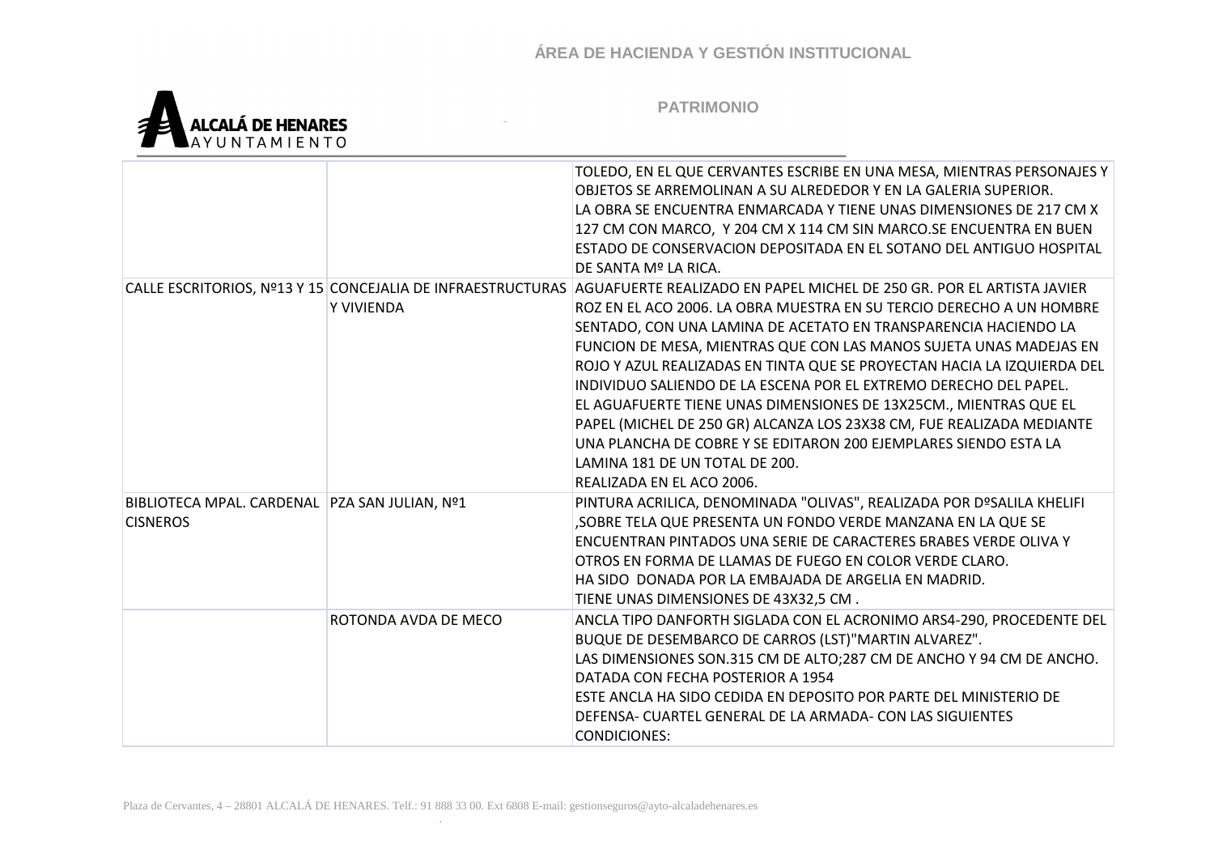

|                                                 |                      | TOLEDO, EN EL QUE CERVANTES ESCRIBE EN UNA MESA, MIENTRAS PERSONAJES Y                                                            |
|-------------------------------------------------|----------------------|-----------------------------------------------------------------------------------------------------------------------------------|
|                                                 |                      | OBJETOS SE ARREMOLINAN A SU ALREDEDOR Y EN LA GALERIA SUPERIOR.                                                                   |
|                                                 |                      | LA OBRA SE ENCUENTRA ENMARCADA Y TIENE UNAS DIMENSIONES DE 217 CM X                                                               |
|                                                 |                      | 127 CM CON MARCO, Y 204 CM X 114 CM SIN MARCO. SE ENCUENTRA EN BUEN                                                               |
|                                                 |                      | ESTADO DE CONSERVACION DEPOSITADA EN EL SOTANO DEL ANTIGUO HOSPITAL                                                               |
|                                                 |                      | DE SANTA Mº LA RICA.                                                                                                              |
|                                                 |                      | CALLE ESCRITORIOS, Nº13 Y 15 CONCEJALIA DE INFRAESTRUCTURAS AGUAFUERTE REALIZADO EN PAPEL MICHEL DE 250 GR. POR EL ARTISTA JAVIER |
|                                                 | Y VIVIENDA           | ROZ EN EL ACO 2006. LA OBRA MUESTRA EN SU TERCIO DERECHO A UN HOMBRE                                                              |
|                                                 |                      | SENTADO, CON UNA LAMINA DE ACETATO EN TRANSPARENCIA HACIENDO LA                                                                   |
|                                                 |                      | FUNCION DE MESA, MIENTRAS QUE CON LAS MANOS SUJETA UNAS MADEJAS EN                                                                |
|                                                 |                      | ROJO Y AZUL REALIZADAS EN TINTA QUE SE PROYECTAN HACIA LA IZQUIERDA DEL                                                           |
|                                                 |                      | INDIVIDUO SALIENDO DE LA ESCENA POR EL EXTREMO DERECHO DEL PAPEL.                                                                 |
|                                                 |                      | EL AGUAFUERTE TIENE UNAS DIMENSIONES DE 13X25CM., MIENTRAS QUE EL                                                                 |
|                                                 |                      | PAPEL (MICHEL DE 250 GR) ALCANZA LOS 23X38 CM, FUE REALIZADA MEDIANTE                                                             |
|                                                 |                      | UNA PLANCHA DE COBRE Y SE EDITARON 200 EJEMPLARES SIENDO ESTA LA                                                                  |
|                                                 |                      | LAMINA 181 DE UN TOTAL DE 200.                                                                                                    |
|                                                 |                      | REALIZADA EN EL ACO 2006.                                                                                                         |
| BIBLIOTECA MPAL. CARDENAL   PZA SAN JULIAN, Nº1 |                      | PINTURA ACRILICA, DENOMINADA "OLIVAS", REALIZADA POR DºSALILA KHELIFI                                                             |
| <b>CISNEROS</b>                                 |                      | , SOBRE TELA QUE PRESENTA UN FONDO VERDE MANZANA EN LA QUE SE                                                                     |
|                                                 |                      | ENCUENTRAN PINTADOS UNA SERIE DE CARACTERES BRABES VERDE OLIVA Y                                                                  |
|                                                 |                      | OTROS EN FORMA DE LLAMAS DE FUEGO EN COLOR VERDE CLARO.                                                                           |
|                                                 |                      | HA SIDO DONADA POR LA EMBAJADA DE ARGELIA EN MADRID.                                                                              |
|                                                 |                      | TIENE UNAS DIMENSIONES DE 43X32,5 CM.                                                                                             |
|                                                 | ROTONDA AVDA DE MECO | ANCLA TIPO DANFORTH SIGLADA CON EL ACRONIMO ARS4-290, PROCEDENTE DEL                                                              |
|                                                 |                      | BUQUE DE DESEMBARCO DE CARROS (LST)"MARTIN ALVAREZ".                                                                              |
|                                                 |                      | LAS DIMENSIONES SON.315 CM DE ALTO;287 CM DE ANCHO Y 94 CM DE ANCHO.                                                              |
|                                                 |                      | DATADA CON FECHA POSTERIOR A 1954                                                                                                 |
|                                                 |                      | ESTE ANCLA HA SIDO CEDIDA EN DEPOSITO POR PARTE DEL MINISTERIO DE                                                                 |
|                                                 |                      | DEFENSA- CUARTEL GENERAL DE LA ARMADA- CON LAS SIGUIENTES                                                                         |
|                                                 |                      | <b>CONDICIONES:</b>                                                                                                               |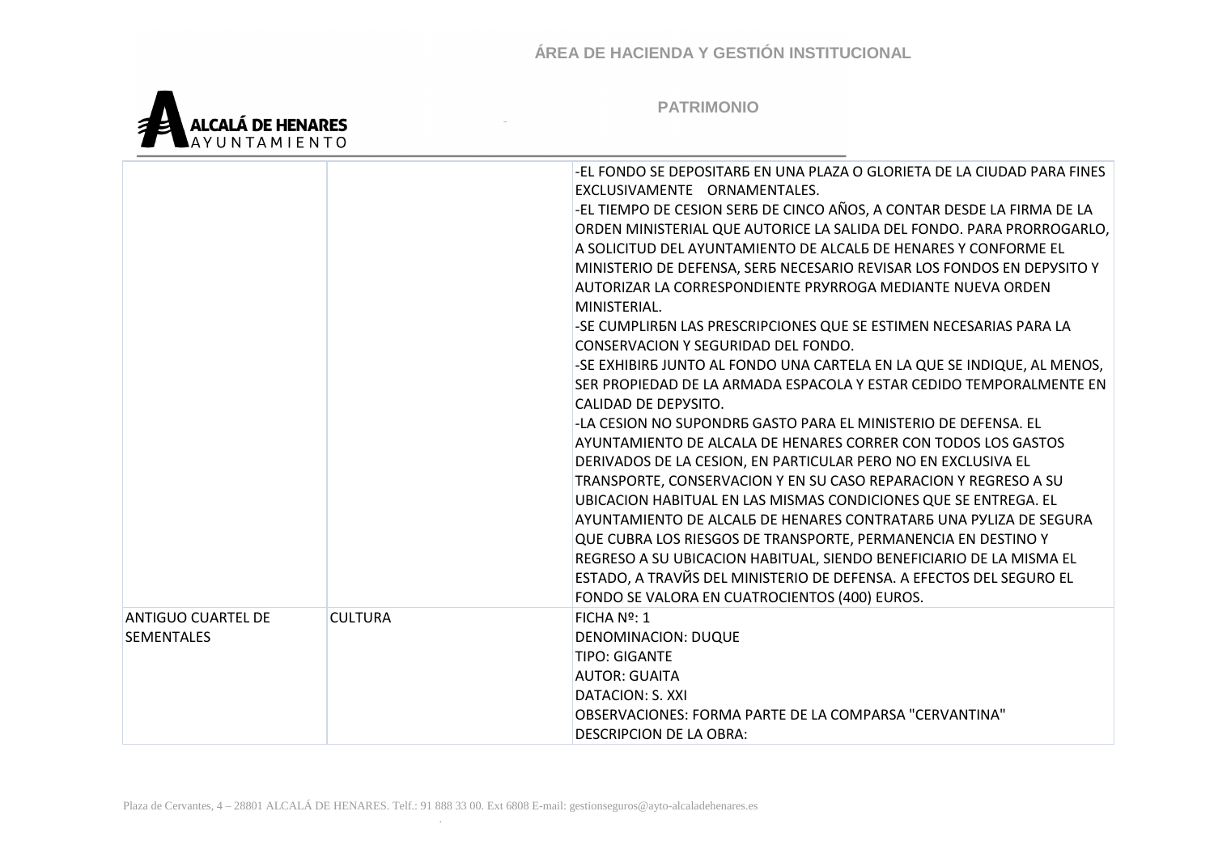

|                           |                | -EL FONDO SE DEPOSITARB EN UNA PLAZA O GLORIETA DE LA CIUDAD PARA FINES |
|---------------------------|----------------|-------------------------------------------------------------------------|
|                           |                | EXCLUSIVAMENTE ORNAMENTALES.                                            |
|                           |                | -EL TIEMPO DE CESION SERB DE CINCO AÑOS, A CONTAR DESDE LA FIRMA DE LA  |
|                           |                | ORDEN MINISTERIAL QUE AUTORICE LA SALIDA DEL FONDO. PARA PRORROGARLO,   |
|                           |                | A SOLICITUD DEL AYUNTAMIENTO DE ALCALB DE HENARES Y CONFORME EL         |
|                           |                | MINISTERIO DE DEFENSA, SERE NECESARIO REVISAR LOS FONDOS EN DEPYSITO Y  |
|                           |                | AUTORIZAR LA CORRESPONDIENTE PRYRROGA MEDIANTE NUEVA ORDEN              |
|                           |                | MINISTERIAL.                                                            |
|                           |                | -SE CUMPLIREN LAS PRESCRIPCIONES QUE SE ESTIMEN NECESARIAS PARA LA      |
|                           |                | CONSERVACION Y SEGURIDAD DEL FONDO.                                     |
|                           |                | -SE EXHIBIRE JUNTO AL FONDO UNA CARTELA EN LA QUE SE INDIQUE, AL MENOS, |
|                           |                | SER PROPIEDAD DE LA ARMADA ESPACOLA Y ESTAR CEDIDO TEMPORALMENTE EN     |
|                           |                | CALIDAD DE DEPYSITO.                                                    |
|                           |                | -LA CESION NO SUPONDRE GASTO PARA EL MINISTERIO DE DEFENSA. EL          |
|                           |                | AYUNTAMIENTO DE ALCALA DE HENARES CORRER CON TODOS LOS GASTOS           |
|                           |                | DERIVADOS DE LA CESION, EN PARTICULAR PERO NO EN EXCLUSIVA EL           |
|                           |                | TRANSPORTE, CONSERVACION Y EN SU CASO REPARACION Y REGRESO A SU         |
|                           |                | UBICACION HABITUAL EN LAS MISMAS CONDICIONES QUE SE ENTREGA. EL         |
|                           |                | AYUNTAMIENTO DE ALCAL5 DE HENARES CONTRATAR5 UNA PYLIZA DE SEGURA       |
|                           |                | QUE CUBRA LOS RIESGOS DE TRANSPORTE, PERMANENCIA EN DESTINO Y           |
|                           |                | REGRESO A SU UBICACION HABITUAL, SIENDO BENEFICIARIO DE LA MISMA EL     |
|                           |                | ESTADO, A TRAVĂS DEL MINISTERIO DE DEFENSA. A EFECTOS DEL SEGURO EL     |
|                           |                | FONDO SE VALORA EN CUATROCIENTOS (400) EUROS.                           |
| <b>ANTIGUO CUARTEL DE</b> | <b>CULTURA</b> | FICHA Nº: 1                                                             |
| <b>SEMENTALES</b>         |                | <b>DENOMINACION: DUQUE</b>                                              |
|                           |                | <b>TIPO: GIGANTE</b>                                                    |
|                           |                | <b>AUTOR: GUAITA</b>                                                    |
|                           |                | DATACION: S. XXI                                                        |
|                           |                | OBSERVACIONES: FORMA PARTE DE LA COMPARSA "CERVANTINA"                  |
|                           |                | <b>DESCRIPCION DE LA OBRA:</b>                                          |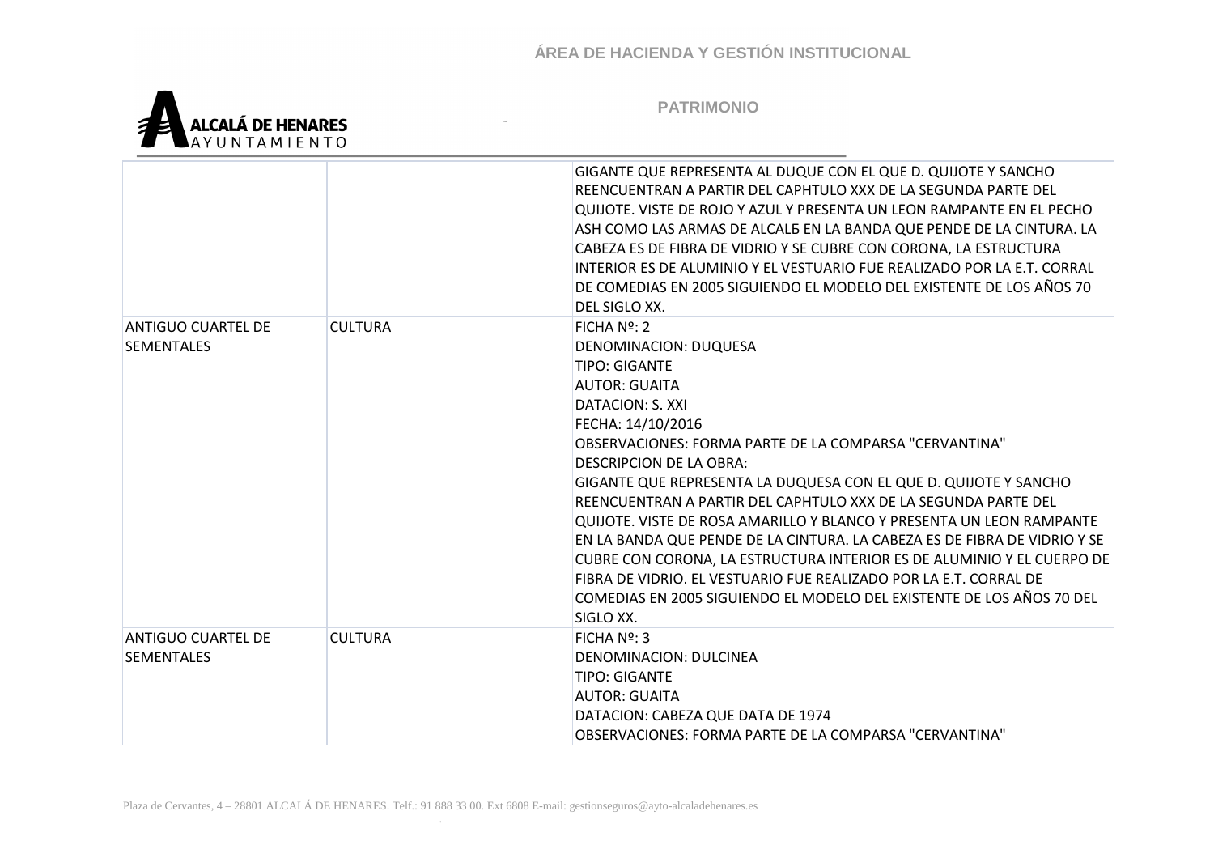

|                                                |                | GIGANTE QUE REPRESENTA AL DUQUE CON EL QUE D. QUIJOTE Y SANCHO<br>REENCUENTRAN A PARTIR DEL CAPHTULO XXX DE LA SEGUNDA PARTE DEL<br>QUIJOTE. VISTE DE ROJO Y AZUL Y PRESENTA UN LEON RAMPANTE EN EL PECHO<br>ASH COMO LAS ARMAS DE ALCALB EN LA BANDA QUE PENDE DE LA CINTURA. LA<br>CABEZA ES DE FIBRA DE VIDRIO Y SE CUBRE CON CORONA, LA ESTRUCTURA<br>INTERIOR ES DE ALUMINIO Y EL VESTUARIO FUE REALIZADO POR LA E.T. CORRAL<br>DE COMEDIAS EN 2005 SIGUIENDO EL MODELO DEL EXISTENTE DE LOS AÑOS 70<br>DEL SIGLO XX.                                                                                                                                                                                                                                |
|------------------------------------------------|----------------|-----------------------------------------------------------------------------------------------------------------------------------------------------------------------------------------------------------------------------------------------------------------------------------------------------------------------------------------------------------------------------------------------------------------------------------------------------------------------------------------------------------------------------------------------------------------------------------------------------------------------------------------------------------------------------------------------------------------------------------------------------------|
| <b>ANTIGUO CUARTEL DE</b><br><b>SEMENTALES</b> | <b>CULTURA</b> | FICHA Nº: 2<br>DENOMINACION: DUQUESA<br><b>TIPO: GIGANTE</b><br><b>AUTOR: GUAITA</b><br><b>DATACION: S. XXI</b><br>FECHA: 14/10/2016<br>OBSERVACIONES: FORMA PARTE DE LA COMPARSA "CERVANTINA"<br>DESCRIPCION DE LA OBRA:<br>GIGANTE QUE REPRESENTA LA DUQUESA CON EL QUE D. QUIJOTE Y SANCHO<br>REENCUENTRAN A PARTIR DEL CAPHTULO XXX DE LA SEGUNDA PARTE DEL<br>QUIJOTE. VISTE DE ROSA AMARILLO Y BLANCO Y PRESENTA UN LEON RAMPANTE<br>EN LA BANDA QUE PENDE DE LA CINTURA. LA CABEZA ES DE FIBRA DE VIDRIO Y SE<br>CUBRE CON CORONA, LA ESTRUCTURA INTERIOR ES DE ALUMINIO Y EL CUERPO DE<br>FIBRA DE VIDRIO. EL VESTUARIO FUE REALIZADO POR LA E.T. CORRAL DE<br>COMEDIAS EN 2005 SIGUIENDO EL MODELO DEL EXISTENTE DE LOS AÑOS 70 DEL<br>SIGLO XX. |
| <b>ANTIGUO CUARTEL DE</b><br><b>SEMENTALES</b> | <b>CULTURA</b> | FICHA $N2$ : 3<br>DENOMINACION: DULCINEA<br><b>TIPO: GIGANTE</b><br><b>AUTOR: GUAITA</b><br>DATACION: CABEZA QUE DATA DE 1974<br>OBSERVACIONES: FORMA PARTE DE LA COMPARSA "CERVANTINA"                                                                                                                                                                                                                                                                                                                                                                                                                                                                                                                                                                   |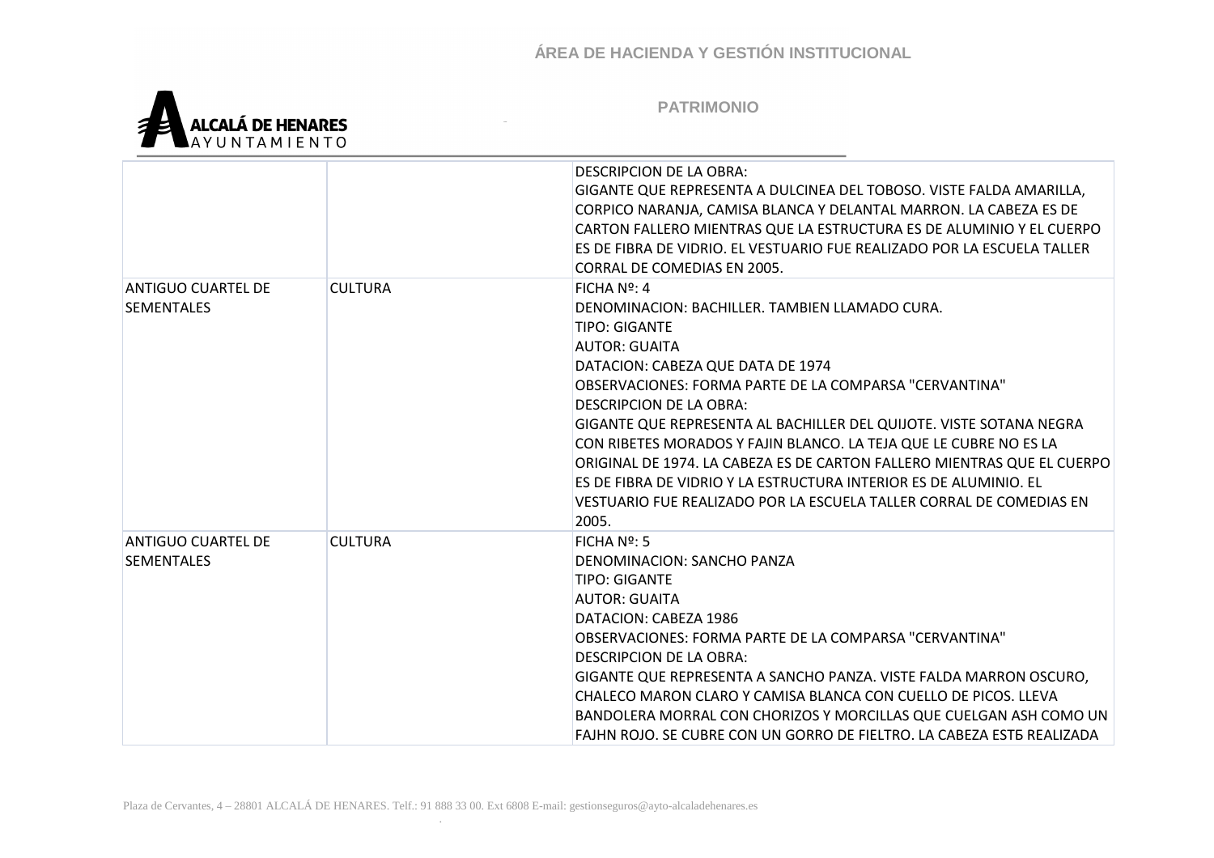

|                                                |                | DESCRIPCION DE LA OBRA:<br>GIGANTE QUE REPRESENTA A DULCINEA DEL TOBOSO. VISTE FALDA AMARILLA,<br>CORPICO NARANJA, CAMISA BLANCA Y DELANTAL MARRON. LA CABEZA ES DE<br>CARTON FALLERO MIENTRAS QUE LA ESTRUCTURA ES DE ALUMINIO Y EL CUERPO<br>ES DE FIBRA DE VIDRIO. EL VESTUARIO FUE REALIZADO POR LA ESCUELA TALLER<br>CORRAL DE COMEDIAS EN 2005.                                                                                                                                                                                                                                                        |
|------------------------------------------------|----------------|--------------------------------------------------------------------------------------------------------------------------------------------------------------------------------------------------------------------------------------------------------------------------------------------------------------------------------------------------------------------------------------------------------------------------------------------------------------------------------------------------------------------------------------------------------------------------------------------------------------|
| ANTIGUO CUARTEL DE<br><b>SEMENTALES</b>        | <b>CULTURA</b> | FICHA Nº: 4<br>DENOMINACION: BACHILLER. TAMBIEN LLAMADO CURA.<br>TIPO: GIGANTE<br><b>AUTOR: GUAITA</b><br>DATACION: CABEZA QUE DATA DE 1974<br>OBSERVACIONES: FORMA PARTE DE LA COMPARSA "CERVANTINA"<br>DESCRIPCION DE LA OBRA:<br>GIGANTE QUE REPRESENTA AL BACHILLER DEL QUIJOTE. VISTE SOTANA NEGRA<br>CON RIBETES MORADOS Y FAJIN BLANCO. LA TEJA QUE LE CUBRE NO ES LA<br>ORIGINAL DE 1974. LA CABEZA ES DE CARTON FALLERO MIENTRAS QUE EL CUERPO<br>ES DE FIBRA DE VIDRIO Y LA ESTRUCTURA INTERIOR ES DE ALUMINIO. EL<br>VESTUARIO FUE REALIZADO POR LA ESCUELA TALLER CORRAL DE COMEDIAS EN<br>2005. |
| <b>ANTIGUO CUARTEL DE</b><br><b>SEMENTALES</b> | <b>CULTURA</b> | $FICHA N2$ : 5<br><b>DENOMINACION: SANCHO PANZA</b><br><b>TIPO: GIGANTE</b><br><b>AUTOR: GUAITA</b><br>DATACION: CABEZA 1986<br>OBSERVACIONES: FORMA PARTE DE LA COMPARSA "CERVANTINA"<br>DESCRIPCION DE LA OBRA:<br>GIGANTE QUE REPRESENTA A SANCHO PANZA. VISTE FALDA MARRON OSCURO,<br>CHALECO MARON CLARO Y CAMISA BLANCA CON CUELLO DE PICOS. LLEVA<br>BANDOLERA MORRAL CON CHORIZOS Y MORCILLAS QUE CUELGAN ASH COMO UN<br>FAJHN ROJO. SE CUBRE CON UN GORRO DE FIELTRO. LA CABEZA EST5 REALIZADA                                                                                                      |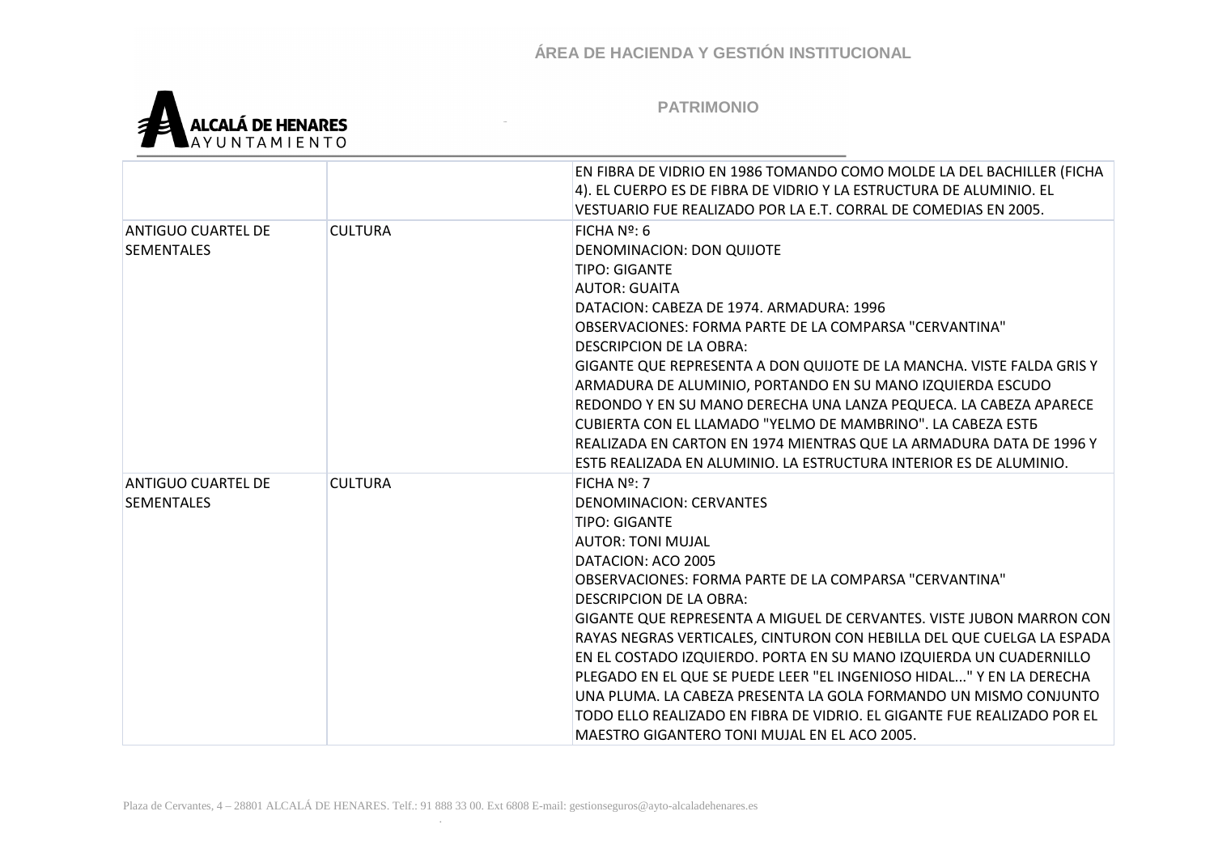

|                                                |                | EN FIBRA DE VIDRIO EN 1986 TOMANDO COMO MOLDE LA DEL BACHILLER (FICHA<br>4). EL CUERPO ES DE FIBRA DE VIDRIO Y LA ESTRUCTURA DE ALUMINIO. EL<br>VESTUARIO FUE REALIZADO POR LA E.T. CORRAL DE COMEDIAS EN 2005.                                                                                                                                                                                                                                                                                                                                                                                                                                                                                         |
|------------------------------------------------|----------------|---------------------------------------------------------------------------------------------------------------------------------------------------------------------------------------------------------------------------------------------------------------------------------------------------------------------------------------------------------------------------------------------------------------------------------------------------------------------------------------------------------------------------------------------------------------------------------------------------------------------------------------------------------------------------------------------------------|
| ANTIGUO CUARTEL DE<br><b>SEMENTALES</b>        | <b>CULTURA</b> | FICHA $N2$ : 6<br>DENOMINACION: DON QUIJOTE<br><b>TIPO: GIGANTE</b><br><b>AUTOR: GUAITA</b><br>DATACION: CABEZA DE 1974. ARMADURA: 1996<br>OBSERVACIONES: FORMA PARTE DE LA COMPARSA "CERVANTINA"<br>DESCRIPCION DE LA OBRA:<br>GIGANTE QUE REPRESENTA A DON QUIJOTE DE LA MANCHA. VISTE FALDA GRIS Y<br>ARMADURA DE ALUMINIO, PORTANDO EN SU MANO IZQUIERDA ESCUDO<br>REDONDO Y EN SU MANO DERECHA UNA LANZA PEQUECA. LA CABEZA APARECE<br>CUBIERTA CON EL LLAMADO "YELMO DE MAMBRINO". LA CABEZA ESTE<br>REALIZADA EN CARTON EN 1974 MIENTRAS QUE LA ARMADURA DATA DE 1996 Y<br>ESTE REALIZADA EN ALUMINIO. LA ESTRUCTURA INTERIOR ES DE ALUMINIO.                                                    |
| <b>ANTIGUO CUARTEL DE</b><br><b>SEMENTALES</b> | <b>CULTURA</b> | $FICHA No$ : 7<br>DENOMINACION: CERVANTES<br><b>TIPO: GIGANTE</b><br><b>AUTOR: TONI MUJAL</b><br>DATACION: ACO 2005<br>OBSERVACIONES: FORMA PARTE DE LA COMPARSA "CERVANTINA"<br>DESCRIPCION DE LA OBRA:<br>GIGANTE QUE REPRESENTA A MIGUEL DE CERVANTES. VISTE JUBON MARRON CON<br>RAYAS NEGRAS VERTICALES, CINTURON CON HEBILLA DEL QUE CUELGA LA ESPADA<br>EN EL COSTADO IZQUIERDO. PORTA EN SU MANO IZQUIERDA UN CUADERNILLO<br>PLEGADO EN EL QUE SE PUEDE LEER "EL INGENIOSO HIDAL" Y EN LA DERECHA<br>UNA PLUMA. LA CABEZA PRESENTA LA GOLA FORMANDO UN MISMO CONJUNTO<br>TODO ELLO REALIZADO EN FIBRA DE VIDRIO. EL GIGANTE FUE REALIZADO POR EL<br>MAESTRO GIGANTERO TONI MUJAL EN EL ACO 2005. |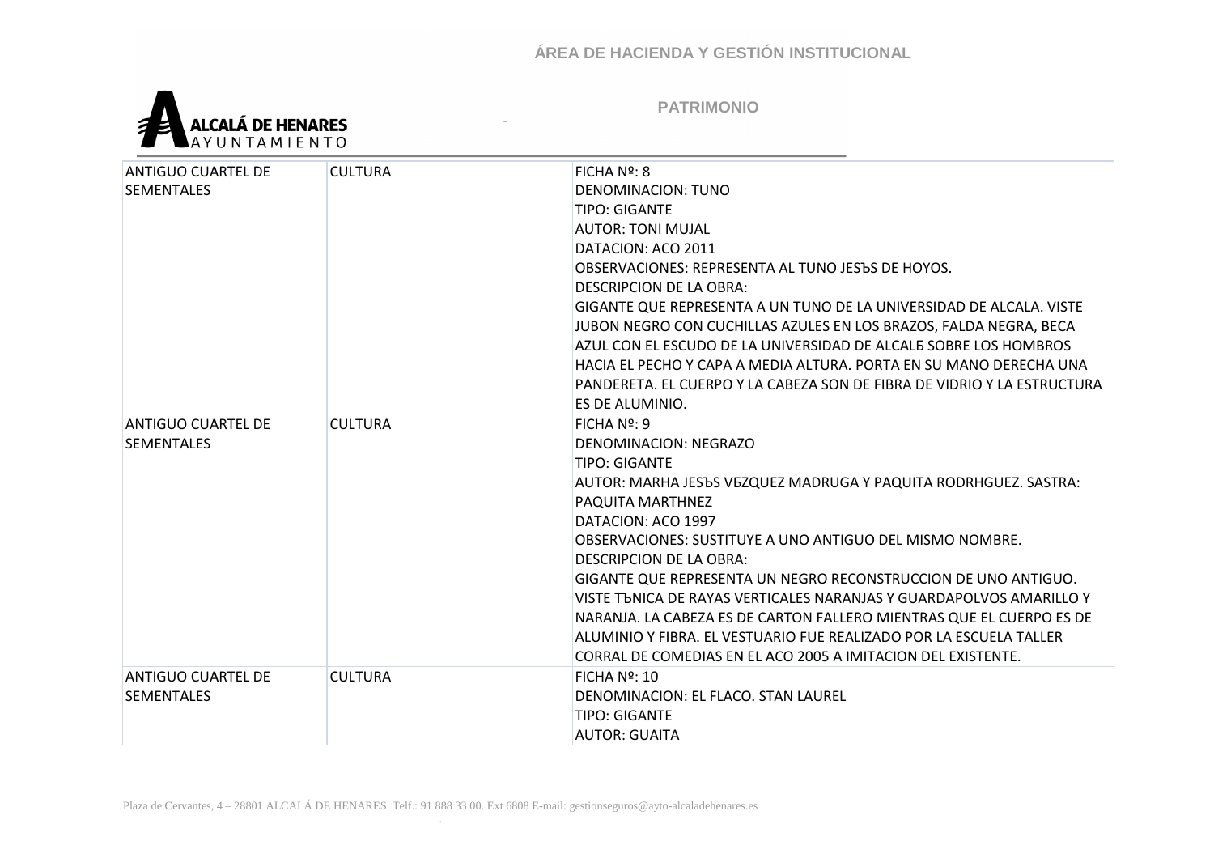

| <b>ANTIGUO CUARTEL DE</b> | <b>CULTURA</b> | FICHA Nº: 8                                                                                                                           |
|---------------------------|----------------|---------------------------------------------------------------------------------------------------------------------------------------|
| <b>SEMENTALES</b>         |                | DENOMINACION: TUNO                                                                                                                    |
|                           |                | <b>TIPO: GIGANTE</b>                                                                                                                  |
|                           |                | <b>AUTOR: TONI MUJAL</b>                                                                                                              |
|                           |                | DATACION: ACO 2011                                                                                                                    |
|                           |                | OBSERVACIONES: REPRESENTA AL TUNO JESЪS DE HOYOS.                                                                                     |
|                           |                | DESCRIPCION DE LA OBRA:                                                                                                               |
|                           |                | GIGANTE QUE REPRESENTA A UN TUNO DE LA UNIVERSIDAD DE ALCALA. VISTE                                                                   |
|                           |                | JUBON NEGRO CON CUCHILLAS AZULES EN LOS BRAZOS, FALDA NEGRA, BECA                                                                     |
|                           |                | AZUL CON EL ESCUDO DE LA UNIVERSIDAD DE ALCALE SOBRE LOS HOMBROS                                                                      |
|                           |                | HACIA EL PECHO Y CAPA A MEDIA ALTURA. PORTA EN SU MANO DERECHA UNA                                                                    |
|                           |                | PANDERETA. EL CUERPO Y LA CABEZA SON DE FIBRA DE VIDRIO Y LA ESTRUCTURA                                                               |
|                           |                | ES DE ALUMINIO.                                                                                                                       |
| ANTIGUO CUARTEL DE        | <b>CULTURA</b> | FICHA Nº: 9                                                                                                                           |
| <b>SEMENTALES</b>         |                | DENOMINACION: NEGRAZO                                                                                                                 |
|                           |                | <b>TIPO: GIGANTE</b>                                                                                                                  |
|                           |                | AUTOR: MARHA JESЪS VEZQUEZ MADRUGA Y PAQUITA RODRHGUEZ. SASTRA:                                                                       |
|                           |                | PAQUITA MARTHNEZ                                                                                                                      |
|                           |                | DATACION: ACO 1997                                                                                                                    |
|                           |                | OBSERVACIONES: SUSTITUYE A UNO ANTIGUO DEL MISMO NOMBRE.                                                                              |
|                           |                | <b>DESCRIPCION DE LA OBRA:</b>                                                                                                        |
|                           |                | GIGANTE QUE REPRESENTA UN NEGRO RECONSTRUCCION DE UNO ANTIGUO.<br>VISTE TONICA DE RAYAS VERTICALES NARANJAS Y GUARDAPOLVOS AMARILLO Y |
|                           |                | NARANJA. LA CABEZA ES DE CARTON FALLERO MIENTRAS QUE EL CUERPO ES DE                                                                  |
|                           |                | ALUMINIO Y FIBRA. EL VESTUARIO FUE REALIZADO POR LA ESCUELA TALLER                                                                    |
|                           |                | CORRAL DE COMEDIAS EN EL ACO 2005 A IMITACION DEL EXISTENTE.                                                                          |
| <b>ANTIGUO CUARTEL DE</b> | <b>CULTURA</b> | FICHA Nº: 10                                                                                                                          |
| <b>SEMENTALES</b>         |                | DENOMINACION: EL FLACO. STAN LAUREL                                                                                                   |
|                           |                | <b>TIPO: GIGANTE</b>                                                                                                                  |
|                           |                | <b>AUTOR: GUAITA</b>                                                                                                                  |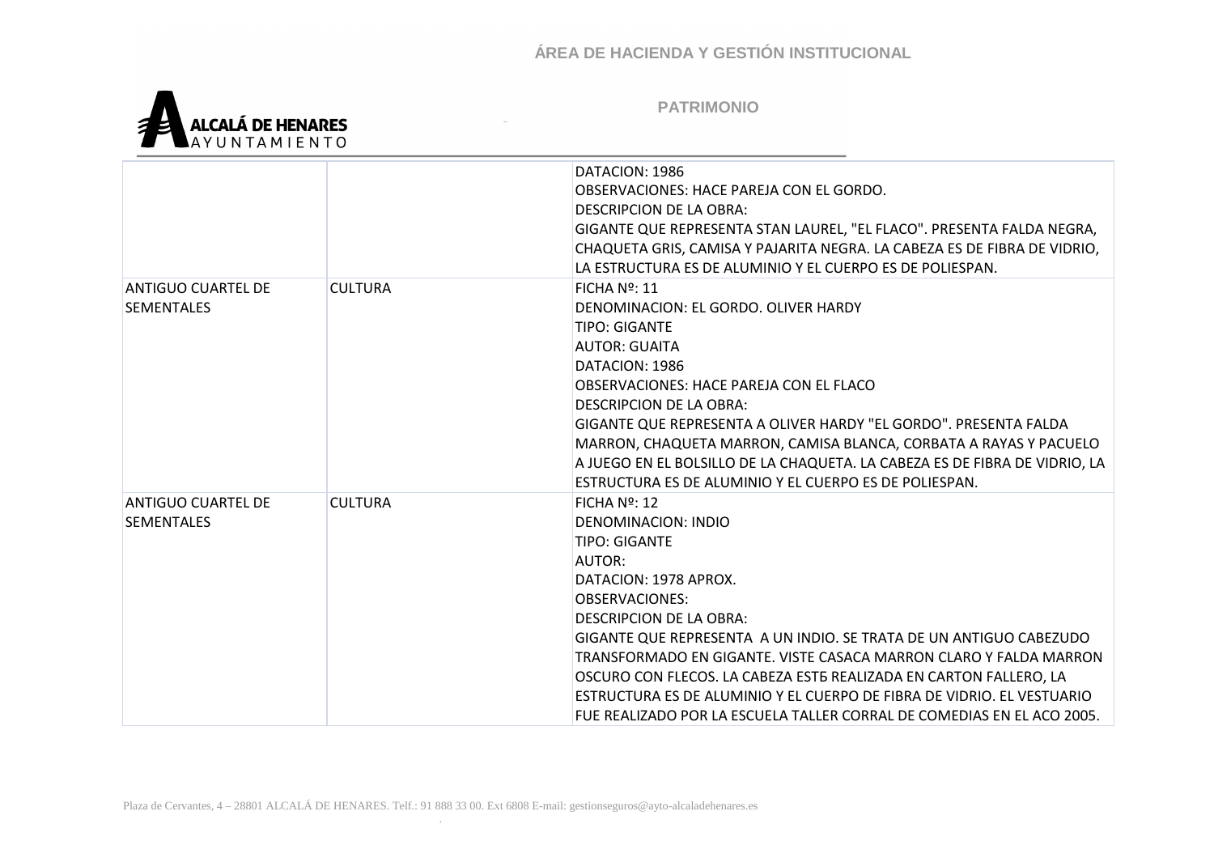

|                                                |                | DATACION: 1986<br>OBSERVACIONES: HACE PAREJA CON EL GORDO.<br><b>DESCRIPCION DE LA OBRA:</b><br>GIGANTE QUE REPRESENTA STAN LAUREL, "EL FLACO". PRESENTA FALDA NEGRA,<br>CHAQUETA GRIS, CAMISA Y PAJARITA NEGRA. LA CABEZA ES DE FIBRA DE VIDRIO,<br>LA ESTRUCTURA ES DE ALUMINIO Y EL CUERPO ES DE POLIESPAN.                                                                                                                                                                                                                          |
|------------------------------------------------|----------------|-----------------------------------------------------------------------------------------------------------------------------------------------------------------------------------------------------------------------------------------------------------------------------------------------------------------------------------------------------------------------------------------------------------------------------------------------------------------------------------------------------------------------------------------|
| <b>ANTIGUO CUARTEL DE</b><br><b>SEMENTALES</b> | <b>CULTURA</b> | $FICHA No$ : 11<br>DENOMINACION: EL GORDO. OLIVER HARDY<br><b>TIPO: GIGANTE</b><br>AUTOR: GUAITA<br>DATACION: 1986<br>OBSERVACIONES: HACE PAREJA CON EL FLACO<br><b>DESCRIPCION DE LA OBRA:</b><br>GIGANTE QUE REPRESENTA A OLIVER HARDY "EL GORDO". PRESENTA FALDA<br>MARRON, CHAQUETA MARRON, CAMISA BLANCA, CORBATA A RAYAS Y PACUELO<br>A JUEGO EN EL BOLSILLO DE LA CHAQUETA. LA CABEZA ES DE FIBRA DE VIDRIO, LA<br>ESTRUCTURA ES DE ALUMINIO Y EL CUERPO ES DE POLIESPAN.                                                        |
| <b>ANTIGUO CUARTEL DE</b><br><b>SEMENTALES</b> | <b>CULTURA</b> | FICHA $No$ : 12<br>DENOMINACION: INDIO<br><b>TIPO: GIGANTE</b><br><b>AUTOR:</b><br>DATACION: 1978 APROX.<br><b>OBSERVACIONES:</b><br><b>DESCRIPCION DE LA OBRA:</b><br>GIGANTE QUE REPRESENTA A UN INDIO. SE TRATA DE UN ANTIGUO CABEZUDO<br>TRANSFORMADO EN GIGANTE. VISTE CASACA MARRON CLARO Y FALDA MARRON<br>OSCURO CON FLECOS. LA CABEZA ESTE REALIZADA EN CARTON FALLERO, LA<br>ESTRUCTURA ES DE ALUMINIO Y EL CUERPO DE FIBRA DE VIDRIO. EL VESTUARIO<br>FUE REALIZADO POR LA ESCUELA TALLER CORRAL DE COMEDIAS EN EL ACO 2005. |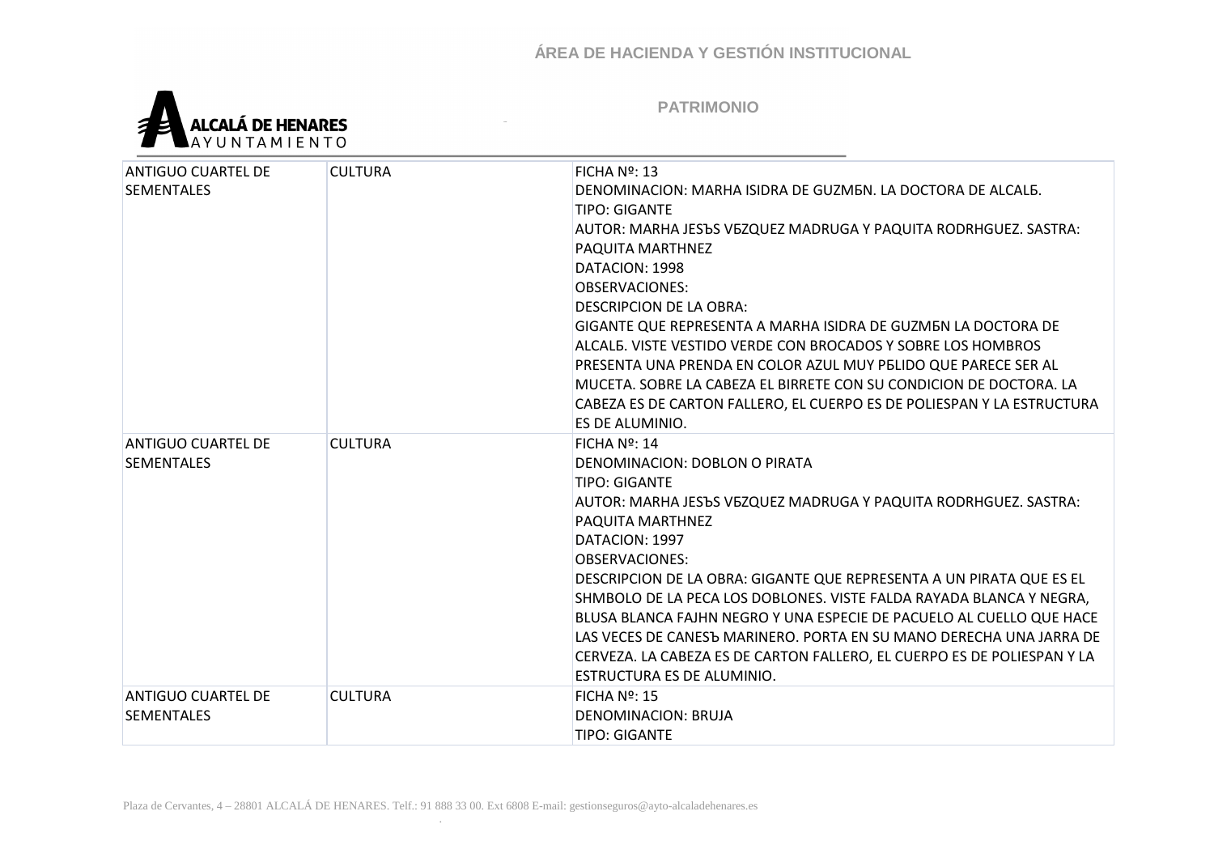

| <b>ANTIGUO CUARTEL DE</b><br><b>SEMENTALES</b> | <b>CULTURA</b> | FICHA $No$ : 13<br>DENOMINACION: MARHA ISIDRA DE GUZMEN. LA DOCTORA DE ALCALE.<br><b>TIPO: GIGANTE</b><br>AUTOR: MARHA JESЪS VEZQUEZ MADRUGA Y PAQUITA RODRHGUEZ. SASTRA:<br>PAQUITA MARTHNEZ<br>DATACION: 1998<br><b>OBSERVACIONES:</b><br><b>DESCRIPCION DE LA OBRA:</b><br>GIGANTE QUE REPRESENTA A MARHA ISIDRA DE GUZMEN LA DOCTORA DE<br>ALCALE. VISTE VESTIDO VERDE CON BROCADOS Y SOBRE LOS HOMBROS<br>PRESENTA UNA PRENDA EN COLOR AZUL MUY PELIDO QUE PARECE SER AL<br>MUCETA. SOBRE LA CABEZA EL BIRRETE CON SU CONDICION DE DOCTORA. LA<br>CABEZA ES DE CARTON FALLERO, EL CUERPO ES DE POLIESPAN Y LA ESTRUCTURA<br>ES DE ALUMINIO. |
|------------------------------------------------|----------------|--------------------------------------------------------------------------------------------------------------------------------------------------------------------------------------------------------------------------------------------------------------------------------------------------------------------------------------------------------------------------------------------------------------------------------------------------------------------------------------------------------------------------------------------------------------------------------------------------------------------------------------------------|
| <b>ANTIGUO CUARTEL DE</b><br><b>SEMENTALES</b> | <b>CULTURA</b> | FICHA $N2$ : 14<br>DENOMINACION: DOBLON O PIRATA<br><b>TIPO: GIGANTE</b><br>AUTOR: MARHA JESЪS VEZQUEZ MADRUGA Y PAQUITA RODRHGUEZ. SASTRA:<br>PAQUITA MARTHNEZ<br>DATACION: 1997<br><b>OBSERVACIONES:</b><br>DESCRIPCION DE LA OBRA: GIGANTE QUE REPRESENTA A UN PIRATA QUE ES EL<br>SHMBOLO DE LA PECA LOS DOBLONES. VISTE FALDA RAYADA BLANCA Y NEGRA,<br>BLUSA BLANCA FAJHN NEGRO Y UNA ESPECIE DE PACUELO AL CUELLO QUE HACE<br>LAS VECES DE CANESЪ MARINERO. PORTA EN SU MANO DERECHA UNA JARRA DE<br>CERVEZA. LA CABEZA ES DE CARTON FALLERO, EL CUERPO ES DE POLIESPAN Y LA<br>ESTRUCTURA ES DE ALUMINIO.                                |
| <b>ANTIGUO CUARTEL DE</b><br><b>SEMENTALES</b> | <b>CULTURA</b> | $FICHA No$ : 15<br>DENOMINACION: BRUJA<br><b>TIPO: GIGANTE</b>                                                                                                                                                                                                                                                                                                                                                                                                                                                                                                                                                                                   |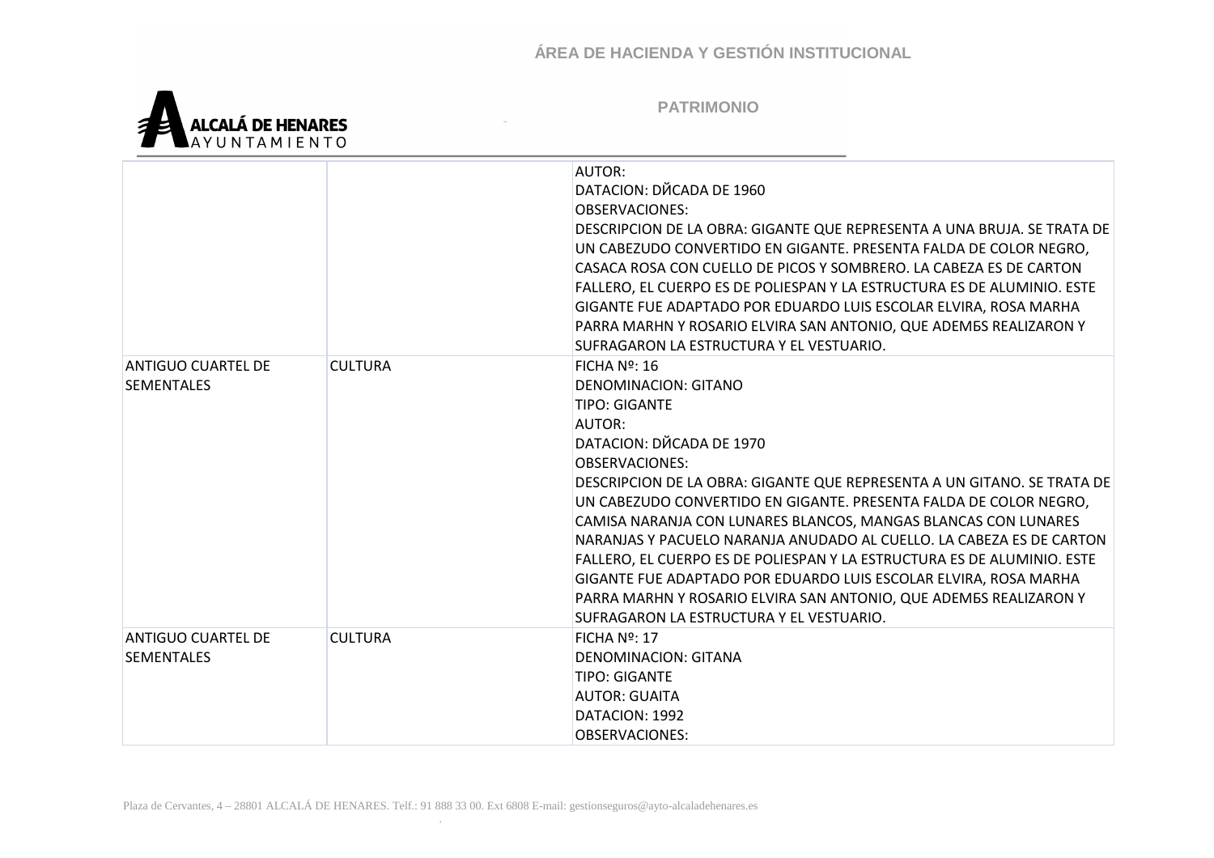

|                                                |                | AUTOR:<br>DATACION: DЙCADA DE 1960<br><b>OBSERVACIONES:</b><br>DESCRIPCION DE LA OBRA: GIGANTE QUE REPRESENTA A UNA BRUJA. SE TRATA DE<br>UN CABEZUDO CONVERTIDO EN GIGANTE. PRESENTA FALDA DE COLOR NEGRO,<br>CASACA ROSA CON CUELLO DE PICOS Y SOMBRERO. LA CABEZA ES DE CARTON<br>FALLERO, EL CUERPO ES DE POLIESPAN Y LA ESTRUCTURA ES DE ALUMINIO. ESTE<br>GIGANTE FUE ADAPTADO POR EDUARDO LUIS ESCOLAR ELVIRA, ROSA MARHA<br>PARRA MARHN Y ROSARIO ELVIRA SAN ANTONIO, QUE ADEMBS REALIZARON Y<br>SUFRAGARON LA ESTRUCTURA Y EL VESTUARIO.                                                                                                                                        |
|------------------------------------------------|----------------|------------------------------------------------------------------------------------------------------------------------------------------------------------------------------------------------------------------------------------------------------------------------------------------------------------------------------------------------------------------------------------------------------------------------------------------------------------------------------------------------------------------------------------------------------------------------------------------------------------------------------------------------------------------------------------------|
| <b>ANTIGUO CUARTEL DE</b><br><b>SEMENTALES</b> | <b>CULTURA</b> | FICHA $N2$ : 16<br>DENOMINACION: GITANO<br><b>TIPO: GIGANTE</b><br>AUTOR:<br>DATACION: DЙCADA DE 1970<br><b>OBSERVACIONES:</b><br>DESCRIPCION DE LA OBRA: GIGANTE QUE REPRESENTA A UN GITANO. SE TRATA DE<br>UN CABEZUDO CONVERTIDO EN GIGANTE. PRESENTA FALDA DE COLOR NEGRO,<br>CAMISA NARANJA CON LUNARES BLANCOS, MANGAS BLANCAS CON LUNARES<br>NARANJAS Y PACUELO NARANJA ANUDADO AL CUELLO. LA CABEZA ES DE CARTON<br>FALLERO, EL CUERPO ES DE POLIESPAN Y LA ESTRUCTURA ES DE ALUMINIO. ESTE<br>GIGANTE FUE ADAPTADO POR EDUARDO LUIS ESCOLAR ELVIRA, ROSA MARHA<br>PARRA MARHN Y ROSARIO ELVIRA SAN ANTONIO, QUE ADEMES REALIZARON Y<br>SUFRAGARON LA ESTRUCTURA Y EL VESTUARIO. |
| ANTIGUO CUARTEL DE<br><b>SEMENTALES</b>        | <b>CULTURA</b> | FICHA $No$ : 17<br><b>DENOMINACION: GITANA</b><br><b>TIPO: GIGANTE</b><br><b>AUTOR: GUAITA</b><br>DATACION: 1992<br><b>OBSERVACIONES:</b>                                                                                                                                                                                                                                                                                                                                                                                                                                                                                                                                                |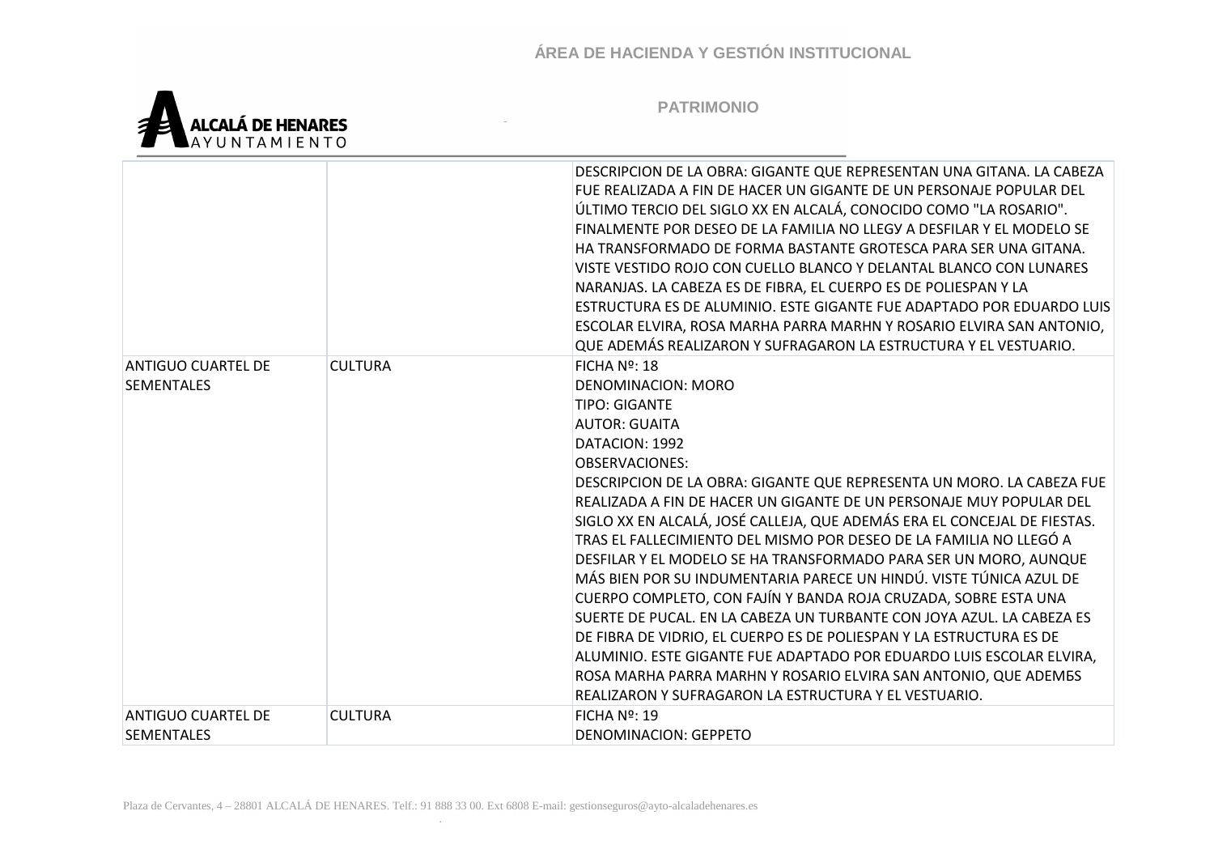

|                                                |                | DESCRIPCION DE LA OBRA: GIGANTE QUE REPRESENTAN UNA GITANA. LA CABEZA<br>FUE REALIZADA A FIN DE HACER UN GIGANTE DE UN PERSONAJE POPULAR DEL<br>ÚLTIMO TERCIO DEL SIGLO XX EN ALCALÁ, CONOCIDO COMO "LA ROSARIO".<br>FINALMENTE POR DESEO DE LA FAMILIA NO LLEGY A DESFILAR Y EL MODELO SE<br>HA TRANSFORMADO DE FORMA BASTANTE GROTESCA PARA SER UNA GITANA.<br>VISTE VESTIDO ROJO CON CUELLO BLANCO Y DELANTAL BLANCO CON LUNARES<br>NARANJAS. LA CABEZA ES DE FIBRA, EL CUERPO ES DE POLIESPAN Y LA<br>ESTRUCTURA ES DE ALUMINIO. ESTE GIGANTE FUE ADAPTADO POR EDUARDO LUIS<br>ESCOLAR ELVIRA, ROSA MARHA PARRA MARHN Y ROSARIO ELVIRA SAN ANTONIO,<br>QUE ADEMÁS REALIZARON Y SUFRAGARON LA ESTRUCTURA Y EL VESTUARIO.                                                                                                                                                                                                                                                                      |
|------------------------------------------------|----------------|--------------------------------------------------------------------------------------------------------------------------------------------------------------------------------------------------------------------------------------------------------------------------------------------------------------------------------------------------------------------------------------------------------------------------------------------------------------------------------------------------------------------------------------------------------------------------------------------------------------------------------------------------------------------------------------------------------------------------------------------------------------------------------------------------------------------------------------------------------------------------------------------------------------------------------------------------------------------------------------------------|
| <b>ANTIGUO CUARTEL DE</b><br><b>SEMENTALES</b> | <b>CULTURA</b> | FICHA Nº: 18<br>DENOMINACION: MORO<br><b>TIPO: GIGANTE</b><br><b>AUTOR: GUAITA</b><br>DATACION: 1992<br><b>OBSERVACIONES:</b><br>DESCRIPCION DE LA OBRA: GIGANTE QUE REPRESENTA UN MORO. LA CABEZA FUE<br>REALIZADA A FIN DE HACER UN GIGANTE DE UN PERSONAJE MUY POPULAR DEL<br>SIGLO XX EN ALCALÁ, JOSÉ CALLEJA, QUE ADEMÁS ERA EL CONCEJAL DE FIESTAS.<br>TRAS EL FALLECIMIENTO DEL MISMO POR DESEO DE LA FAMILIA NO LLEGÓ A<br>DESFILAR Y EL MODELO SE HA TRANSFORMADO PARA SER UN MORO, AUNQUE<br>MÁS BIEN POR SU INDUMENTARIA PARECE UN HINDÚ. VISTE TÚNICA AZUL DE<br>CUERPO COMPLETO, CON FAJÍN Y BANDA ROJA CRUZADA, SOBRE ESTA UNA<br>SUERTE DE PUCAL. EN LA CABEZA UN TURBANTE CON JOYA AZUL. LA CABEZA ES<br>DE FIBRA DE VIDRIO, EL CUERPO ES DE POLIESPAN Y LA ESTRUCTURA ES DE<br>ALUMINIO. ESTE GIGANTE FUE ADAPTADO POR EDUARDO LUIS ESCOLAR ELVIRA,<br>ROSA MARHA PARRA MARHN Y ROSARIO ELVIRA SAN ANTONIO, QUE ADEMES<br>REALIZARON Y SUFRAGARON LA ESTRUCTURA Y EL VESTUARIO. |
| <b>ANTIGUO CUARTEL DE</b><br><b>SEMENTALES</b> | <b>CULTURA</b> | FICHA Nº: 19<br>DENOMINACION: GEPPETO                                                                                                                                                                                                                                                                                                                                                                                                                                                                                                                                                                                                                                                                                                                                                                                                                                                                                                                                                            |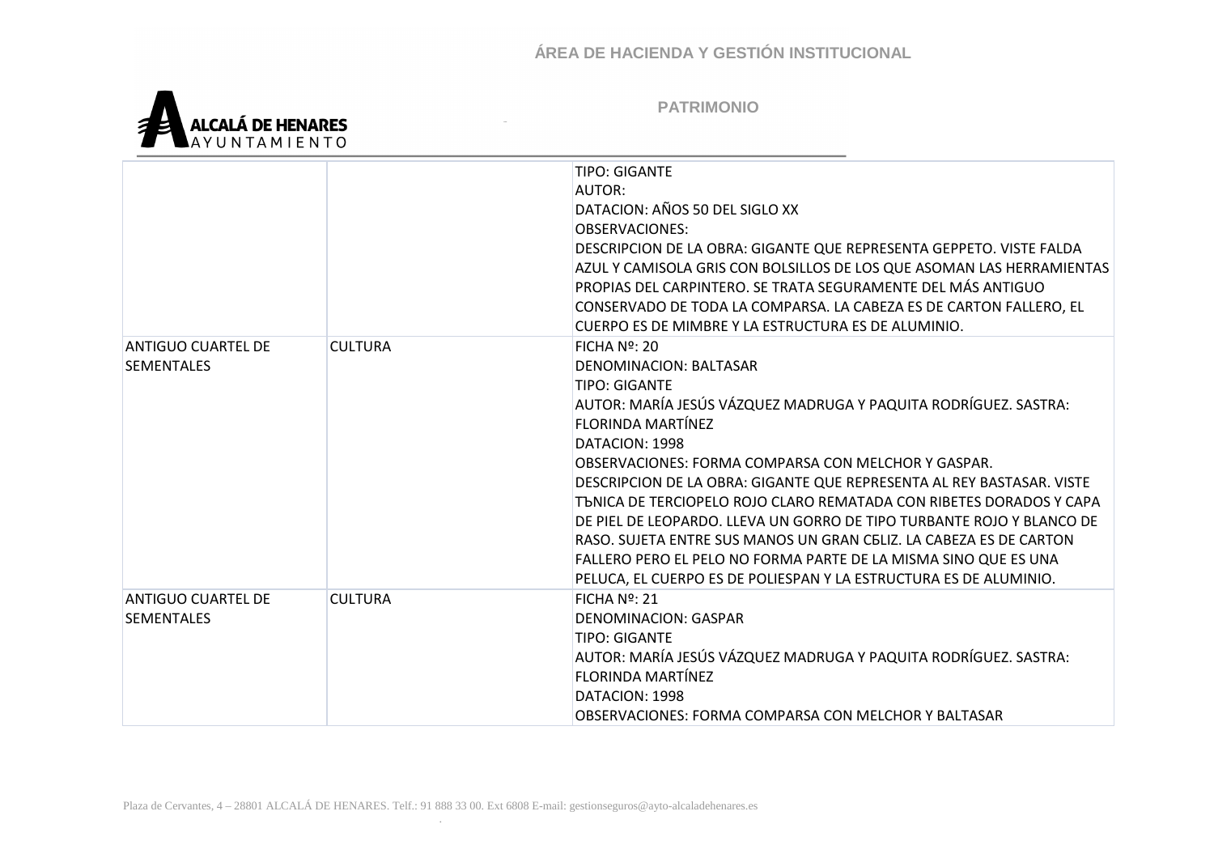

|                                                |                | <b>TIPO: GIGANTE</b><br>AUTOR:<br>DATACION: AÑOS 50 DEL SIGLO XX<br><b>OBSERVACIONES:</b><br>DESCRIPCION DE LA OBRA: GIGANTE QUE REPRESENTA GEPPETO. VISTE FALDA<br>AZUL Y CAMISOLA GRIS CON BOLSILLOS DE LOS QUE ASOMAN LAS HERRAMIENTAS<br>PROPIAS DEL CARPINTERO. SE TRATA SEGURAMENTE DEL MÁS ANTIGUO<br>CONSERVADO DE TODA LA COMPARSA. LA CABEZA ES DE CARTON FALLERO, EL<br>CUERPO ES DE MIMBRE Y LA ESTRUCTURA ES DE ALUMINIO.                                                                                                                                                                                                                                    |
|------------------------------------------------|----------------|---------------------------------------------------------------------------------------------------------------------------------------------------------------------------------------------------------------------------------------------------------------------------------------------------------------------------------------------------------------------------------------------------------------------------------------------------------------------------------------------------------------------------------------------------------------------------------------------------------------------------------------------------------------------------|
| ANTIGUO CUARTEL DE<br><b>SEMENTALES</b>        | <b>CULTURA</b> | $FICHA No$ : 20<br>DENOMINACION: BALTASAR<br><b>TIPO: GIGANTE</b><br>AUTOR: MARÍA JESÚS VÁZQUEZ MADRUGA Y PAQUITA RODRÍGUEZ. SASTRA:<br>FLORINDA MARTÍNEZ<br>DATACION: 1998<br>OBSERVACIONES: FORMA COMPARSA CON MELCHOR Y GASPAR.<br>DESCRIPCION DE LA OBRA: GIGANTE QUE REPRESENTA AL REY BASTASAR. VISTE<br>TONICA DE TERCIOPELO ROJO CLARO REMATADA CON RIBETES DORADOS Y CAPA<br>DE PIEL DE LEOPARDO. LLEVA UN GORRO DE TIPO TURBANTE ROJO Y BLANCO DE<br>RASO, SUJETA ENTRE SUS MANOS UN GRAN CELIZ. LA CABEZA ES DE CARTON<br>FALLERO PERO EL PELO NO FORMA PARTE DE LA MISMA SINO QUE ES UNA<br>PELUCA, EL CUERPO ES DE POLIESPAN Y LA ESTRUCTURA ES DE ALUMINIO. |
| <b>ANTIGUO CUARTEL DE</b><br><b>SEMENTALES</b> | <b>CULTURA</b> | FICHA $N2$ : 21<br><b>DENOMINACION: GASPAR</b><br><b>TIPO: GIGANTE</b><br>AUTOR: MARÍA JESÚS VÁZQUEZ MADRUGA Y PAQUITA RODRÍGUEZ. SASTRA:<br><b>FLORINDA MARTÍNEZ</b><br>DATACION: 1998<br>OBSERVACIONES: FORMA COMPARSA CON MELCHOR Y BALTASAR                                                                                                                                                                                                                                                                                                                                                                                                                           |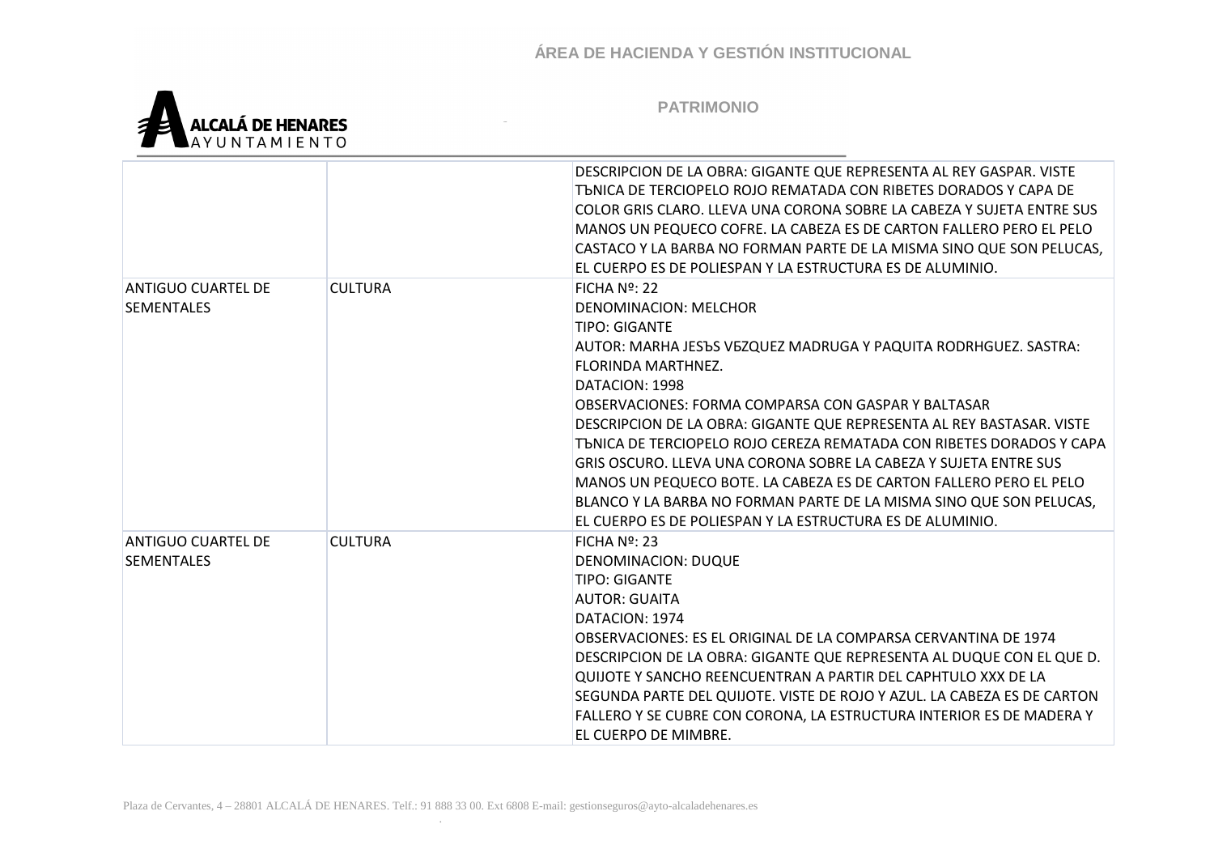

|                                                |                | DESCRIPCION DE LA OBRA: GIGANTE QUE REPRESENTA AL REY GASPAR. VISTE<br>TENICA DE TERCIOPELO ROJO REMATADA CON RIBETES DORADOS Y CAPA DE<br>COLOR GRIS CLARO. LLEVA UNA CORONA SOBRE LA CABEZA Y SUJETA ENTRE SUS<br>MANOS UN PEQUECO COFRE. LA CABEZA ES DE CARTON FALLERO PERO EL PELO<br>CASTACO Y LA BARBA NO FORMAN PARTE DE LA MISMA SINO QUE SON PELUCAS,<br>EL CUERPO ES DE POLIESPAN Y LA ESTRUCTURA ES DE ALUMINIO.                                                                                                                                                                                                                                          |
|------------------------------------------------|----------------|-----------------------------------------------------------------------------------------------------------------------------------------------------------------------------------------------------------------------------------------------------------------------------------------------------------------------------------------------------------------------------------------------------------------------------------------------------------------------------------------------------------------------------------------------------------------------------------------------------------------------------------------------------------------------|
| <b>ANTIGUO CUARTEL DE</b><br><b>SEMENTALES</b> | <b>CULTURA</b> | FICHA Nº: 22<br><b>DENOMINACION: MELCHOR</b><br><b>TIPO: GIGANTE</b><br>AUTOR: MARHA JESЪS VEZQUEZ MADRUGA Y PAQUITA RODRHGUEZ. SASTRA:<br>FLORINDA MARTHNEZ.<br>DATACION: 1998<br>OBSERVACIONES: FORMA COMPARSA CON GASPAR Y BALTASAR<br>DESCRIPCION DE LA OBRA: GIGANTE QUE REPRESENTA AL REY BASTASAR. VISTE<br>TUNICA DE TERCIOPELO ROJO CEREZA REMATADA CON RIBETES DORADOS Y CAPA<br>GRIS OSCURO. LLEVA UNA CORONA SOBRE LA CABEZA Y SUJETA ENTRE SUS<br>MANOS UN PEQUECO BOTE. LA CABEZA ES DE CARTON FALLERO PERO EL PELO<br>BLANCO Y LA BARBA NO FORMAN PARTE DE LA MISMA SINO QUE SON PELUCAS,<br>EL CUERPO ES DE POLIESPAN Y LA ESTRUCTURA ES DE ALUMINIO. |
| <b>ANTIGUO CUARTEL DE</b><br><b>SEMENTALES</b> | <b>CULTURA</b> | FICHA Nº: 23<br><b>DENOMINACION: DUQUE</b><br><b>TIPO: GIGANTE</b><br>AUTOR: GUAITA<br>DATACION: 1974<br>OBSERVACIONES: ES EL ORIGINAL DE LA COMPARSA CERVANTINA DE 1974<br>DESCRIPCION DE LA OBRA: GIGANTE QUE REPRESENTA AL DUQUE CON EL QUE D.<br>QUIJOTE Y SANCHO REENCUENTRAN A PARTIR DEL CAPHTULO XXX DE LA<br>SEGUNDA PARTE DEL QUIJOTE. VISTE DE ROJO Y AZUL. LA CABEZA ES DE CARTON<br>FALLERO Y SE CUBRE CON CORONA, LA ESTRUCTURA INTERIOR ES DE MADERA Y<br>EL CUERPO DE MIMBRE.                                                                                                                                                                         |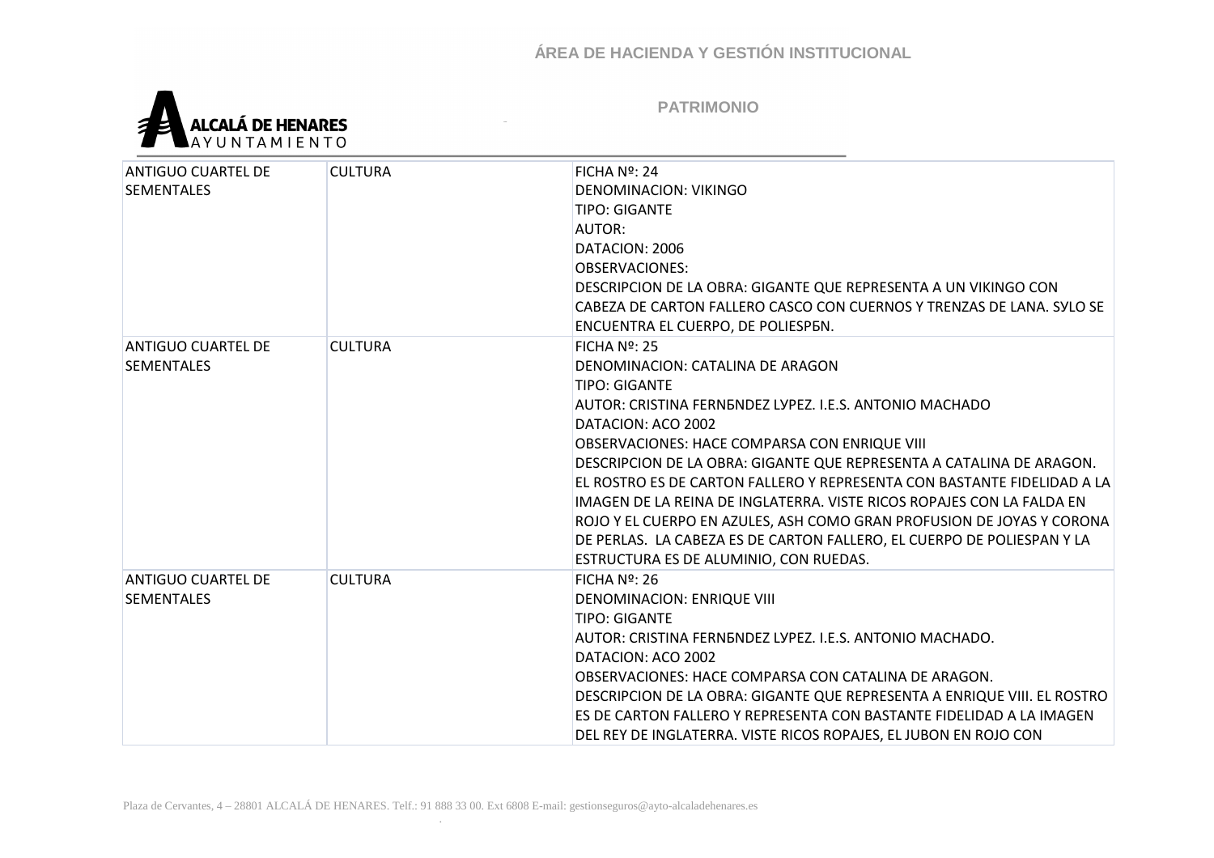

| <b>ANTIGUO CUARTEL DE</b> | <b>CULTURA</b> | FICHA Nº: 24                                                             |
|---------------------------|----------------|--------------------------------------------------------------------------|
| <b>SEMENTALES</b>         |                | DENOMINACION: VIKINGO                                                    |
|                           |                | <b>TIPO: GIGANTE</b>                                                     |
|                           |                | AUTOR:                                                                   |
|                           |                | DATACION: 2006                                                           |
|                           |                | <b>OBSERVACIONES:</b>                                                    |
|                           |                | DESCRIPCION DE LA OBRA: GIGANTE QUE REPRESENTA A UN VIKINGO CON          |
|                           |                | CABEZA DE CARTON FALLERO CASCO CON CUERNOS Y TRENZAS DE LANA. SYLO SE    |
|                           |                | ENCUENTRA EL CUERPO, DE POLIESPEN.                                       |
| <b>ANTIGUO CUARTEL DE</b> | <b>CULTURA</b> | $FICHA No$ : 25                                                          |
| <b>SEMENTALES</b>         |                | DENOMINACION: CATALINA DE ARAGON                                         |
|                           |                | TIPO: GIGANTE                                                            |
|                           |                | AUTOR: CRISTINA FERNENDEZ LYPEZ. I.E.S. ANTONIO MACHADO                  |
|                           |                | DATACION: ACO 2002                                                       |
|                           |                | OBSERVACIONES: HACE COMPARSA CON ENRIQUE VIII                            |
|                           |                | DESCRIPCION DE LA OBRA: GIGANTE QUE REPRESENTA A CATALINA DE ARAGON.     |
|                           |                | EL ROSTRO ES DE CARTON FALLERO Y REPRESENTA CON BASTANTE FIDELIDAD A LA  |
|                           |                | IMAGEN DE LA REINA DE INGLATERRA. VISTE RICOS ROPAJES CON LA FALDA EN    |
|                           |                | ROJO Y EL CUERPO EN AZULES, ASH COMO GRAN PROFUSION DE JOYAS Y CORONA    |
|                           |                | DE PERLAS. LA CABEZA ES DE CARTON FALLERO, EL CUERPO DE POLIESPAN Y LA   |
|                           |                | ESTRUCTURA ES DE ALUMINIO, CON RUEDAS.                                   |
| <b>ANTIGUO CUARTEL DE</b> | <b>CULTURA</b> | FICHA $N2$ : 26                                                          |
| <b>SEMENTALES</b>         |                | <b>DENOMINACION: ENRIQUE VIII</b>                                        |
|                           |                | <b>TIPO: GIGANTE</b>                                                     |
|                           |                | AUTOR: CRISTINA FERNENDEZ LYPEZ. I.E.S. ANTONIO MACHADO.                 |
|                           |                | DATACION: ACO 2002                                                       |
|                           |                | OBSERVACIONES: HACE COMPARSA CON CATALINA DE ARAGON.                     |
|                           |                | DESCRIPCION DE LA OBRA: GIGANTE QUE REPRESENTA A ENRIQUE VIII. EL ROSTRO |
|                           |                | ES DE CARTON FALLERO Y REPRESENTA CON BASTANTE FIDELIDAD A LA IMAGEN     |
|                           |                | DEL REY DE INGLATERRA. VISTE RICOS ROPAJES, EL JUBON EN ROJO CON         |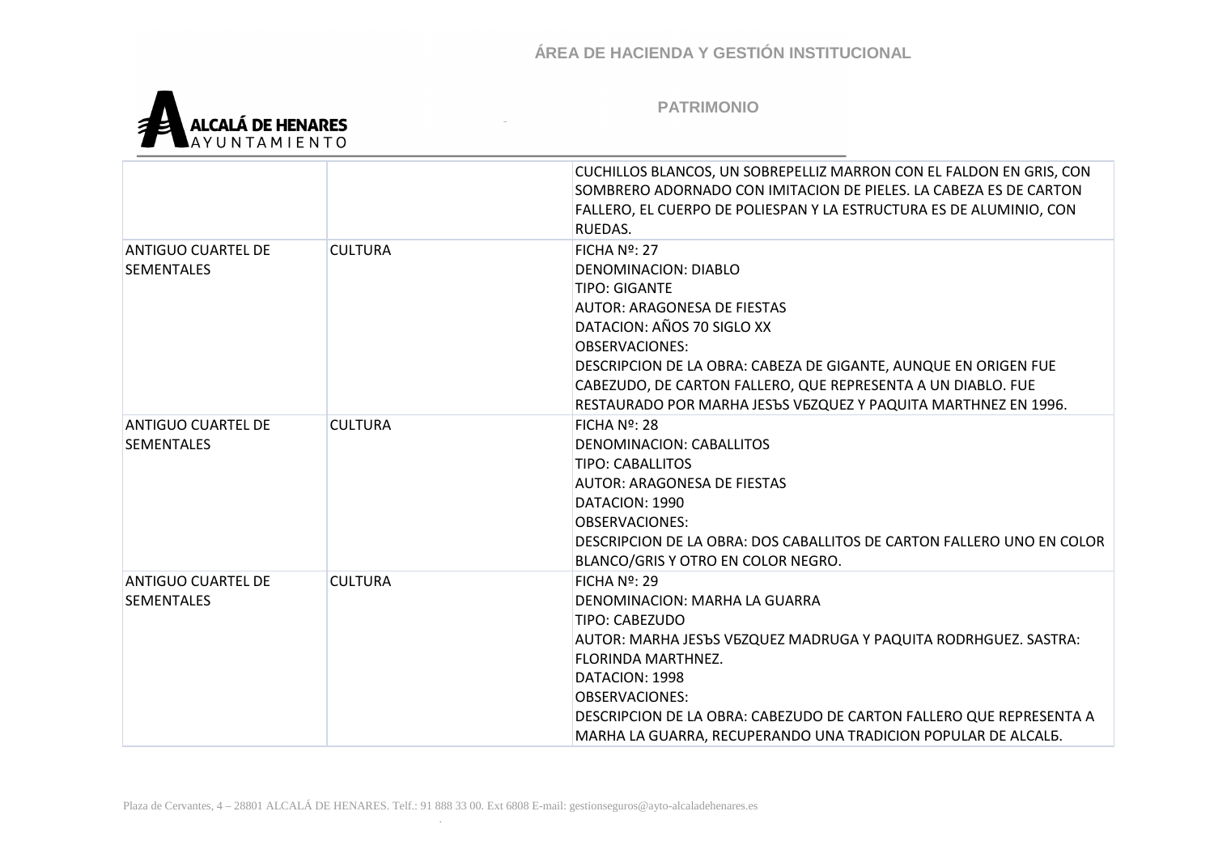

|                                                |                | CUCHILLOS BLANCOS, UN SOBREPELLIZ MARRON CON EL FALDON EN GRIS, CON<br>SOMBRERO ADORNADO CON IMITACION DE PIELES. LA CABEZA ES DE CARTON<br>FALLERO, EL CUERPO DE POLIESPAN Y LA ESTRUCTURA ES DE ALUMINIO, CON<br>RUEDAS.                                                                                                                                               |
|------------------------------------------------|----------------|--------------------------------------------------------------------------------------------------------------------------------------------------------------------------------------------------------------------------------------------------------------------------------------------------------------------------------------------------------------------------|
| <b>ANTIGUO CUARTEL DE</b><br><b>SEMENTALES</b> | <b>CULTURA</b> | FICHA $N2$ : 27<br><b>DENOMINACION: DIABLO</b><br><b>TIPO: GIGANTE</b><br><b>AUTOR: ARAGONESA DE FIESTAS</b><br>DATACION: AÑOS 70 SIGLO XX<br><b>OBSERVACIONES:</b><br>DESCRIPCION DE LA OBRA: CABEZA DE GIGANTE, AUNQUE EN ORIGEN FUE<br>CABEZUDO, DE CARTON FALLERO, QUE REPRESENTA A UN DIABLO. FUE<br>RESTAURADO POR MARHA JESЪS VEZQUEZ Y PAQUITA MARTHNEZ EN 1996. |
| <b>ANTIGUO CUARTEL DE</b><br><b>SEMENTALES</b> | <b>CULTURA</b> | $FICHA N2$ : 28<br>DENOMINACION: CABALLITOS<br>TIPO: CABALLITOS<br>AUTOR: ARAGONESA DE FIESTAS<br>DATACION: 1990<br><b>OBSERVACIONES:</b><br>DESCRIPCION DE LA OBRA: DOS CABALLITOS DE CARTON FALLERO UNO EN COLOR<br>BLANCO/GRIS Y OTRO EN COLOR NEGRO.                                                                                                                 |
| ANTIGUO CUARTEL DE<br><b>SEMENTALES</b>        | <b>CULTURA</b> | $FICHA N2$ : 29<br>DENOMINACION: MARHA LA GUARRA<br>TIPO: CABEZUDO<br>AUTOR: MARHA JESЪS VEZQUEZ MADRUGA Y PAQUITA RODRHGUEZ. SASTRA:<br><b>FLORINDA MARTHNEZ.</b><br>DATACION: 1998<br><b>OBSERVACIONES:</b><br>DESCRIPCION DE LA OBRA: CABEZUDO DE CARTON FALLERO QUE REPRESENTA A<br>MARHA LA GUARRA, RECUPERANDO UNA TRADICION POPULAR DE ALCAL5.                    |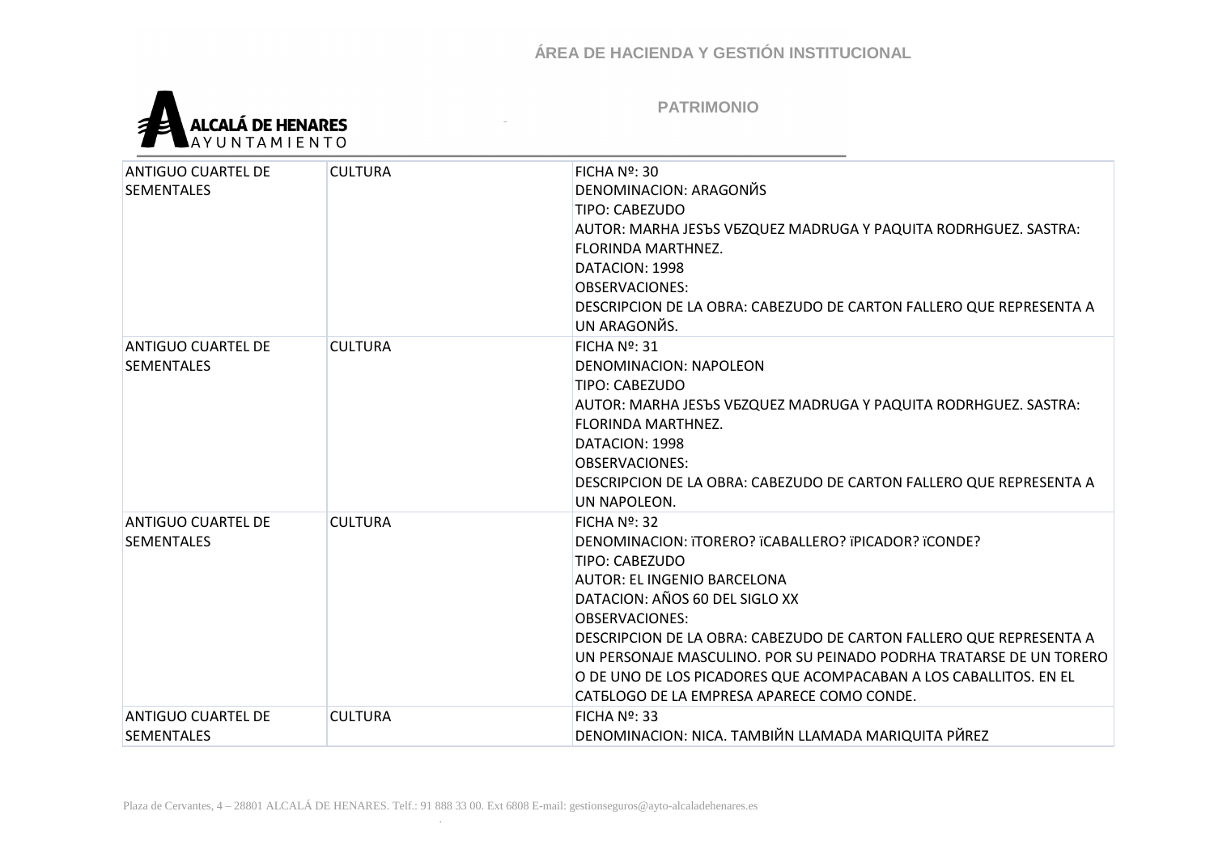

| <b>ANTIGUO CUARTEL DE</b> | <b>CULTURA</b> | FICHA $N2$ : 30<br>DENOMINACION: ARAGONЙS                           |
|---------------------------|----------------|---------------------------------------------------------------------|
| <b>SEMENTALES</b>         |                |                                                                     |
|                           |                | <b>TIPO: CABEZUDO</b>                                               |
|                           |                | AUTOR: MARHA JESЪS VEZQUEZ MADRUGA Y PAQUITA RODRHGUEZ. SASTRA:     |
|                           |                | <b>FLORINDA MARTHNEZ.</b>                                           |
|                           |                | DATACION: 1998                                                      |
|                           |                | <b>OBSERVACIONES:</b>                                               |
|                           |                | DESCRIPCION DE LA OBRA: CABEZUDO DE CARTON FALLERO QUE REPRESENTA A |
|                           |                | UN ARAGONЙS.                                                        |
| <b>ANTIGUO CUARTEL DE</b> | <b>CULTURA</b> | FICHA $N2$ : 31                                                     |
| <b>SEMENTALES</b>         |                | DENOMINACION: NAPOLEON                                              |
|                           |                | <b>TIPO: CABEZUDO</b>                                               |
|                           |                | AUTOR: MARHA JESЪS VEZQUEZ MADRUGA Y PAQUITA RODRHGUEZ. SASTRA:     |
|                           |                | FLORINDA MARTHNEZ.                                                  |
|                           |                | DATACION: 1998                                                      |
|                           |                | <b>OBSERVACIONES:</b>                                               |
|                           |                | DESCRIPCION DE LA OBRA: CABEZUDO DE CARTON FALLERO QUE REPRESENTA A |
|                           |                | UN NAPOLEON.                                                        |
| <b>ANTIGUO CUARTEL DE</b> | <b>CULTURA</b> | FICHA $N2$ : 32                                                     |
| <b>SEMENTALES</b>         |                | DENOMINACION: iTORERO? ICABALLERO? IPICADOR? ICONDE?                |
|                           |                | TIPO: CABEZUDO                                                      |
|                           |                | AUTOR: EL INGENIO BARCELONA                                         |
|                           |                | DATACION: AÑOS 60 DEL SIGLO XX                                      |
|                           |                | <b>OBSERVACIONES:</b>                                               |
|                           |                | DESCRIPCION DE LA OBRA: CABEZUDO DE CARTON FALLERO QUE REPRESENTA A |
|                           |                | UN PERSONAJE MASCULINO. POR SU PEINADO PODRHA TRATARSE DE UN TORERO |
|                           |                | O DE UNO DE LOS PICADORES QUE ACOMPACABAN A LOS CABALLITOS. EN EL   |
|                           |                | CATELOGO DE LA EMPRESA APARECE COMO CONDE.                          |
| <b>ANTIGUO CUARTEL DE</b> | <b>CULTURA</b> | FICHA $N2$ : 33                                                     |
| <b>SEMENTALES</b>         |                | DENOMINACION: NICA. TAMBIЙN LLAMADA MARIQUITA PЙREZ                 |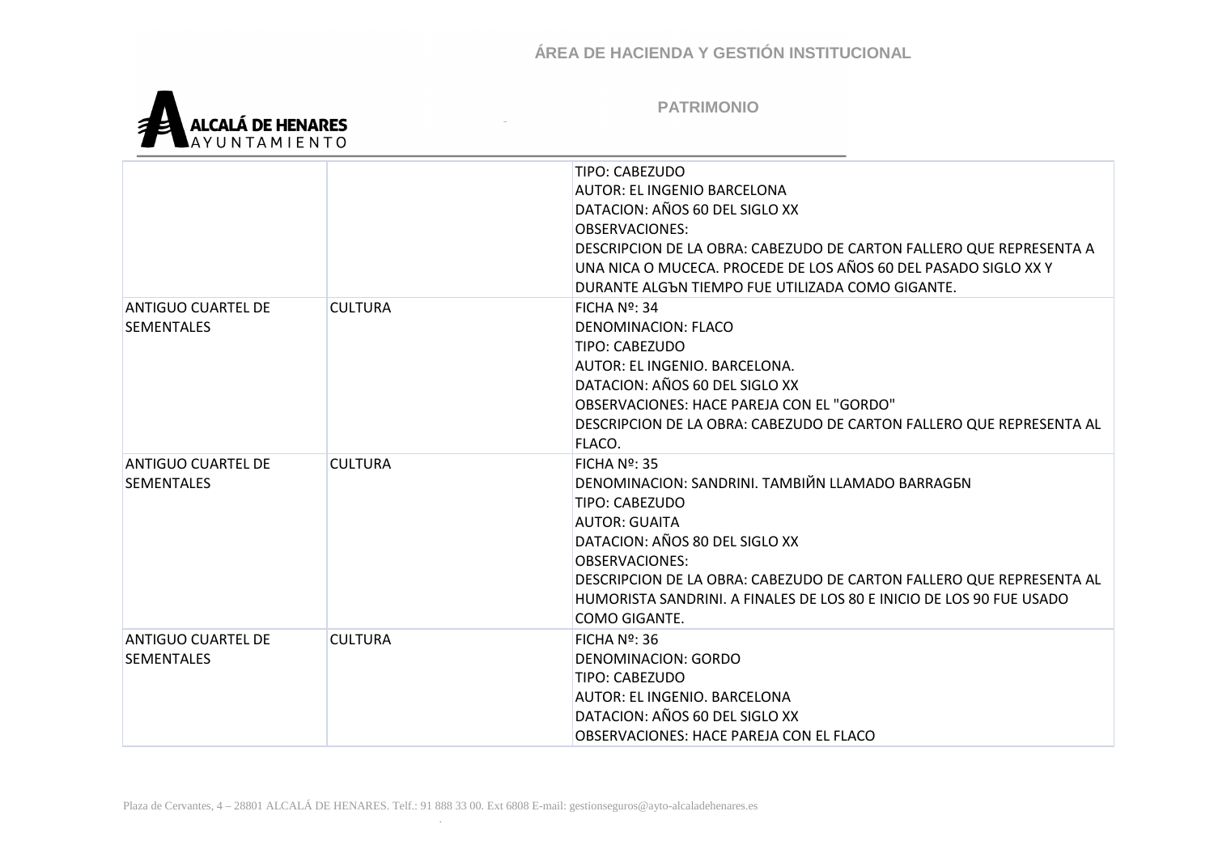

|                           |                | TIPO: CABEZUDO                                                       |
|---------------------------|----------------|----------------------------------------------------------------------|
|                           |                | <b>AUTOR: EL INGENIO BARCELONA</b>                                   |
|                           |                | DATACION: AÑOS 60 DEL SIGLO XX                                       |
|                           |                | OBSERVACIONES:                                                       |
|                           |                | DESCRIPCION DE LA OBRA: CABEZUDO DE CARTON FALLERO QUE REPRESENTA A  |
|                           |                | UNA NICA O MUCECA. PROCEDE DE LOS AÑOS 60 DEL PASADO SIGLO XX Y      |
|                           |                | DURANTE ALGON TIEMPO FUE UTILIZADA COMO GIGANTE.                     |
| ANTIGUO CUARTEL DE        | <b>CULTURA</b> | FICHA Nº: 34                                                         |
| <b>SEMENTALES</b>         |                | DENOMINACION: FLACO                                                  |
|                           |                | TIPO: CABEZUDO                                                       |
|                           |                | AUTOR: EL INGENIO. BARCELONA.                                        |
|                           |                | DATACION: AÑOS 60 DEL SIGLO XX                                       |
|                           |                | OBSERVACIONES: HACE PAREJA CON EL "GORDO"                            |
|                           |                | DESCRIPCION DE LA OBRA: CABEZUDO DE CARTON FALLERO QUE REPRESENTA AL |
|                           |                | FLACO.                                                               |
| <b>ANTIGUO CUARTEL DE</b> | <b>CULTURA</b> | FICHA $N2$ : 35                                                      |
| <b>SEMENTALES</b>         |                | DENOMINACION: SANDRINI, TAMBIЙN LLAMADO BARRAGEN                     |
|                           |                | TIPO: CABEZUDO                                                       |
|                           |                | AUTOR: GUAITA                                                        |
|                           |                | DATACION: AÑOS 80 DEL SIGLO XX                                       |
|                           |                | OBSERVACIONES:                                                       |
|                           |                | DESCRIPCION DE LA OBRA: CABEZUDO DE CARTON FALLERO QUE REPRESENTA AL |
|                           |                | HUMORISTA SANDRINI. A FINALES DE LOS 80 E INICIO DE LOS 90 FUE USADO |
|                           |                | COMO GIGANTE.                                                        |
| <b>ANTIGUO CUARTEL DE</b> | <b>CULTURA</b> | FICHA $N2$ : 36                                                      |
| <b>SEMENTALES</b>         |                | DENOMINACION: GORDO                                                  |
|                           |                | TIPO: CABEZUDO                                                       |
|                           |                | AUTOR: EL INGENIO. BARCELONA                                         |
|                           |                | DATACION: AÑOS 60 DEL SIGLO XX                                       |
|                           |                | OBSERVACIONES: HACE PAREJA CON EL FLACO                              |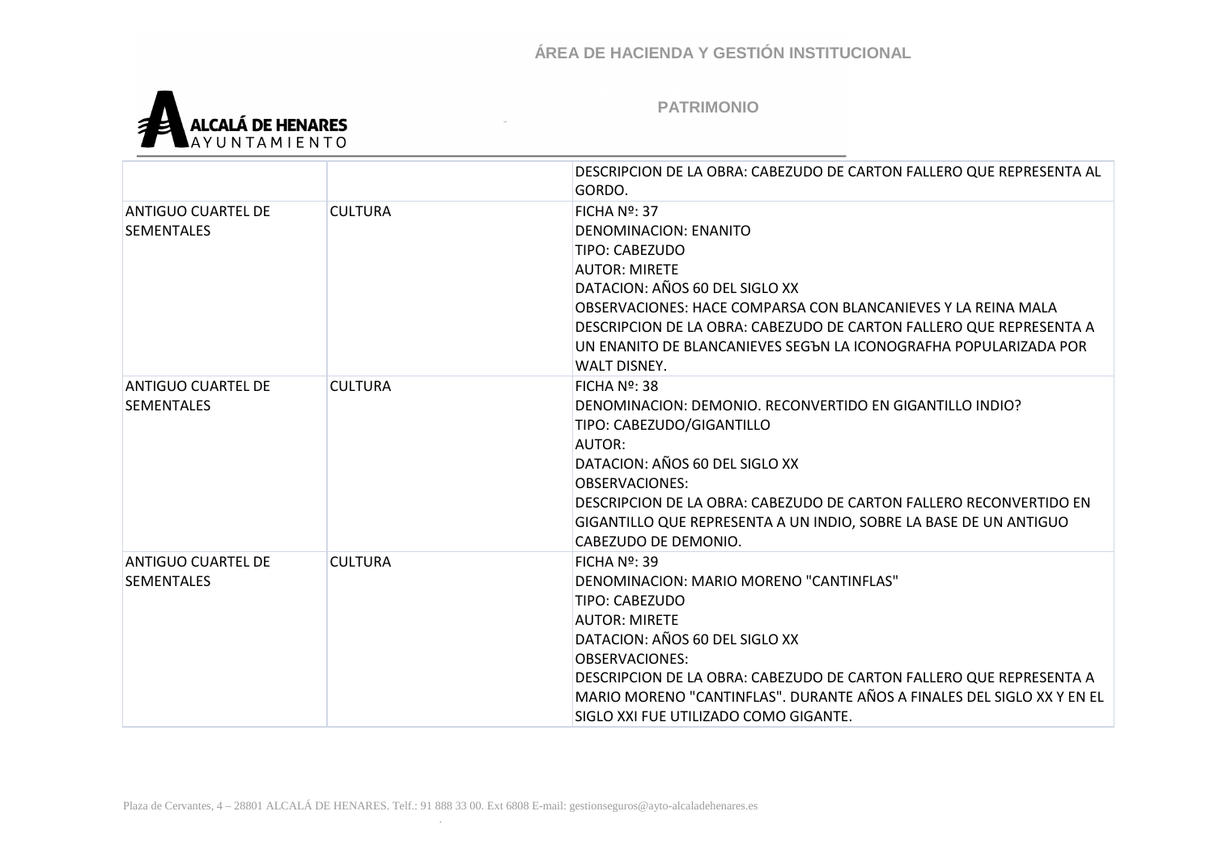

|                    |                | DESCRIPCION DE LA OBRA: CABEZUDO DE CARTON FALLERO QUE REPRESENTA AL   |
|--------------------|----------------|------------------------------------------------------------------------|
|                    |                | GORDO.                                                                 |
| ANTIGUO CUARTEL DE | <b>CULTURA</b> | FICHA Nº: 37                                                           |
| <b>SEMENTALES</b>  |                | DENOMINACION: ENANITO                                                  |
|                    |                | TIPO: CABEZUDO                                                         |
|                    |                | <b>AUTOR: MIRETE</b>                                                   |
|                    |                | DATACION: AÑOS 60 DEL SIGLO XX                                         |
|                    |                | OBSERVACIONES: HACE COMPARSA CON BLANCANIEVES Y LA REINA MALA          |
|                    |                | DESCRIPCION DE LA OBRA: CABEZUDO DE CARTON FALLERO QUE REPRESENTA A    |
|                    |                | UN ENANITO DE BLANCANIEVES SEGON LA ICONOGRAFHA POPULARIZADA POR       |
|                    |                | WALT DISNEY.                                                           |
| ANTIGUO CUARTEL DE | <b>CULTURA</b> | FICHA $N2$ : 38                                                        |
| <b>SEMENTALES</b>  |                | DENOMINACION: DEMONIO. RECONVERTIDO EN GIGANTILLO INDIO?               |
|                    |                | TIPO: CABEZUDO/GIGANTILLO                                              |
|                    |                | AUTOR:                                                                 |
|                    |                | DATACION: AÑOS 60 DEL SIGLO XX                                         |
|                    |                | <b>OBSERVACIONES:</b>                                                  |
|                    |                | DESCRIPCION DE LA OBRA: CABEZUDO DE CARTON FALLERO RECONVERTIDO EN     |
|                    |                | GIGANTILLO QUE REPRESENTA A UN INDIO, SOBRE LA BASE DE UN ANTIGUO      |
|                    |                | CABEZUDO DE DEMONIO.                                                   |
| ANTIGUO CUARTEL DE | <b>CULTURA</b> | FICHA $N2$ : 39                                                        |
| <b>SEMENTALES</b>  |                | DENOMINACION: MARIO MORENO "CANTINFLAS"                                |
|                    |                | TIPO: CABEZUDO                                                         |
|                    |                | <b>AUTOR: MIRETE</b>                                                   |
|                    |                | DATACION: AÑOS 60 DEL SIGLO XX                                         |
|                    |                | <b>OBSERVACIONES:</b>                                                  |
|                    |                | DESCRIPCION DE LA OBRA: CABEZUDO DE CARTON FALLERO QUE REPRESENTA A    |
|                    |                | MARIO MORENO "CANTINFLAS". DURANTE AÑOS A FINALES DEL SIGLO XX Y EN EL |
|                    |                | SIGLO XXI FUE UTILIZADO COMO GIGANTE.                                  |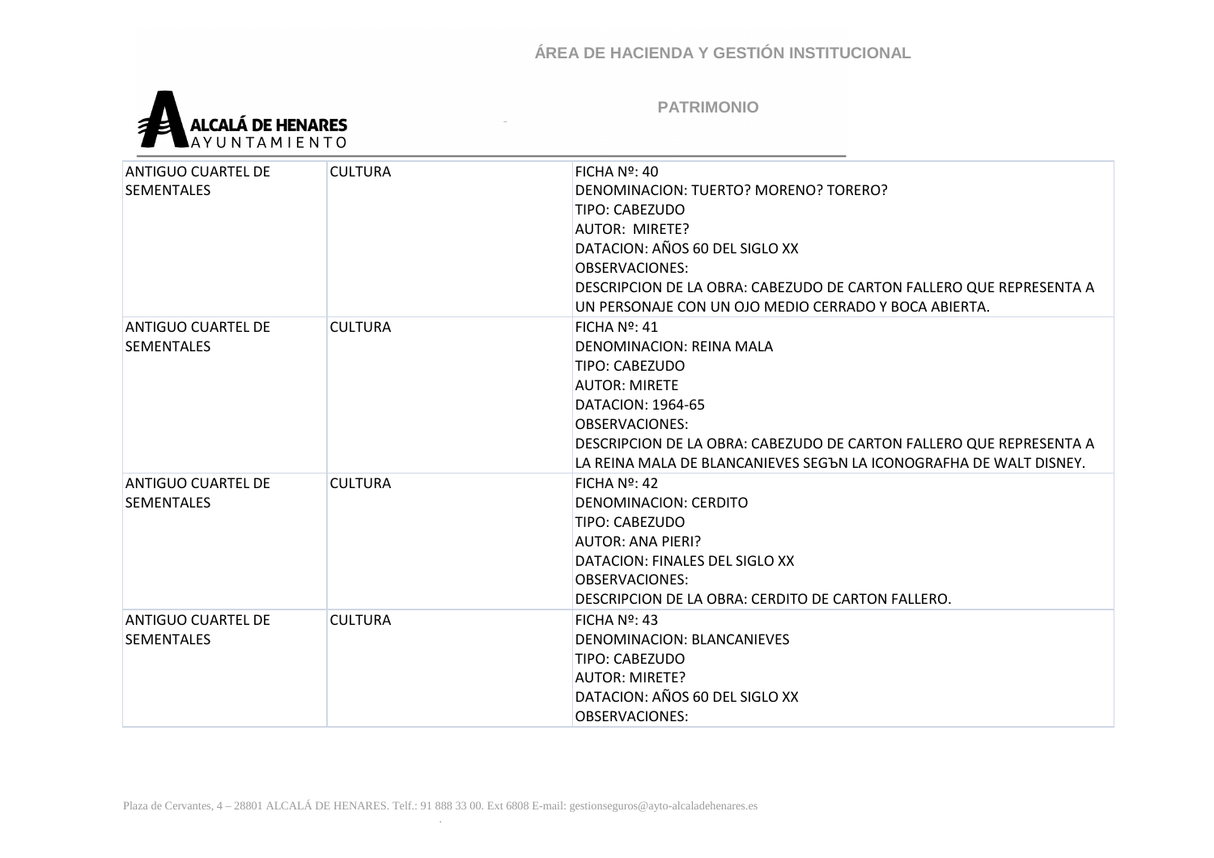

| ANTIGUO CUARTEL DE<br><b>SEMENTALES</b>        | <b>CULTURA</b> | $FICHA No$ : 40<br>DENOMINACION: TUERTO? MORENO? TORERO?<br>TIPO: CABEZUDO<br>AUTOR: MIRETE?<br>DATACION: AÑOS 60 DEL SIGLO XX<br><b>OBSERVACIONES:</b><br>DESCRIPCION DE LA OBRA: CABEZUDO DE CARTON FALLERO QUE REPRESENTA A                                                          |
|------------------------------------------------|----------------|-----------------------------------------------------------------------------------------------------------------------------------------------------------------------------------------------------------------------------------------------------------------------------------------|
|                                                |                | UN PERSONAJE CON UN OJO MEDIO CERRADO Y BOCA ABIERTA.                                                                                                                                                                                                                                   |
| ANTIGUO CUARTEL DE<br><b>SEMENTALES</b>        | <b>CULTURA</b> | FICHA $N2$ : 41<br><b>DENOMINACION: REINA MALA</b><br>TIPO: CABEZUDO<br><b>AUTOR: MIRETE</b><br>DATACION: 1964-65<br><b>OBSERVACIONES:</b><br>DESCRIPCION DE LA OBRA: CABEZUDO DE CARTON FALLERO QUE REPRESENTA A<br>LA REINA MALA DE BLANCANIEVES SEGЪN LA ICONOGRAFHA DE WALT DISNEY. |
| <b>ANTIGUO CUARTEL DE</b><br><b>SEMENTALES</b> | <b>CULTURA</b> | FICHA $N2$ : 42<br>DENOMINACION: CERDITO<br>TIPO: CABEZUDO<br>AUTOR: ANA PIERI?<br>DATACION: FINALES DEL SIGLO XX<br>OBSERVACIONES:<br>DESCRIPCION DE LA OBRA: CERDITO DE CARTON FALLERO.                                                                                               |
| <b>ANTIGUO CUARTEL DE</b><br><b>SEMENTALES</b> | <b>CULTURA</b> | FICHA $N2$ : 43<br>DENOMINACION: BLANCANIEVES<br>TIPO: CABEZUDO<br><b>AUTOR: MIRETE?</b><br>DATACION: AÑOS 60 DEL SIGLO XX<br><b>OBSERVACIONES:</b>                                                                                                                                     |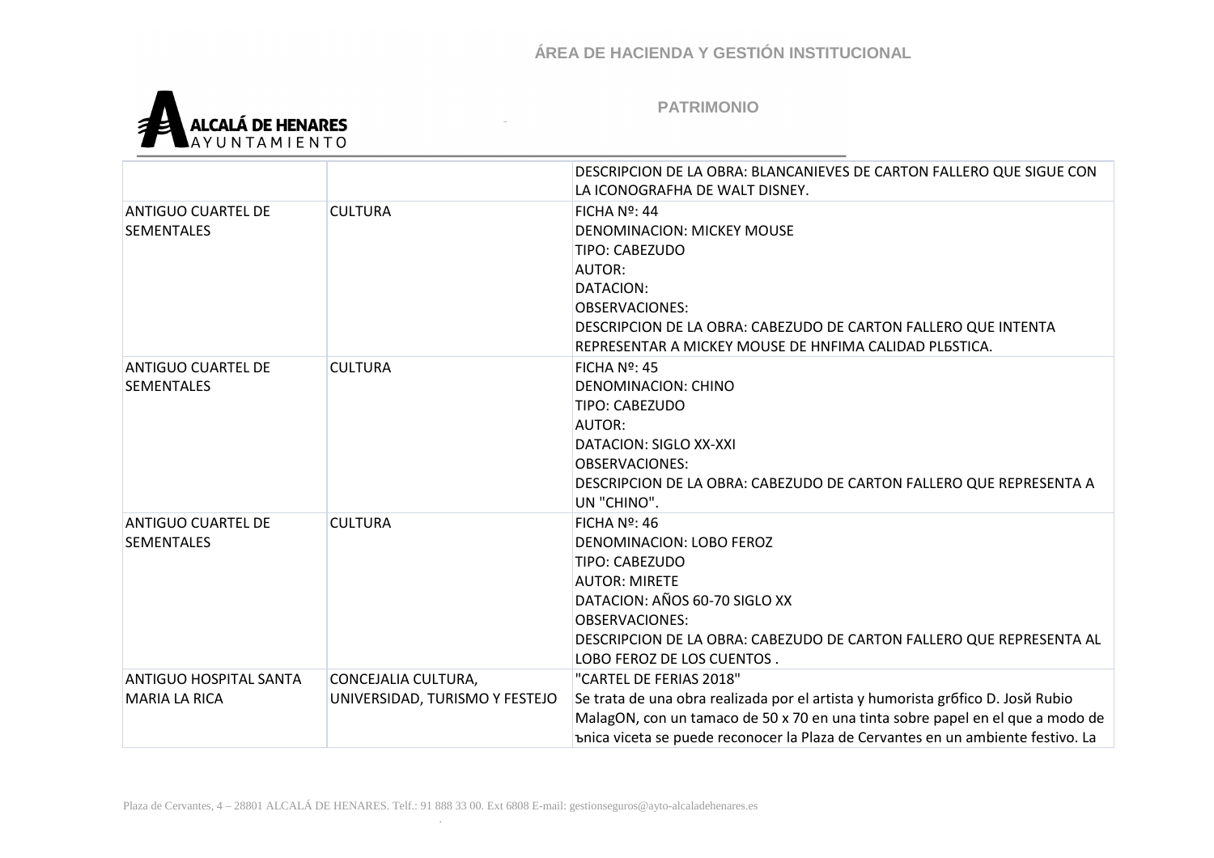

|                           |                                | DESCRIPCION DE LA OBRA: BLANCANIEVES DE CARTON FALLERO QUE SIGUE CON<br>LA ICONOGRAFHA DE WALT DISNEY. |
|---------------------------|--------------------------------|--------------------------------------------------------------------------------------------------------|
| <b>ANTIGUO CUARTEL DE</b> | <b>CULTURA</b>                 | FICHA $N2$ : 44                                                                                        |
| <b>SEMENTALES</b>         |                                | <b>DENOMINACION: MICKEY MOUSE</b>                                                                      |
|                           |                                |                                                                                                        |
|                           |                                | TIPO: CABEZUDO                                                                                         |
|                           |                                | <b>AUTOR:</b>                                                                                          |
|                           |                                | DATACION:                                                                                              |
|                           |                                | <b>OBSERVACIONES:</b>                                                                                  |
|                           |                                | DESCRIPCION DE LA OBRA: CABEZUDO DE CARTON FALLERO QUE INTENTA                                         |
|                           |                                | REPRESENTAR A MICKEY MOUSE DE HNFIMA CALIDAD PLESTICA.                                                 |
| <b>ANTIGUO CUARTEL DE</b> | <b>CULTURA</b>                 | FICHA $N2$ : 45                                                                                        |
| <b>SEMENTALES</b>         |                                | <b>DENOMINACION: CHINO</b>                                                                             |
|                           |                                | TIPO: CABEZUDO                                                                                         |
|                           |                                | <b>AUTOR:</b>                                                                                          |
|                           |                                | <b>DATACION: SIGLO XX-XXI</b>                                                                          |
|                           |                                | <b>OBSERVACIONES:</b>                                                                                  |
|                           |                                | DESCRIPCION DE LA OBRA: CABEZUDO DE CARTON FALLERO QUE REPRESENTA A                                    |
|                           |                                | UN "CHINO".                                                                                            |
| <b>ANTIGUO CUARTEL DE</b> | <b>CULTURA</b>                 | FICHA $N2$ : 46                                                                                        |
| <b>SEMENTALES</b>         |                                | DENOMINACION: LOBO FEROZ                                                                               |
|                           |                                | TIPO: CABEZUDO                                                                                         |
|                           |                                | <b>AUTOR: MIRETE</b>                                                                                   |
|                           |                                | DATACION: AÑOS 60-70 SIGLO XX                                                                          |
|                           |                                | <b>OBSERVACIONES:</b>                                                                                  |
|                           |                                | DESCRIPCION DE LA OBRA: CABEZUDO DE CARTON FALLERO QUE REPRESENTA AL                                   |
|                           |                                | LOBO FEROZ DE LOS CUENTOS.                                                                             |
| ANTIGUO HOSPITAL SANTA    | CONCEJALIA CULTURA,            | "CARTEL DE FERIAS 2018"                                                                                |
| <b>MARIA LA RICA</b>      | UNIVERSIDAD, TURISMO Y FESTEJO | Se trata de una obra realizada por el artista y humorista grófico D. Josŭ Rubio                        |
|                           |                                | MalagON, con un tamaco de 50 x 70 en una tinta sobre papel en el que a modo de                         |
|                           |                                | bnica viceta se puede reconocer la Plaza de Cervantes en un ambiente festivo. La                       |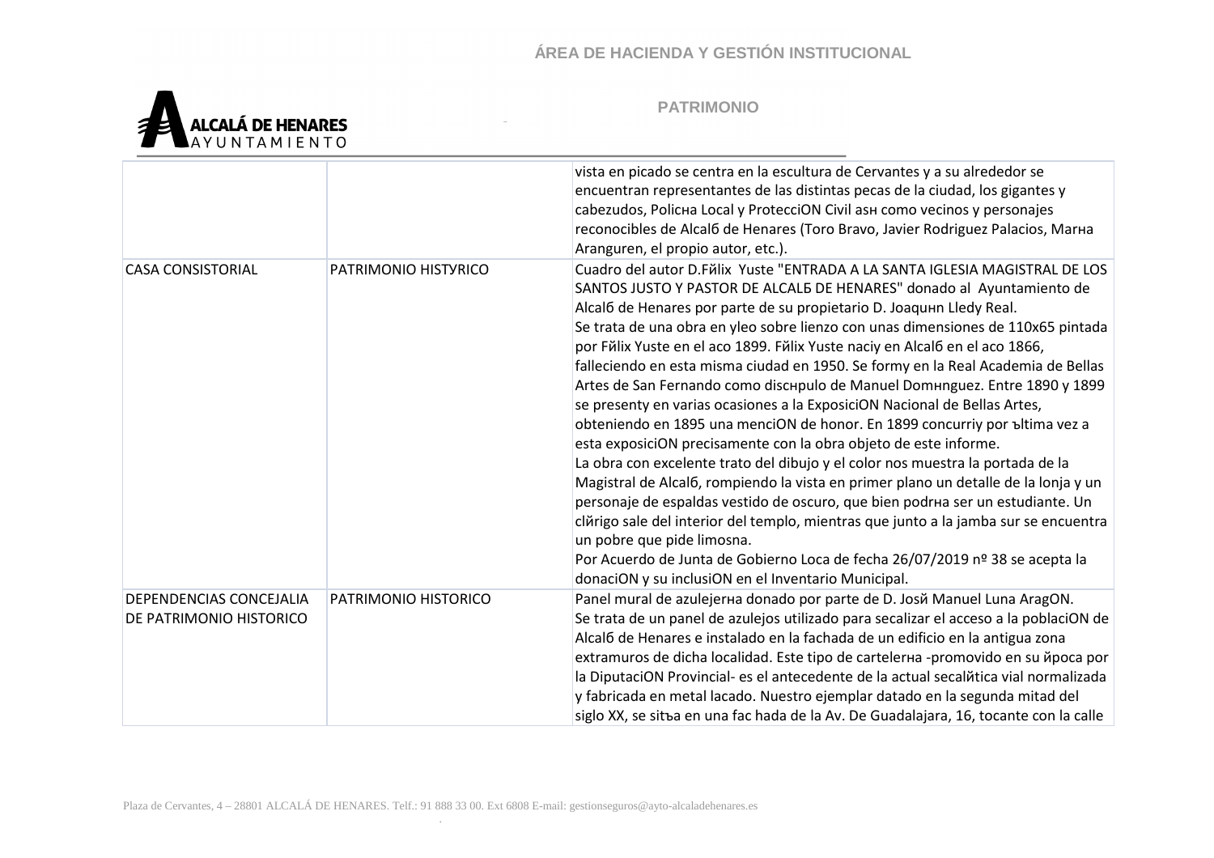

|                                                    |                      | vista en picado se centra en la escultura de Cervantes y a su alrededor se<br>encuentran representantes de las distintas pecas de la ciudad, los gigantes y<br>cabezudos, Policha Local y ProtecciON Civil ash como vecinos y personajes<br>reconocibles de Alcal6 de Henares (Toro Bravo, Javier Rodriguez Palacios, Marna<br>Aranguren, el propio autor, etc.).                                                                                                                                                                                                                                                                                                                                                                                                                                                                                                                                                                                                                                                                                                                                                                                                                                                                                                                                                          |
|----------------------------------------------------|----------------------|----------------------------------------------------------------------------------------------------------------------------------------------------------------------------------------------------------------------------------------------------------------------------------------------------------------------------------------------------------------------------------------------------------------------------------------------------------------------------------------------------------------------------------------------------------------------------------------------------------------------------------------------------------------------------------------------------------------------------------------------------------------------------------------------------------------------------------------------------------------------------------------------------------------------------------------------------------------------------------------------------------------------------------------------------------------------------------------------------------------------------------------------------------------------------------------------------------------------------------------------------------------------------------------------------------------------------|
| <b>CASA CONSISTORIAL</b>                           | PATRIMONIO HISTYRICO | Cuadro del autor D.Fŭlix Yuste "ENTRADA A LA SANTA IGLESIA MAGISTRAL DE LOS<br>SANTOS JUSTO Y PASTOR DE ALCALB DE HENARES" donado al Ayuntamiento de<br>Alcaló de Henares por parte de su propietario D. Joaquun Lledy Real.<br>Se trata de una obra en yleo sobre lienzo con unas dimensiones de 110x65 pintada<br>por Fŭlix Yuste en el aco 1899. Fŭlix Yuste naciy en Alcaló en el aco 1866,<br>falleciendo en esta misma ciudad en 1950. Se formy en la Real Academia de Bellas<br>Artes de San Fernando como dischpulo de Manuel Domhnguez. Entre 1890 y 1899<br>se presenty en varias ocasiones a la ExposiciON Nacional de Bellas Artes,<br>obteniendo en 1895 una menciON de honor. En 1899 concurriy por bltima vez a<br>esta exposiciON precisamente con la obra objeto de este informe.<br>La obra con excelente trato del dibujo y el color nos muestra la portada de la<br>Magistral de Alcal6, rompiendo la vista en primer plano un detalle de la lonja y un<br>personaje de espaldas vestido de oscuro, que bien podrha ser un estudiante. Un<br>clărigo sale del interior del templo, mientras que junto a la jamba sur se encuentra<br>un pobre que pide limosna.<br>Por Acuerdo de Junta de Gobierno Loca de fecha 26/07/2019 nº 38 se acepta la<br>donaciON y su inclusiON en el Inventario Municipal. |
| DEPENDENCIAS CONCEJALIA<br>DE PATRIMONIO HISTORICO | PATRIMONIO HISTORICO | Panel mural de azulejerna donado por parte de D. Josň Manuel Luna AragON.<br>Se trata de un panel de azulejos utilizado para secalizar el acceso a la poblaciON de<br>Alcaló de Henares e instalado en la fachada de un edificio en la antigua zona<br>extramuros de dicha localidad. Este tipo de cartelerна -promovido en su йроса por<br>la DiputaciON Provincial- es el antecedente de la actual secalitica vial normalizada<br>y fabricada en metal lacado. Nuestro ejemplar datado en la segunda mitad del<br>siglo XX, se sitъa en una fac hada de la Av. De Guadalajara, 16, tocante con la calle                                                                                                                                                                                                                                                                                                                                                                                                                                                                                                                                                                                                                                                                                                                  |